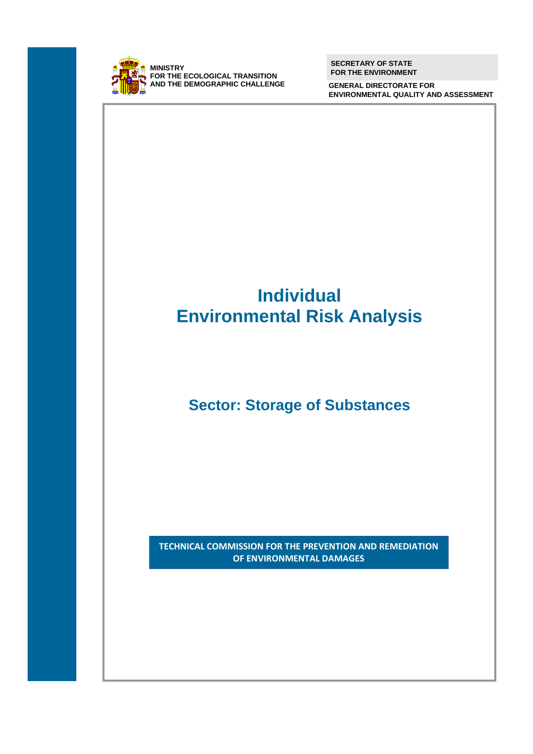

 **SECRETARY OF STATE FOR THE ENVIRONMENT**

 **GENERAL DIRECTORATE FOR ENVIRONMENTAL QUALITY AND ASSESSMENT**

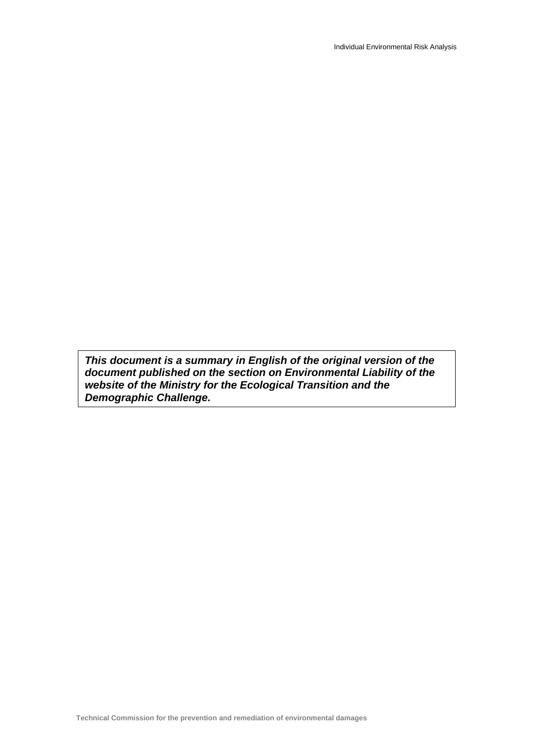Individual Environmental Risk Analysis

*This document is a summary in English of the original version of the document published on the section on Environmental Liability of the website of the Ministry for the Ecological Transition and the Demographic Challenge.*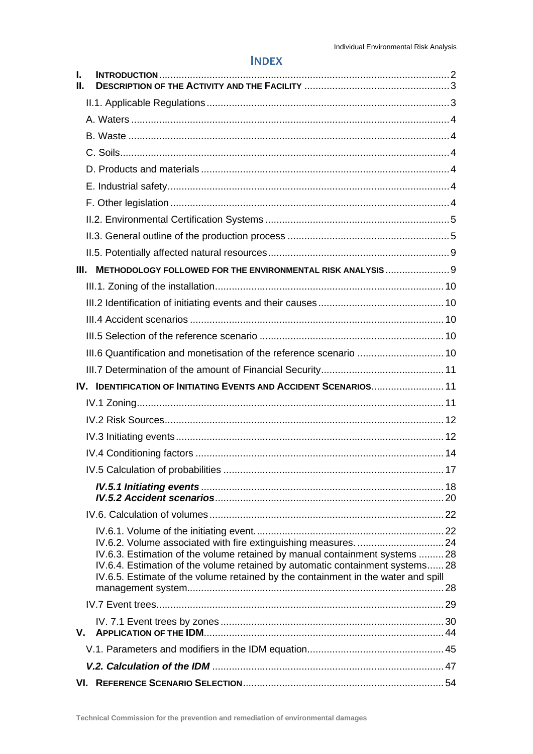# **INDEX**

| L.<br>Ш. |                                                                                                                                                                                                                                                 |  |
|----------|-------------------------------------------------------------------------------------------------------------------------------------------------------------------------------------------------------------------------------------------------|--|
|          |                                                                                                                                                                                                                                                 |  |
|          |                                                                                                                                                                                                                                                 |  |
|          |                                                                                                                                                                                                                                                 |  |
|          |                                                                                                                                                                                                                                                 |  |
|          |                                                                                                                                                                                                                                                 |  |
|          |                                                                                                                                                                                                                                                 |  |
|          |                                                                                                                                                                                                                                                 |  |
|          |                                                                                                                                                                                                                                                 |  |
|          |                                                                                                                                                                                                                                                 |  |
|          |                                                                                                                                                                                                                                                 |  |
| III.     | METHODOLOGY FOLLOWED FOR THE ENVIRONMENTAL RISK ANALYSIS 9                                                                                                                                                                                      |  |
|          |                                                                                                                                                                                                                                                 |  |
|          |                                                                                                                                                                                                                                                 |  |
|          |                                                                                                                                                                                                                                                 |  |
|          |                                                                                                                                                                                                                                                 |  |
|          | III.6 Quantification and monetisation of the reference scenario  10                                                                                                                                                                             |  |
|          |                                                                                                                                                                                                                                                 |  |
|          | IV. IDENTIFICATION OF INITIATING EVENTS AND ACCIDENT SCENARIOS 11                                                                                                                                                                               |  |
|          |                                                                                                                                                                                                                                                 |  |
|          |                                                                                                                                                                                                                                                 |  |
|          |                                                                                                                                                                                                                                                 |  |
|          |                                                                                                                                                                                                                                                 |  |
|          |                                                                                                                                                                                                                                                 |  |
|          |                                                                                                                                                                                                                                                 |  |
|          |                                                                                                                                                                                                                                                 |  |
|          |                                                                                                                                                                                                                                                 |  |
|          |                                                                                                                                                                                                                                                 |  |
|          |                                                                                                                                                                                                                                                 |  |
|          | IV.6.3. Estimation of the volume retained by manual containment systems 28<br>IV.6.4. Estimation of the volume retained by automatic containment systems28<br>IV.6.5. Estimate of the volume retained by the containment in the water and spill |  |
|          |                                                                                                                                                                                                                                                 |  |
|          |                                                                                                                                                                                                                                                 |  |
|          |                                                                                                                                                                                                                                                 |  |
|          |                                                                                                                                                                                                                                                 |  |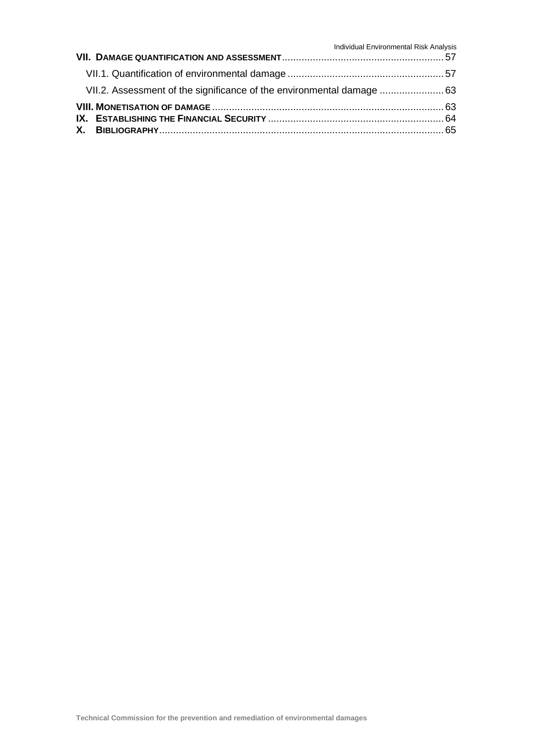| Individual Environmental Risk Analysis |  |
|----------------------------------------|--|
|                                        |  |
|                                        |  |
|                                        |  |
|                                        |  |
|                                        |  |
|                                        |  |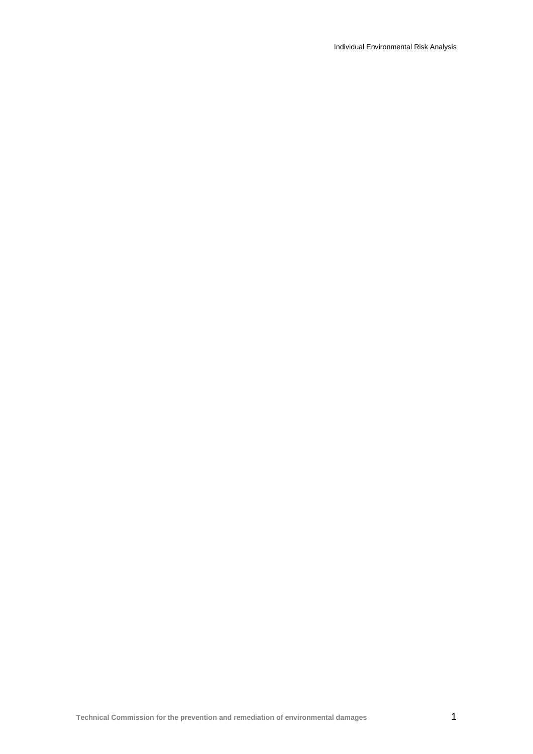Individual Environmental Risk Analysis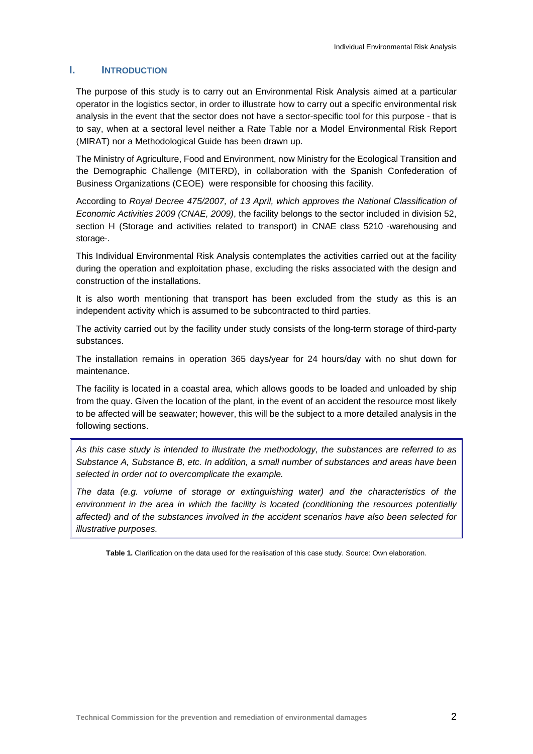# **I. INTRODUCTION**

The purpose of this study is to carry out an Environmental Risk Analysis aimed at a particular operator in the logistics sector, in order to illustrate how to carry out a specific environmental risk analysis in the event that the sector does not have a sector-specific tool for this purpose - that is to say, when at a sectoral level neither a Rate Table nor a Model Environmental Risk Report (MIRAT) nor a Methodological Guide has been drawn up.

The Ministry of Agriculture, Food and Environment, now Ministry for the Ecological Transition and the Demographic Challenge (MITERD), in collaboration with the Spanish Confederation of Business Organizations (CEOE) were responsible for choosing this facility.

According to *Royal Decree 475/2007, of 13 April, which approves the National Classification of Economic Activities 2009 (CNAE, 2009)*, the facility belongs to the sector included in division 52, section H (Storage and activities related to transport) in CNAE class 5210 -warehousing and storage-.

This Individual Environmental Risk Analysis contemplates the activities carried out at the facility during the operation and exploitation phase, excluding the risks associated with the design and construction of the installations.

It is also worth mentioning that transport has been excluded from the study as this is an independent activity which is assumed to be subcontracted to third parties.

The activity carried out by the facility under study consists of the long-term storage of third-party substances.

The installation remains in operation 365 days/year for 24 hours/day with no shut down for maintenance.

The facility is located in a coastal area, which allows goods to be loaded and unloaded by ship from the quay. Given the location of the plant, in the event of an accident the resource most likely to be affected will be seawater; however, this will be the subject to a more detailed analysis in the following sections.

*As this case study is intended to illustrate the methodology, the substances are referred to as Substance A, Substance B, etc. In addition, a small number of substances and areas have been selected in order not to overcomplicate the example.* 

*The data (e.g. volume of storage or extinguishing water) and the characteristics of the*  environment in the area in which the facility is located (conditioning the resources potentially *affected) and of the substances involved in the accident scenarios have also been selected for illustrative purposes.* 

**Table 1.** Clarification on the data used for the realisation of this case study. Source: Own elaboration.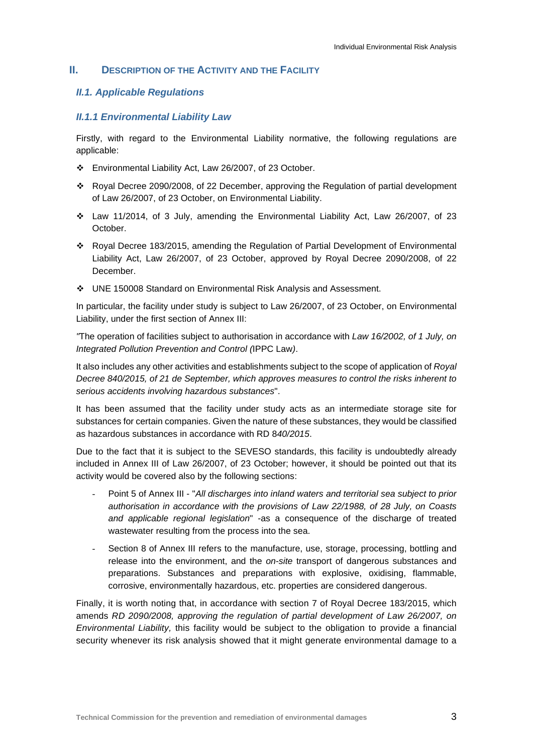# **II. DESCRIPTION OF THE ACTIVITY AND THE FACILITY**

## *II.1. Applicable Regulations*

## *II.1.1 Environmental Liability Law*

Firstly, with regard to the Environmental Liability normative, the following regulations are applicable:

- Environmental Liability Act, Law 26/2007, of 23 October.
- Royal Decree 2090/2008, of 22 December, approving the Regulation of partial development of Law 26/2007, of 23 October, on Environmental Liability.
- Law 11/2014, of 3 July, amending the Environmental Liability Act, Law 26/2007, of 23 October.
- Royal Decree 183/2015, amending the Regulation of Partial Development of Environmental Liability Act, Law 26/2007, of 23 October, approved by Royal Decree 2090/2008, of 22 December.
- UNE 150008 Standard on Environmental Risk Analysis and Assessment.

In particular, the facility under study is subject to Law 26/2007, of 23 October, on Environmental Liability, under the first section of Annex III:

*"*The operation of facilities subject to authorisation in accordance with *Law 16/2002, of 1 July, on Integrated Pollution Prevention and Control (*IPPC Law*)*.

It also includes any other activities and establishments subject to the scope of application of *Royal Decree 840/2015, of 21 de September, which approves measures to control the risks inherent to serious accidents involving hazardous substances*".

It has been assumed that the facility under study acts as an intermediate storage site for substances for certain companies. Given the nature of these substances, they would be classified as hazardous substances in accordance with RD 8*40/2015*.

Due to the fact that it is subject to the SEVESO standards, this facility is undoubtedly already included in Annex III of Law 26/2007, of 23 October; however, it should be pointed out that its activity would be covered also by the following sections:

- Point 5 of Annex III "*All discharges into inland waters and territorial sea subject to prior authorisation in accordance with the provisions of Law 22/1988, of 28 July, on Coasts and applicable regional legislation*" -as a consequence of the discharge of treated wastewater resulting from the process into the sea.
- Section 8 of Annex III refers to the manufacture, use, storage, processing, bottling and release into the environment, and the *on-site* transport of dangerous substances and preparations. Substances and preparations with explosive, oxidising, flammable, corrosive, environmentally hazardous, etc. properties are considered dangerous.

Finally, it is worth noting that, in accordance with section 7 of Royal Decree 183/2015, which amends *RD 2090/2008, approving the regulation of partial development of Law 26/2007, on Environmental Liability,* this facility would be subject to the obligation to provide a financial security whenever its risk analysis showed that it might generate environmental damage to a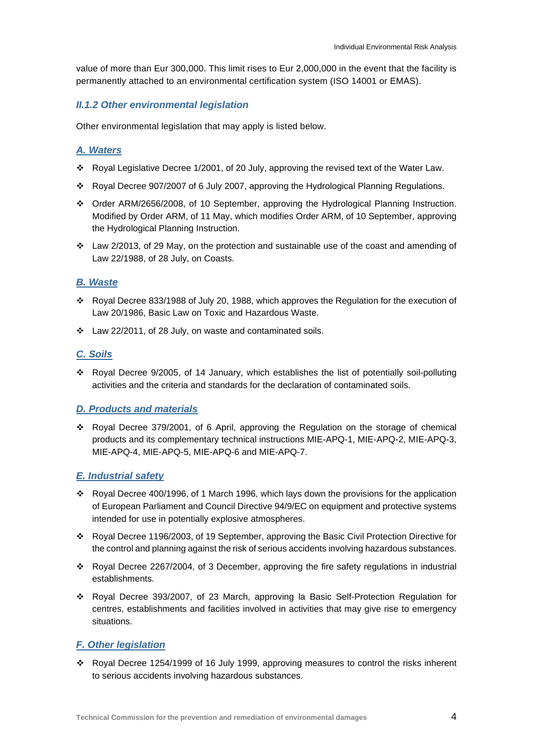value of more than Eur 300,000. This limit rises to Eur 2,000,000 in the event that the facility is permanently attached to an environmental certification system (ISO 14001 or EMAS).

# *II.1.2 Other environmental legislation*

Other environmental legislation that may apply is listed below.

# *A. Waters*

- Royal Legislative Decree 1/2001, of 20 July, approving the revised text of the Water Law.
- Royal Decree 907/2007 of 6 July 2007, approving the Hydrological Planning Regulations.
- Order ARM/2656/2008, of 10 September, approving the Hydrological Planning Instruction. Modified by Order ARM, of 11 May, which modifies Order ARM, of 10 September, approving the Hydrological Planning Instruction.
- $\cdot$  Law 2/2013, of 29 May, on the protection and sustainable use of the coast and amending of Law 22/1988, of 28 July, on Coasts.

# *B. Waste*

- Royal Decree 833/1988 of July 20, 1988, which approves the Regulation for the execution of Law 20/1986, Basic Law on Toxic and Hazardous Waste.
- Law 22/2011, of 28 July, on waste and contaminated soils.

# *C. Soils*

 Royal Decree 9/2005, of 14 January, which establishes the list of potentially soil-polluting activities and the criteria and standards for the declaration of contaminated soils.

## *D. Products and materials*

 Royal Decree 379/2001, of 6 April, approving the Regulation on the storage of chemical products and its complementary technical instructions MIE-APQ-1, MIE-APQ-2, MIE-APQ-3, MIE-APQ-4, MIE-APQ-5, MIE-APQ-6 and MIE-APQ-7.

## *E. Industrial safety*

- Royal Decree 400/1996, of 1 March 1996, which lays down the provisions for the application of European Parliament and Council Directive 94/9/EC on equipment and protective systems intended for use in potentially explosive atmospheres.
- Royal Decree 1196/2003, of 19 September, approving the Basic Civil Protection Directive for the control and planning against the risk of serious accidents involving hazardous substances.
- Royal Decree 2267/2004, of 3 December, approving the fire safety regulations in industrial establishments.
- Royal Decree 393/2007, of 23 March, approving la Basic Self-Protection Regulation for centres, establishments and facilities involved in activities that may give rise to emergency situations.

## *F. Other legislation*

 Royal Decree 1254/1999 of 16 July 1999, approving measures to control the risks inherent to serious accidents involving hazardous substances.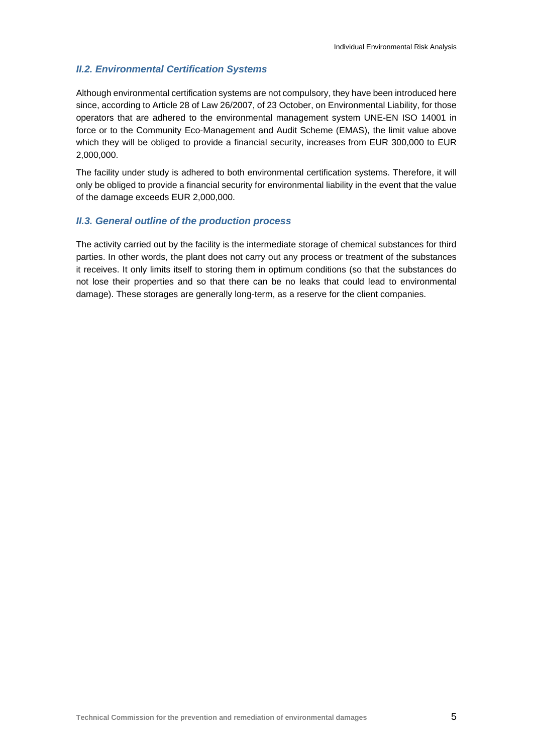# *II.2. Environmental Certification Systems*

Although environmental certification systems are not compulsory, they have been introduced here since, according to Article 28 of Law 26/2007, of 23 October, on Environmental Liability, for those operators that are adhered to the environmental management system UNE-EN ISO 14001 in force or to the Community Eco-Management and Audit Scheme (EMAS), the limit value above which they will be obliged to provide a financial security, increases from EUR 300,000 to EUR 2,000,000.

The facility under study is adhered to both environmental certification systems. Therefore, it will only be obliged to provide a financial security for environmental liability in the event that the value of the damage exceeds EUR 2,000,000.

## *II.3. General outline of the production process*

The activity carried out by the facility is the intermediate storage of chemical substances for third parties. In other words, the plant does not carry out any process or treatment of the substances it receives. It only limits itself to storing them in optimum conditions (so that the substances do not lose their properties and so that there can be no leaks that could lead to environmental damage). These storages are generally long-term, as a reserve for the client companies.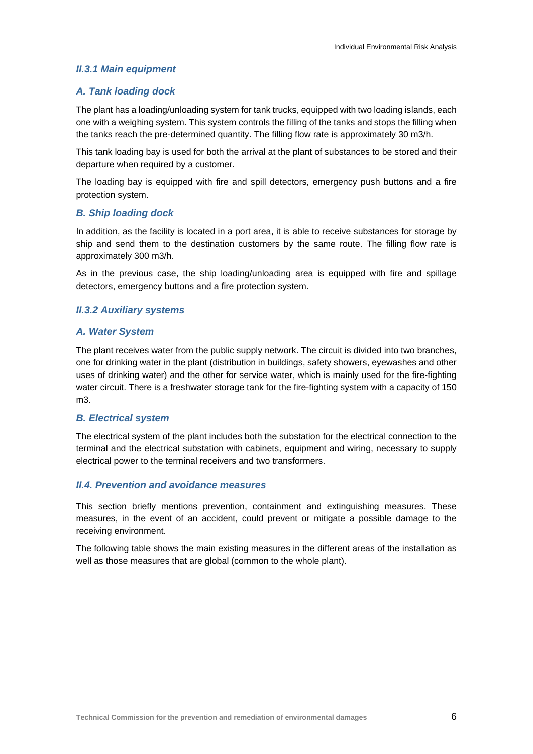# *II.3.1 Main equipment*

# *A. Tank loading dock*

The plant has a loading/unloading system for tank trucks, equipped with two loading islands, each one with a weighing system. This system controls the filling of the tanks and stops the filling when the tanks reach the pre-determined quantity. The filling flow rate is approximately 30 m3/h.

This tank loading bay is used for both the arrival at the plant of substances to be stored and their departure when required by a customer.

The loading bay is equipped with fire and spill detectors, emergency push buttons and a fire protection system.

# *B. Ship loading dock*

In addition, as the facility is located in a port area, it is able to receive substances for storage by ship and send them to the destination customers by the same route. The filling flow rate is approximately 300 m3/h.

As in the previous case, the ship loading/unloading area is equipped with fire and spillage detectors, emergency buttons and a fire protection system.

# *II.3.2 Auxiliary systems*

# *A. Water System*

The plant receives water from the public supply network. The circuit is divided into two branches, one for drinking water in the plant (distribution in buildings, safety showers, eyewashes and other uses of drinking water) and the other for service water, which is mainly used for the fire-fighting water circuit. There is a freshwater storage tank for the fire-fighting system with a capacity of 150 m3.

## *B. Electrical system*

The electrical system of the plant includes both the substation for the electrical connection to the terminal and the electrical substation with cabinets, equipment and wiring, necessary to supply electrical power to the terminal receivers and two transformers.

## *II.4. Prevention and avoidance measures*

This section briefly mentions prevention, containment and extinguishing measures. These measures, in the event of an accident, could prevent or mitigate a possible damage to the receiving environment.

The following table shows the main existing measures in the different areas of the installation as well as those measures that are global (common to the whole plant).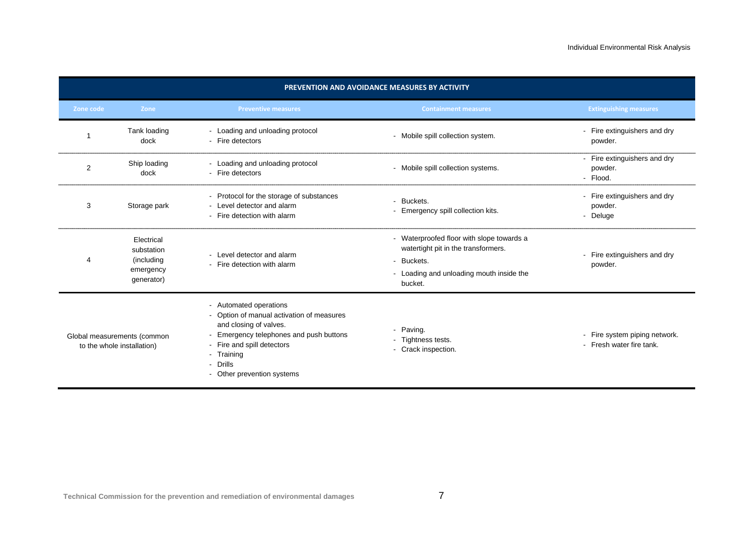| PREVENTION AND AVOIDANCE MEASURES BY ACTIVITY |                                                                   |                                                                                                                                                                                                                                |                                                                                                                                                             |                                                       |  |  |  |
|-----------------------------------------------|-------------------------------------------------------------------|--------------------------------------------------------------------------------------------------------------------------------------------------------------------------------------------------------------------------------|-------------------------------------------------------------------------------------------------------------------------------------------------------------|-------------------------------------------------------|--|--|--|
| Zone code                                     | Zone                                                              | <b>Preventive measures</b>                                                                                                                                                                                                     | <b>Containment measures</b>                                                                                                                                 | <b>Extinguishing measures</b>                         |  |  |  |
|                                               | Tank loading<br>dock                                              | - Loading and unloading protocol<br>- Fire detectors                                                                                                                                                                           | - Mobile spill collection system.                                                                                                                           | - Fire extinguishers and dry<br>powder.               |  |  |  |
| $\overline{2}$                                | Ship loading<br>dock                                              | - Loading and unloading protocol<br>- Fire detectors                                                                                                                                                                           | - Mobile spill collection systems.                                                                                                                          | - Fire extinguishers and dry<br>powder.<br>- Flood.   |  |  |  |
| 3                                             | Storage park                                                      | - Protocol for the storage of substances<br>- Level detector and alarm<br>- Fire detection with alarm                                                                                                                          | Buckets.<br>Emergency spill collection kits.                                                                                                                | Fire extinguishers and dry<br>powder.<br>Deluge       |  |  |  |
| 4                                             | Electrical<br>substation<br>(including<br>emergency<br>generator) | - Level detector and alarm<br>- Fire detection with alarm                                                                                                                                                                      | - Waterproofed floor with slope towards a<br>watertight pit in the transformers.<br>Buckets.<br>$\sim$<br>Loading and unloading mouth inside the<br>bucket. | Fire extinguishers and dry<br>powder.                 |  |  |  |
|                                               | Global measurements (common<br>to the whole installation)         | - Automated operations<br>- Option of manual activation of measures<br>and closing of valves.<br>- Emergency telephones and push buttons<br>- Fire and spill detectors<br>- Training<br>- Drills<br>- Other prevention systems | Paving.<br>Tightness tests.<br>- Crack inspection.                                                                                                          | Fire system piping network.<br>Fresh water fire tank. |  |  |  |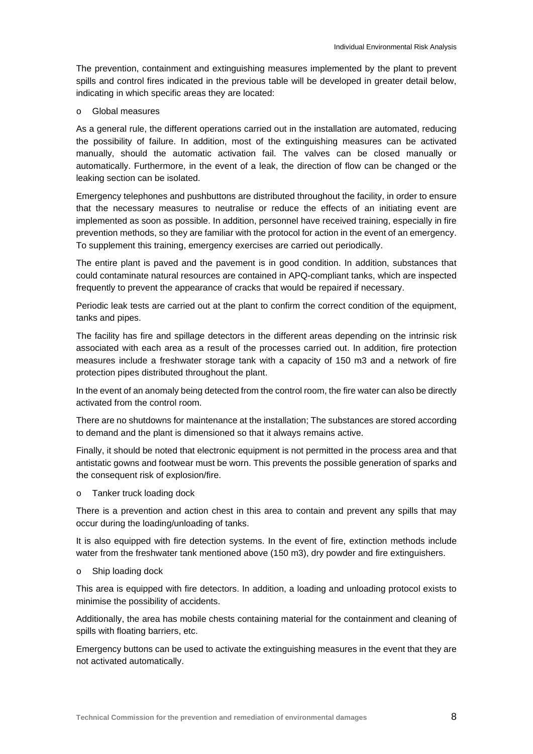The prevention, containment and extinguishing measures implemented by the plant to prevent spills and control fires indicated in the previous table will be developed in greater detail below, indicating in which specific areas they are located:

o Global measures

As a general rule, the different operations carried out in the installation are automated, reducing the possibility of failure. In addition, most of the extinguishing measures can be activated manually, should the automatic activation fail. The valves can be closed manually or automatically. Furthermore, in the event of a leak, the direction of flow can be changed or the leaking section can be isolated.

Emergency telephones and pushbuttons are distributed throughout the facility, in order to ensure that the necessary measures to neutralise or reduce the effects of an initiating event are implemented as soon as possible. In addition, personnel have received training, especially in fire prevention methods, so they are familiar with the protocol for action in the event of an emergency. To supplement this training, emergency exercises are carried out periodically.

The entire plant is paved and the pavement is in good condition. In addition, substances that could contaminate natural resources are contained in APQ-compliant tanks, which are inspected frequently to prevent the appearance of cracks that would be repaired if necessary.

Periodic leak tests are carried out at the plant to confirm the correct condition of the equipment, tanks and pipes.

The facility has fire and spillage detectors in the different areas depending on the intrinsic risk associated with each area as a result of the processes carried out. In addition, fire protection measures include a freshwater storage tank with a capacity of 150 m3 and a network of fire protection pipes distributed throughout the plant.

In the event of an anomaly being detected from the control room, the fire water can also be directly activated from the control room.

There are no shutdowns for maintenance at the installation; The substances are stored according to demand and the plant is dimensioned so that it always remains active.

Finally, it should be noted that electronic equipment is not permitted in the process area and that antistatic gowns and footwear must be worn. This prevents the possible generation of sparks and the consequent risk of explosion/fire.

o Tanker truck loading dock

There is a prevention and action chest in this area to contain and prevent any spills that may occur during the loading/unloading of tanks.

It is also equipped with fire detection systems. In the event of fire, extinction methods include water from the freshwater tank mentioned above (150 m3), dry powder and fire extinguishers.

o Ship loading dock

This area is equipped with fire detectors. In addition, a loading and unloading protocol exists to minimise the possibility of accidents.

Additionally, the area has mobile chests containing material for the containment and cleaning of spills with floating barriers, etc.

Emergency buttons can be used to activate the extinguishing measures in the event that they are not activated automatically.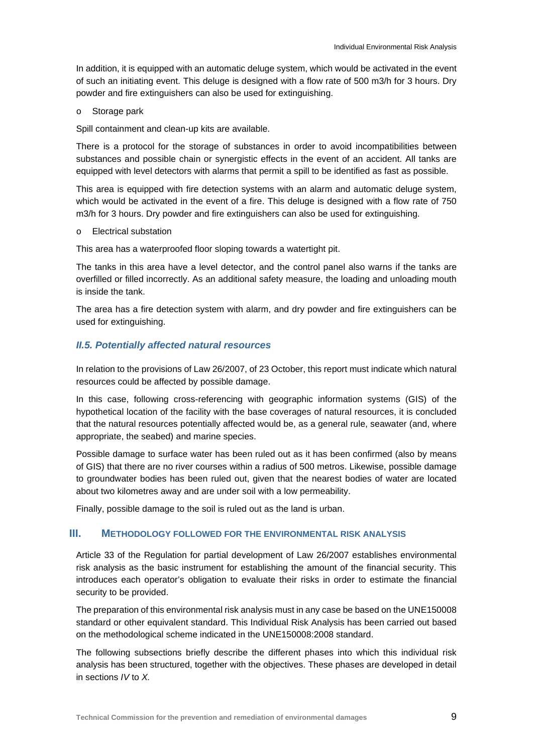In addition, it is equipped with an automatic deluge system, which would be activated in the event of such an initiating event. This deluge is designed with a flow rate of 500 m3/h for 3 hours. Dry powder and fire extinguishers can also be used for extinguishing.

o Storage park

Spill containment and clean-up kits are available.

There is a protocol for the storage of substances in order to avoid incompatibilities between substances and possible chain or synergistic effects in the event of an accident. All tanks are equipped with level detectors with alarms that permit a spill to be identified as fast as possible.

This area is equipped with fire detection systems with an alarm and automatic deluge system, which would be activated in the event of a fire. This deluge is designed with a flow rate of 750 m3/h for 3 hours. Dry powder and fire extinguishers can also be used for extinguishing.

o Electrical substation

This area has a waterproofed floor sloping towards a watertight pit.

The tanks in this area have a level detector, and the control panel also warns if the tanks are overfilled or filled incorrectly. As an additional safety measure, the loading and unloading mouth is inside the tank.

The area has a fire detection system with alarm, and dry powder and fire extinguishers can be used for extinguishing.

## *II.5. Potentially affected natural resources*

In relation to the provisions of Law 26/2007, of 23 October, this report must indicate which natural resources could be affected by possible damage.

In this case, following cross-referencing with geographic information systems (GIS) of the hypothetical location of the facility with the base coverages of natural resources, it is concluded that the natural resources potentially affected would be, as a general rule, seawater (and, where appropriate, the seabed) and marine species.

Possible damage to surface water has been ruled out as it has been confirmed (also by means of GIS) that there are no river courses within a radius of 500 metros. Likewise, possible damage to groundwater bodies has been ruled out, given that the nearest bodies of water are located about two kilometres away and are under soil with a low permeability.

Finally, possible damage to the soil is ruled out as the land is urban.

# **III. METHODOLOGY FOLLOWED FOR THE ENVIRONMENTAL RISK ANALYSIS**

Article 33 of the Regulation for partial development of Law 26/2007 establishes environmental risk analysis as the basic instrument for establishing the amount of the financial security. This introduces each operator's obligation to evaluate their risks in order to estimate the financial security to be provided.

The preparation of this environmental risk analysis must in any case be based on the UNE150008 standard or other equivalent standard. This Individual Risk Analysis has been carried out based on the methodological scheme indicated in the UNE150008:2008 standard.

The following subsections briefly describe the different phases into which this individual risk analysis has been structured, together with the objectives. These phases are developed in detail in sections *IV* to *X.*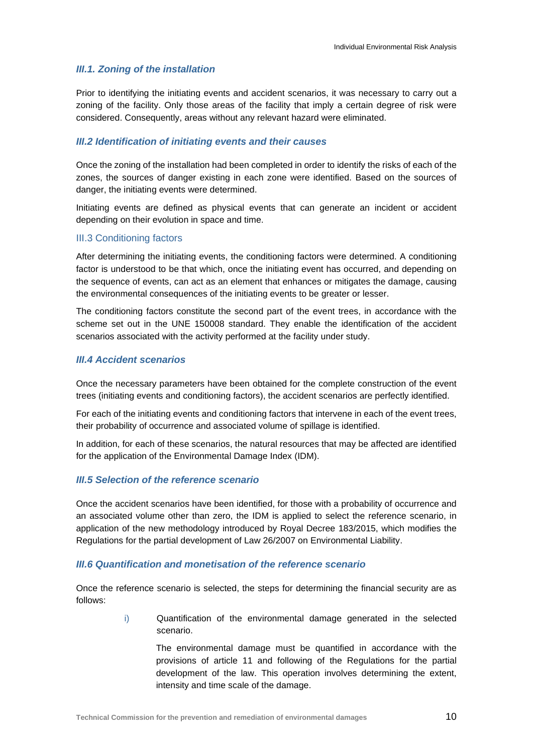# *III.1. Zoning of the installation*

Prior to identifying the initiating events and accident scenarios, it was necessary to carry out a zoning of the facility. Only those areas of the facility that imply a certain degree of risk were considered. Consequently, areas without any relevant hazard were eliminated.

## *III.2 Identification of initiating events and their causes*

Once the zoning of the installation had been completed in order to identify the risks of each of the zones, the sources of danger existing in each zone were identified. Based on the sources of danger, the initiating events were determined.

Initiating events are defined as physical events that can generate an incident or accident depending on their evolution in space and time.

## III.3 Conditioning factors

After determining the initiating events, the conditioning factors were determined. A conditioning factor is understood to be that which, once the initiating event has occurred, and depending on the sequence of events, can act as an element that enhances or mitigates the damage, causing the environmental consequences of the initiating events to be greater or lesser.

The conditioning factors constitute the second part of the event trees, in accordance with the scheme set out in the UNE 150008 standard. They enable the identification of the accident scenarios associated with the activity performed at the facility under study.

## *III.4 Accident scenarios*

Once the necessary parameters have been obtained for the complete construction of the event trees (initiating events and conditioning factors), the accident scenarios are perfectly identified.

For each of the initiating events and conditioning factors that intervene in each of the event trees, their probability of occurrence and associated volume of spillage is identified.

In addition, for each of these scenarios, the natural resources that may be affected are identified for the application of the Environmental Damage Index (IDM).

## *III.5 Selection of the reference scenario*

Once the accident scenarios have been identified, for those with a probability of occurrence and an associated volume other than zero, the IDM is applied to select the reference scenario, in application of the new methodology introduced by Royal Decree 183/2015, which modifies the Regulations for the partial development of Law 26/2007 on Environmental Liability.

# *III.6 Quantification and monetisation of the reference scenario*

Once the reference scenario is selected, the steps for determining the financial security are as follows:

> i) Quantification of the environmental damage generated in the selected scenario.

The environmental damage must be quantified in accordance with the provisions of article 11 and following of the Regulations for the partial development of the law. This operation involves determining the extent, intensity and time scale of the damage.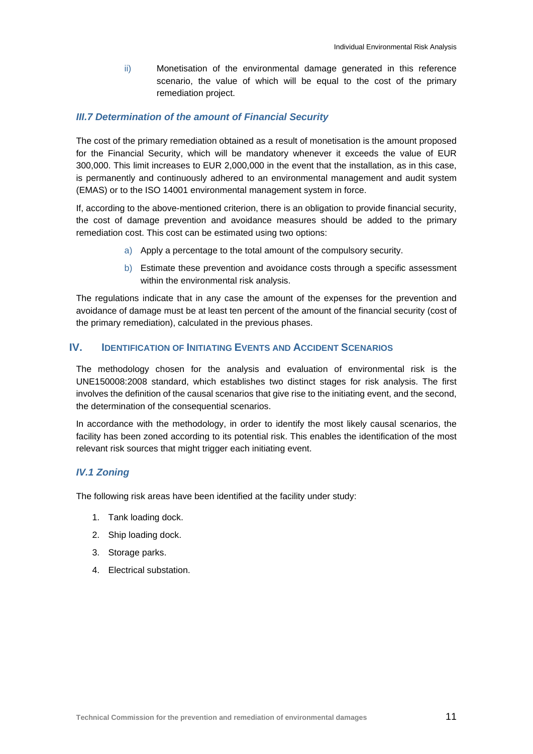ii) Monetisation of the environmental damage generated in this reference scenario, the value of which will be equal to the cost of the primary remediation project.

## *III.7 Determination of the amount of Financial Security*

The cost of the primary remediation obtained as a result of monetisation is the amount proposed for the Financial Security, which will be mandatory whenever it exceeds the value of EUR 300,000. This limit increases to EUR 2,000,000 in the event that the installation, as in this case, is permanently and continuously adhered to an environmental management and audit system (EMAS) or to the ISO 14001 environmental management system in force.

If, according to the above-mentioned criterion, there is an obligation to provide financial security, the cost of damage prevention and avoidance measures should be added to the primary remediation cost. This cost can be estimated using two options:

- a) Apply a percentage to the total amount of the compulsory security.
- b) Estimate these prevention and avoidance costs through a specific assessment within the environmental risk analysis.

The regulations indicate that in any case the amount of the expenses for the prevention and avoidance of damage must be at least ten percent of the amount of the financial security (cost of the primary remediation), calculated in the previous phases.

# **IV. IDENTIFICATION OF INITIATING EVENTS AND ACCIDENT SCENARIOS**

The methodology chosen for the analysis and evaluation of environmental risk is the UNE150008:2008 standard, which establishes two distinct stages for risk analysis. The first involves the definition of the causal scenarios that give rise to the initiating event, and the second, the determination of the consequential scenarios.

In accordance with the methodology, in order to identify the most likely causal scenarios, the facility has been zoned according to its potential risk. This enables the identification of the most relevant risk sources that might trigger each initiating event.

# *IV.1 Zoning*

The following risk areas have been identified at the facility under study:

- 1. Tank loading dock.
- 2. Ship loading dock.
- 3. Storage parks.
- 4. Electrical substation.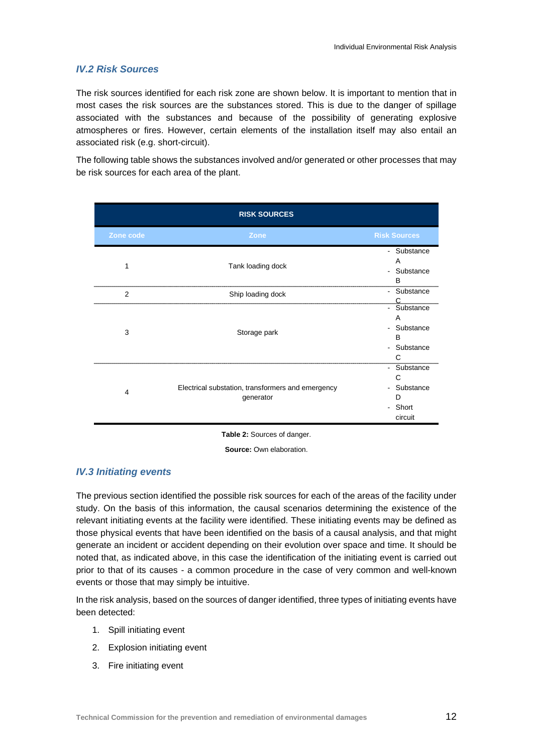## *IV.2 Risk Sources*

The risk sources identified for each risk zone are shown below. It is important to mention that in most cases the risk sources are the substances stored. This is due to the danger of spillage associated with the substances and because of the possibility of generating explosive atmospheres or fires. However, certain elements of the installation itself may also entail an associated risk (e.g. short-circuit).

The following table shows the substances involved and/or generated or other processes that may be risk sources for each area of the plant.

| <b>RISK SOURCES</b> |                                                                |                                                   |  |  |  |  |
|---------------------|----------------------------------------------------------------|---------------------------------------------------|--|--|--|--|
| Zone code           | <b>Zone</b>                                                    | <b>Risk Sources</b>                               |  |  |  |  |
| 1                   | Tank loading dock                                              | - Substance<br>A<br>Substance<br>в                |  |  |  |  |
| 2                   | Ship loading dock                                              | - Substance                                       |  |  |  |  |
| 3                   | Storage park                                                   | - Substance<br>A<br>Substance<br>B<br>Substance   |  |  |  |  |
| 4                   | Electrical substation, transformers and emergency<br>generator | - Substance<br>С<br>Substance<br>Short<br>circuit |  |  |  |  |

**Table 2:** Sources of danger.

**Source:** Own elaboration.

## *IV.3 Initiating events*

The previous section identified the possible risk sources for each of the areas of the facility under study. On the basis of this information, the causal scenarios determining the existence of the relevant initiating events at the facility were identified. These initiating events may be defined as those physical events that have been identified on the basis of a causal analysis, and that might generate an incident or accident depending on their evolution over space and time. It should be noted that, as indicated above, in this case the identification of the initiating event is carried out prior to that of its causes - a common procedure in the case of very common and well-known events or those that may simply be intuitive.

In the risk analysis, based on the sources of danger identified, three types of initiating events have been detected:

- 1. Spill initiating event
- 2. Explosion initiating event
- 3. Fire initiating event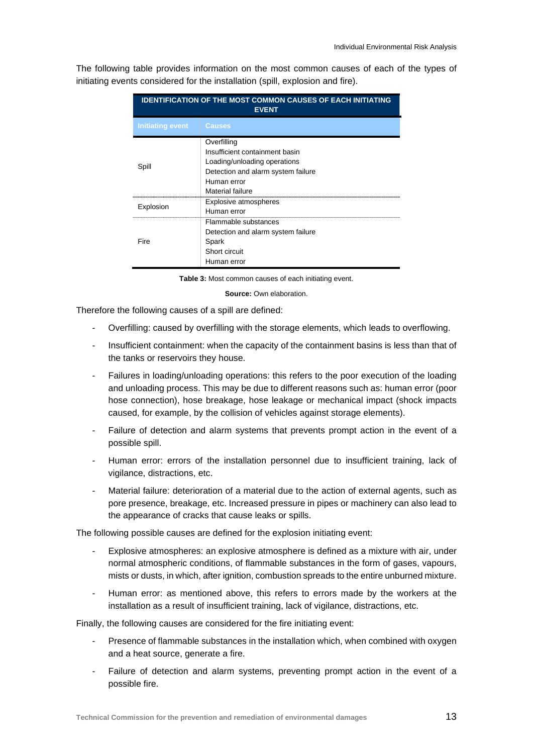The following table provides information on the most common causes of each of the types of initiating events considered for the installation (spill, explosion and fire).

| <b>IDENTIFICATION OF THE MOST COMMON CAUSES OF EACH INITIATING</b><br><b>EVENT</b> |                                                                                                                                                        |  |  |  |  |
|------------------------------------------------------------------------------------|--------------------------------------------------------------------------------------------------------------------------------------------------------|--|--|--|--|
| Initiating event                                                                   | <b>Causes</b>                                                                                                                                          |  |  |  |  |
| Spill                                                                              | Overfilling<br>Insufficient containment basin<br>Loading/unloading operations<br>Detection and alarm system failure<br>Human error<br>Material failure |  |  |  |  |
| Explosion                                                                          | Explosive atmospheres<br>Human error                                                                                                                   |  |  |  |  |
| Fire                                                                               | Flammable substances<br>Detection and alarm system failure<br>Spark<br>Short circuit<br>Human error                                                    |  |  |  |  |

**Table 3:** Most common causes of each initiating event.

**Source:** Own elaboration.

Therefore the following causes of a spill are defined:

- Overfilling: caused by overfilling with the storage elements, which leads to overflowing.
- Insufficient containment: when the capacity of the containment basins is less than that of the tanks or reservoirs they house.
- Failures in loading/unloading operations: this refers to the poor execution of the loading and unloading process. This may be due to different reasons such as: human error (poor hose connection), hose breakage, hose leakage or mechanical impact (shock impacts caused, for example, by the collision of vehicles against storage elements).
- Failure of detection and alarm systems that prevents prompt action in the event of a possible spill.
- Human error: errors of the installation personnel due to insufficient training, lack of vigilance, distractions, etc.
- Material failure: deterioration of a material due to the action of external agents, such as pore presence, breakage, etc. Increased pressure in pipes or machinery can also lead to the appearance of cracks that cause leaks or spills.

The following possible causes are defined for the explosion initiating event:

- Explosive atmospheres: an explosive atmosphere is defined as a mixture with air, under normal atmospheric conditions, of flammable substances in the form of gases, vapours, mists or dusts, in which, after ignition, combustion spreads to the entire unburned mixture.
- Human error: as mentioned above, this refers to errors made by the workers at the installation as a result of insufficient training, lack of vigilance, distractions, etc.

Finally, the following causes are considered for the fire initiating event:

- Presence of flammable substances in the installation which, when combined with oxygen and a heat source, generate a fire.
- Failure of detection and alarm systems, preventing prompt action in the event of a possible fire.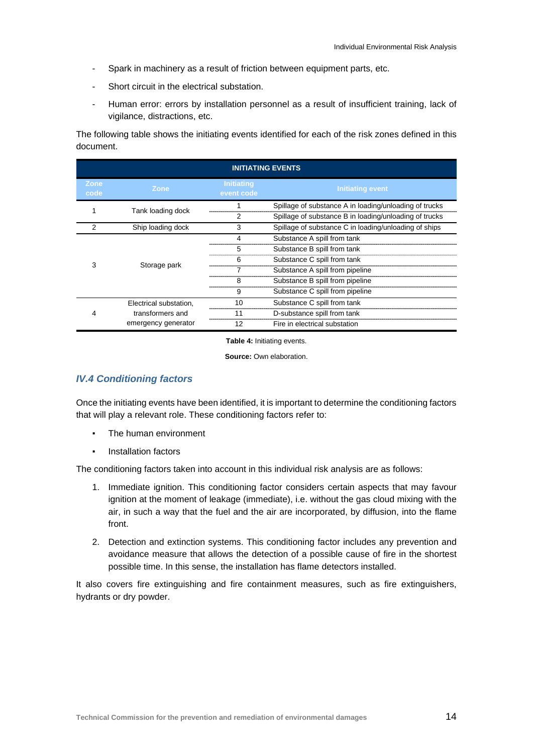- Spark in machinery as a result of friction between equipment parts, etc.
- Short circuit in the electrical substation.
- Human error: errors by installation personnel as a result of insufficient training, lack of vigilance, distractions, etc.

The following table shows the initiating events identified for each of the risk zones defined in this document.

| <b>INITIATING EVENTS</b> |                        |                                 |                                                        |  |  |  |
|--------------------------|------------------------|---------------------------------|--------------------------------------------------------|--|--|--|
| Zone.<br>code            | Zone                   | <b>Initiating</b><br>event code | <b>Initiating event</b>                                |  |  |  |
|                          | Tank loading dock      |                                 | Spillage of substance A in loading/unloading of trucks |  |  |  |
|                          |                        |                                 | Spillage of substance B in loading/unloading of trucks |  |  |  |
| $\mathcal{P}$            | Ship loading dock      | 3                               | Spillage of substance C in loading/unloading of ships  |  |  |  |
|                          | Storage park           |                                 | Substance A spill from tank                            |  |  |  |
|                          |                        | 5                               | Substance B spill from tank                            |  |  |  |
| 3                        |                        |                                 | Substance C spill from tank                            |  |  |  |
|                          |                        |                                 | Substance A spill from pipeline                        |  |  |  |
|                          |                        | 8                               | Substance B spill from pipeline                        |  |  |  |
|                          |                        | 9                               | Substance C spill from pipeline                        |  |  |  |
|                          | Electrical substation. | 10                              | Substance C spill from tank                            |  |  |  |
|                          | transformers and       |                                 | D-substance spill from tank                            |  |  |  |
|                          | emergency generator    | 12                              | Fire in electrical substation                          |  |  |  |

**Table 4:** Initiating events.

**Source:** Own elaboration.

## *IV.4 Conditioning factors*

Once the initiating events have been identified, it is important to determine the conditioning factors that will play a relevant role. These conditioning factors refer to:

- The human environment
- Installation factors

The conditioning factors taken into account in this individual risk analysis are as follows:

- 1. Immediate ignition. This conditioning factor considers certain aspects that may favour ignition at the moment of leakage (immediate), i.e. without the gas cloud mixing with the air, in such a way that the fuel and the air are incorporated, by diffusion, into the flame front.
- 2. Detection and extinction systems. This conditioning factor includes any prevention and avoidance measure that allows the detection of a possible cause of fire in the shortest possible time. In this sense, the installation has flame detectors installed.

It also covers fire extinguishing and fire containment measures, such as fire extinguishers, hydrants or dry powder.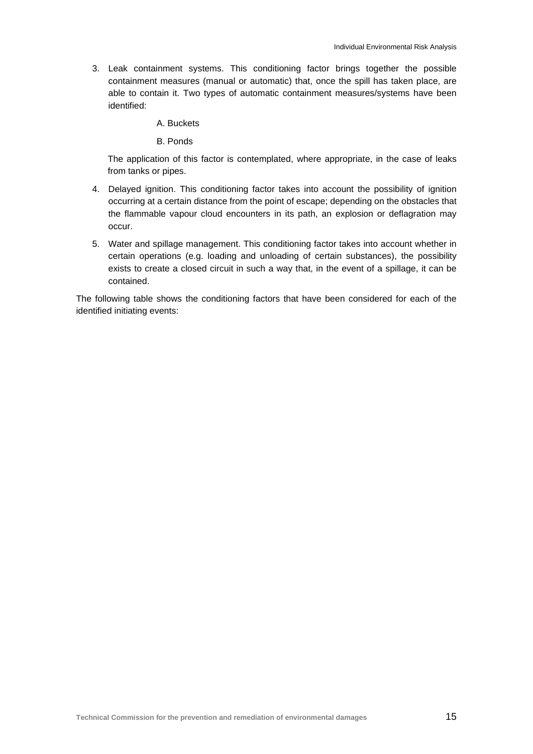- 3. Leak containment systems. This conditioning factor brings together the possible containment measures (manual or automatic) that, once the spill has taken place, are able to contain it. Two types of automatic containment measures/systems have been identified:
	- A. Buckets

B. Ponds

The application of this factor is contemplated, where appropriate, in the case of leaks from tanks or pipes.

- 4. Delayed ignition. This conditioning factor takes into account the possibility of ignition occurring at a certain distance from the point of escape; depending on the obstacles that the flammable vapour cloud encounters in its path, an explosion or deflagration may occur.
- 5. Water and spillage management. This conditioning factor takes into account whether in certain operations (e.g. loading and unloading of certain substances), the possibility exists to create a closed circuit in such a way that, in the event of a spillage, it can be contained.

The following table shows the conditioning factors that have been considered for each of the identified initiating events: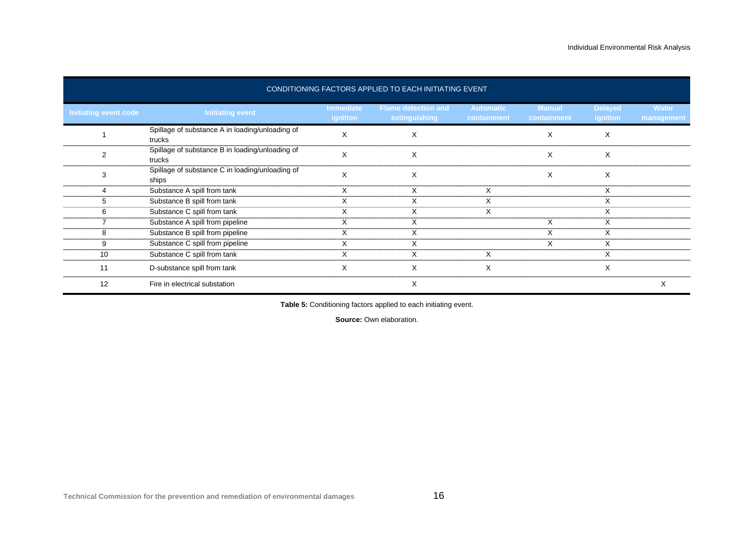| CONDITIONING FACTORS APPLIED TO EACH INITIATING EVENT |                                                           |                              |                                             |                                 |                              |                            |                            |
|-------------------------------------------------------|-----------------------------------------------------------|------------------------------|---------------------------------------------|---------------------------------|------------------------------|----------------------------|----------------------------|
| Initiating event code                                 | <b>Initiating event</b>                                   | <b>Immediate</b><br>ignition | <b>Flame detection and</b><br>extinguishing | <b>Automatic</b><br>containment | <b>Manual</b><br>containment | <b>Delayed</b><br>ignition | <b>Water</b><br>management |
|                                                       | Spillage of substance A in loading/unloading of<br>trucks | X                            | X                                           |                                 | X                            | X                          |                            |
| 2                                                     | Spillage of substance B in loading/unloading of<br>trucks | X                            | X                                           |                                 | X                            | X                          |                            |
|                                                       | Spillage of substance C in loading/unloading of<br>ships  | X                            | X                                           |                                 | X                            | X                          |                            |
|                                                       | Substance A spill from tank                               | X                            | X                                           | X                               |                              | X                          |                            |
| 5                                                     | Substance B spill from tank                               | X                            | X                                           | X                               |                              | X                          |                            |
| 6                                                     | Substance C spill from tank                               | X                            | X                                           | X                               |                              | X                          |                            |
|                                                       | Substance A spill from pipeline                           | X                            | X                                           |                                 | X                            | X                          |                            |
| 8                                                     | Substance B spill from pipeline                           | X                            | X                                           |                                 | X                            | X                          |                            |
| 9                                                     | Substance C spill from pipeline                           | X                            | X                                           |                                 | x                            | X                          |                            |
| 10                                                    | Substance C spill from tank                               | X                            | X                                           | X                               |                              | X                          |                            |
| 11                                                    | D-substance spill from tank                               | X                            | X                                           | X                               |                              | X                          |                            |
| 12                                                    | Fire in electrical substation                             |                              | X                                           |                                 |                              |                            |                            |

**Table 5:** Conditioning factors applied to each initiating event.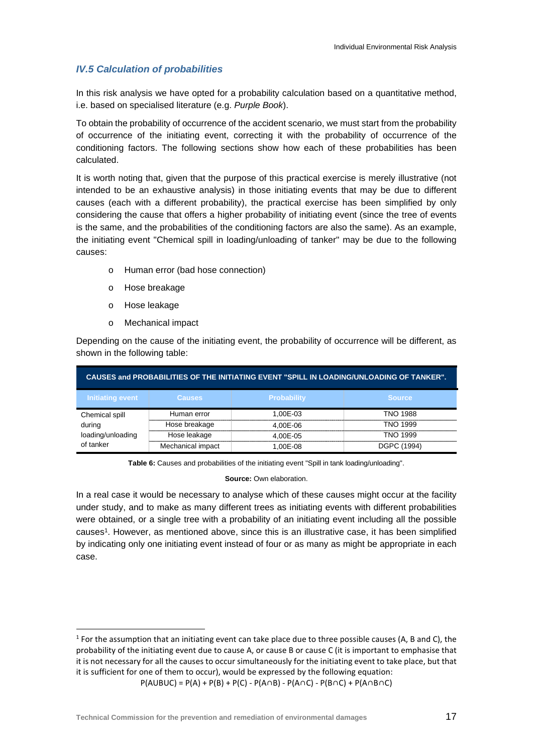# *IV.5 Calculation of probabilities*

In this risk analysis we have opted for a probability calculation based on a quantitative method, i.e. based on specialised literature (e.g. *Purple Book*).

To obtain the probability of occurrence of the accident scenario, we must start from the probability of occurrence of the initiating event, correcting it with the probability of occurrence of the conditioning factors. The following sections show how each of these probabilities has been calculated.

It is worth noting that, given that the purpose of this practical exercise is merely illustrative (not intended to be an exhaustive analysis) in those initiating events that may be due to different causes (each with a different probability), the practical exercise has been simplified by only considering the cause that offers a higher probability of initiating event (since the tree of events is the same, and the probabilities of the conditioning factors are also the same). As an example, the initiating event "Chemical spill in loading/unloading of tanker" may be due to the following causes:

- o Human error (bad hose connection)
- o Hose breakage
- o Hose leakage
- o Mechanical impact

Depending on the cause of the initiating event, the probability of occurrence will be different, as shown in the following table:

| CAUSES and PROBABILITIES OF THE INITIATING EVENT "SPILL IN LOADING/UNLOADING OF TANKER". |                   |                    |               |  |  |  |  |  |
|------------------------------------------------------------------------------------------|-------------------|--------------------|---------------|--|--|--|--|--|
| <b>Initiating event</b>                                                                  | <b>Causes</b>     | <b>Probability</b> | <b>Source</b> |  |  |  |  |  |
| Chemical spill                                                                           | Human error       | 1.00E-03           | TNO 1988      |  |  |  |  |  |
| during                                                                                   | Hose breakage     | 4.00E-06           | TNO 1999      |  |  |  |  |  |
| loading/unloading                                                                        | Hose leakage      | 4.00E-05           | TNO 1999      |  |  |  |  |  |
| of tanker                                                                                | Mechanical impact | 1.00E-08           | DGPC (1994)   |  |  |  |  |  |

**Table 6:** Causes and probabilities of the initiating event "Spill in tank loading/unloading".

**Source:** Own elaboration.

In a real case it would be necessary to analyse which of these causes might occur at the facility under study, and to make as many different trees as initiating events with different probabilities were obtained, or a single tree with a probability of an initiating event including all the possible causes<sup>1</sup>. However, as mentioned above, since this is an illustrative case, it has been simplified by indicating only one initiating event instead of four or as many as might be appropriate in each case.

<sup>&</sup>lt;sup>1</sup> For the assumption that an initiating event can take place due to three possible causes (A, B and C), the probability of the initiating event due to cause A, or cause B or cause C (it is important to emphasise that it is not necessary for all the causes to occur simultaneously for the initiating event to take place, but that it is sufficient for one of them to occur), would be expressed by the following equation:

P(AUBUC) = P(A) + P(B) + P(C) - P(A∩B) - P(A∩C) - P(B∩C) + P(A∩B∩C)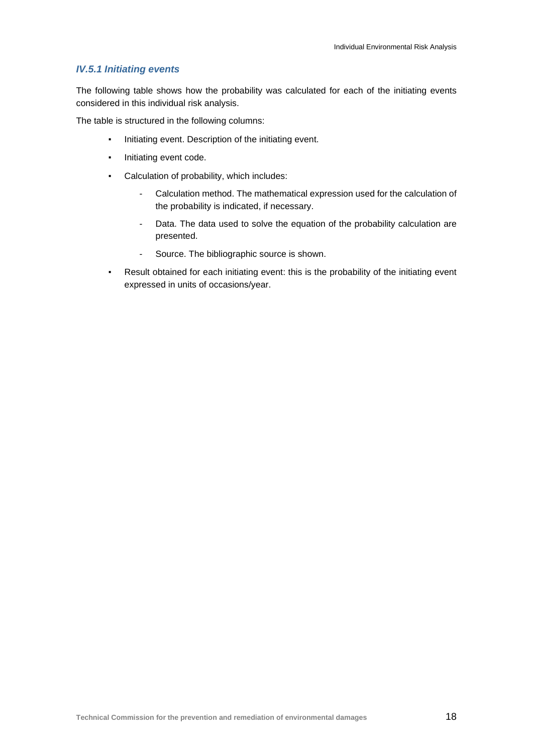## *IV.5.1 Initiating events*

The following table shows how the probability was calculated for each of the initiating events considered in this individual risk analysis.

The table is structured in the following columns:

- Initiating event. Description of the initiating event.
- Initiating event code.
- Calculation of probability, which includes:
	- Calculation method. The mathematical expression used for the calculation of the probability is indicated, if necessary.
	- Data. The data used to solve the equation of the probability calculation are presented.
	- Source. The bibliographic source is shown.
- Result obtained for each initiating event: this is the probability of the initiating event expressed in units of occasions/year.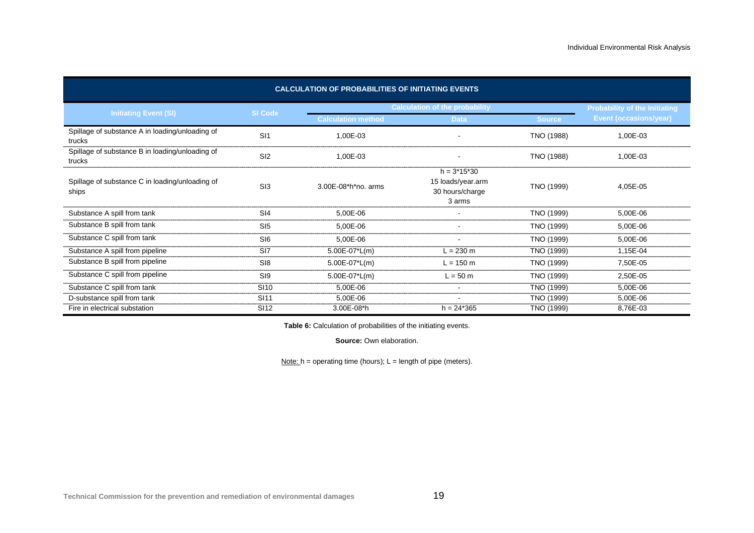| <b>CALCULATION OF PROBABILITIES OF INITIATING EVENTS</b>  |                 |                           |                                                                 |               |                                      |  |  |
|-----------------------------------------------------------|-----------------|---------------------------|-----------------------------------------------------------------|---------------|--------------------------------------|--|--|
| <b>Initiating Event (SI)</b>                              | <b>SI Code</b>  |                           | <b>Calculation of the probability</b>                           |               | <b>Probability of the Initiating</b> |  |  |
|                                                           |                 | <b>Calculation method</b> | <b>Data</b>                                                     | <b>Source</b> | <b>Event (occasions/year)</b>        |  |  |
| Spillage of substance A in loading/unloading of<br>trucks | SI1             | 1,00E-03                  |                                                                 | TNO (1988)    | 1,00E-03                             |  |  |
| Spillage of substance B in loading/unloading of<br>trucks | SI2             | 1,00E-03                  |                                                                 | TNO (1988)    | 1,00E-03                             |  |  |
| Spillage of substance C in loading/unloading of<br>ships  | S13             | 3.00E-08*h*no. arms       | $h = 3*15*30$<br>15 loads/year.arm<br>30 hours/charge<br>3 arms | TNO (1999)    | 4,05E-05                             |  |  |
| Substance A spill from tank                               | SI4             | 5,00E-06                  |                                                                 | TNO (1999)    | 5,00E-06                             |  |  |
| Substance B spill from tank                               | S <sub>15</sub> | 5,00E-06                  | $\overline{\phantom{a}}$                                        | TNO (1999)    | 5,00E-06                             |  |  |
| Substance C spill from tank                               | SI <sub>6</sub> | 5,00E-06                  |                                                                 | TNO (1999)    | 5,00E-06                             |  |  |
| Substance A spill from pipeline                           | SI <sub>7</sub> | 5.00E-07*L(m)             | L = 230 m                                                       | TNO (1999)    | 1,15E-04                             |  |  |
| Substance B spill from pipeline                           | S <sub>18</sub> | $5.00E-07*L(m)$           | $L = 150 m$                                                     | TNO (1999)    | 7,50E-05                             |  |  |
| Substance C spill from pipeline                           | S <sub>19</sub> | $5.00E-07*L(m)$           | $L = 50 m$                                                      | TNO (1999)    | 2,50E-05                             |  |  |
| Substance C spill from tank                               | <b>SI10</b>     | 5,00E-06                  | $\blacksquare$                                                  | TNO (1999)    | 5,00E-06                             |  |  |
| D-substance spill from tank                               | <b>SI11</b>     | 5,00E-06                  | $\overline{\phantom{a}}$                                        | TNO (1999)    | 5,00E-06                             |  |  |
| Fire in electrical substation                             | <b>SI12</b>     | 3.00E-08*h                | $h = 24*365$                                                    | TNO (1999)    | 8,76E-03                             |  |  |

**Table 6:** Calculation of probabilities of the initiating events.

**Source:** Own elaboration.

Note:  $h =$  operating time (hours);  $L =$  length of pipe (meters).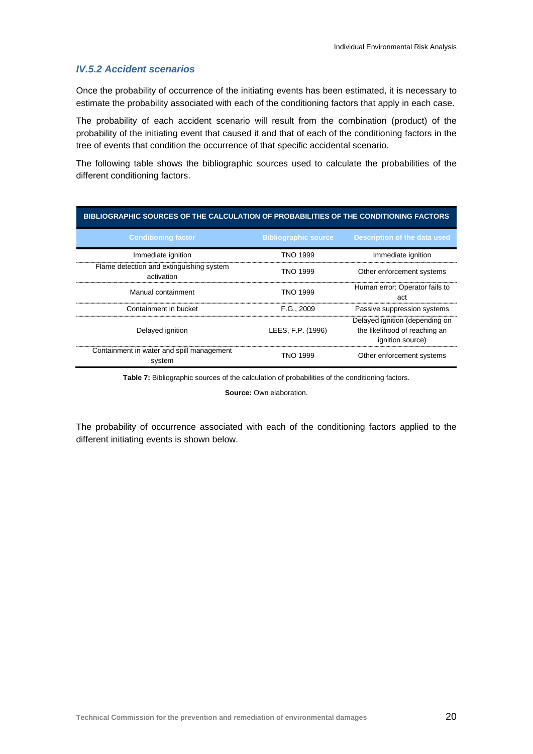## *IV.5.2 Accident scenarios*

Once the probability of occurrence of the initiating events has been estimated, it is necessary to estimate the probability associated with each of the conditioning factors that apply in each case.

The probability of each accident scenario will result from the combination (product) of the probability of the initiating event that caused it and that of each of the conditioning factors in the tree of events that condition the occurrence of that specific accidental scenario.

The following table shows the bibliographic sources used to calculate the probabilities of the different conditioning factors.

| BIBLIOGRAPHIC SOURCES OF THE CALCULATION OF PROBABILITIES OF THE CONDITIONING FACTORS |                             |                                                                                     |  |  |  |  |  |
|---------------------------------------------------------------------------------------|-----------------------------|-------------------------------------------------------------------------------------|--|--|--|--|--|
| <b>Conditioning factor</b>                                                            | <b>Bibliographic source</b> | Description of the data used                                                        |  |  |  |  |  |
| Immediate ignition                                                                    | TNO 1999                    | Immediate ignition                                                                  |  |  |  |  |  |
| Flame detection and extinguishing system<br>activation                                | TNO 1999                    | Other enforcement systems                                                           |  |  |  |  |  |
| Manual containment                                                                    | <b>TNO 1999</b>             | Human error: Operator fails to<br>act                                               |  |  |  |  |  |
| Containment in bucket                                                                 | F.G., 2009                  | Passive suppression systems                                                         |  |  |  |  |  |
| Delayed ignition                                                                      | LEES, F.P. (1996)           | Delayed ignition (depending on<br>the likelihood of reaching an<br>ignition source) |  |  |  |  |  |
| Containment in water and spill management<br>system                                   | TNO 1999                    | Other enforcement systems                                                           |  |  |  |  |  |

**Table 7:** Bibliographic sources of the calculation of probabilities of the conditioning factors.

**Source:** Own elaboration.

The probability of occurrence associated with each of the conditioning factors applied to the different initiating events is shown below.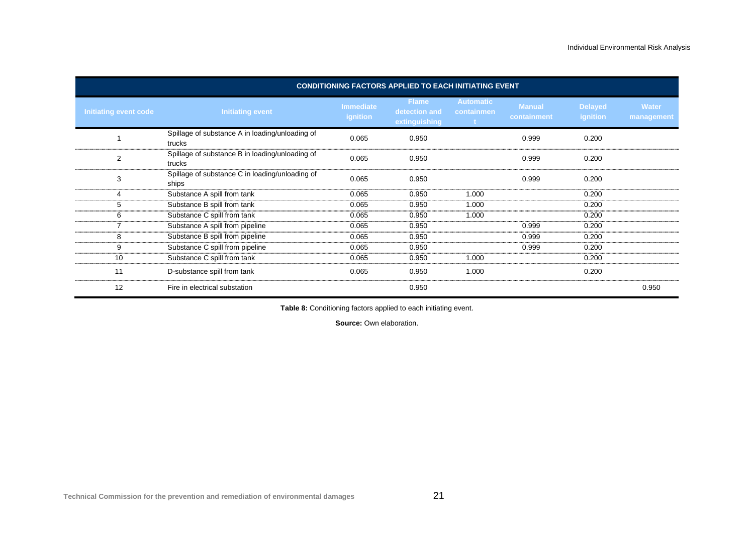|                          | <b>CONDITIONING FACTORS APPLIED TO EACH INITIATING EVENT</b> |                                     |                                                |                                |                              |                            |                            |  |
|--------------------------|--------------------------------------------------------------|-------------------------------------|------------------------------------------------|--------------------------------|------------------------------|----------------------------|----------------------------|--|
| Initiating event code    | <b>Initiating event</b>                                      | <b>Immediate</b><br><i>ignition</i> | <b>Flame</b><br>detection and<br>extinguishing | <b>Automatic</b><br>containmen | <b>Manual</b><br>containment | <b>Delayed</b><br>ignition | <b>Water</b><br>management |  |
|                          | Spillage of substance A in loading/unloading of<br>trucks    | 0.065                               | 0.950                                          |                                | 0.999                        | 0.200                      |                            |  |
| $\overline{2}$           | Spillage of substance B in loading/unloading of<br>trucks    | 0.065                               | 0.950                                          |                                | 0.999                        | 0.200                      |                            |  |
| 3                        | Spillage of substance C in loading/unloading of<br>ships     | 0.065                               | 0.950                                          |                                | 0.999                        | 0.200                      |                            |  |
| 4                        | Substance A spill from tank                                  | 0.065                               | 0.950                                          | 1.000                          |                              | 0.200                      |                            |  |
| 5                        | Substance B spill from tank                                  | 0.065                               | 0.950                                          | 1.000                          |                              | 0.200                      |                            |  |
| 6                        | Substance C spill from tank                                  | 0.065                               | 0.950                                          | 1.000                          |                              | 0.200                      |                            |  |
| $\overline{\phantom{a}}$ | Substance A spill from pipeline                              | 0.065                               | 0.950                                          |                                | 0.999                        | 0.200                      |                            |  |
| 8                        | Substance B spill from pipeline                              | 0.065                               | 0.950                                          |                                | 0.999                        | 0.200                      |                            |  |
| 9                        | Substance C spill from pipeline                              | 0.065                               | 0.950                                          |                                | 0.999                        | 0.200                      |                            |  |
| 10                       | Substance C spill from tank                                  | 0.065                               | 0.950                                          | 1.000                          |                              | 0.200                      |                            |  |
| 11                       | D-substance spill from tank                                  | 0.065                               | 0.950                                          | 1.000                          |                              | 0.200                      |                            |  |
| 12                       | Fire in electrical substation                                |                                     | 0.950                                          |                                |                              |                            | 0.950                      |  |

**Table 8:** Conditioning factors applied to each initiating event.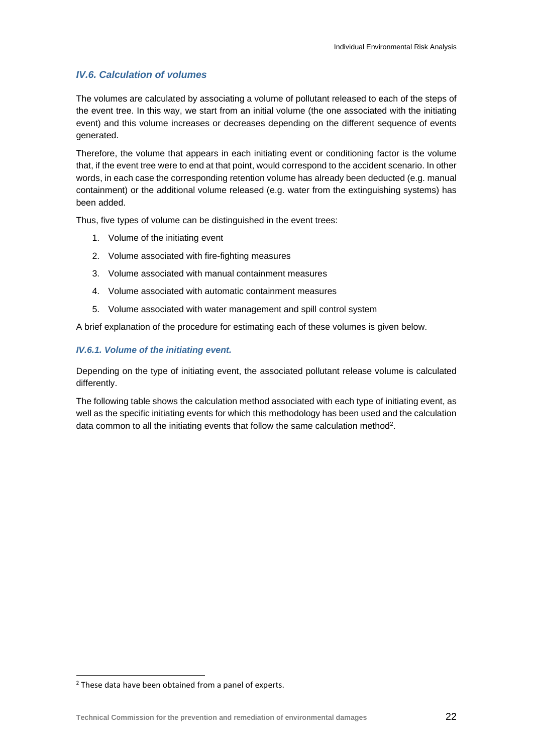# *IV.6. Calculation of volumes*

The volumes are calculated by associating a volume of pollutant released to each of the steps of the event tree. In this way, we start from an initial volume (the one associated with the initiating event) and this volume increases or decreases depending on the different sequence of events generated.

Therefore, the volume that appears in each initiating event or conditioning factor is the volume that, if the event tree were to end at that point, would correspond to the accident scenario. In other words, in each case the corresponding retention volume has already been deducted (e.g. manual containment) or the additional volume released (e.g. water from the extinguishing systems) has been added.

Thus, five types of volume can be distinguished in the event trees:

- 1. Volume of the initiating event
- 2. Volume associated with fire-fighting measures
- 3. Volume associated with manual containment measures
- 4. Volume associated with automatic containment measures
- 5. Volume associated with water management and spill control system

A brief explanation of the procedure for estimating each of these volumes is given below.

## *IV.6.1. Volume of the initiating event.*

Depending on the type of initiating event, the associated pollutant release volume is calculated differently.

The following table shows the calculation method associated with each type of initiating event, as well as the specific initiating events for which this methodology has been used and the calculation data common to all the initiating events that follow the same calculation method<sup>2</sup>.

 $2$  These data have been obtained from a panel of experts.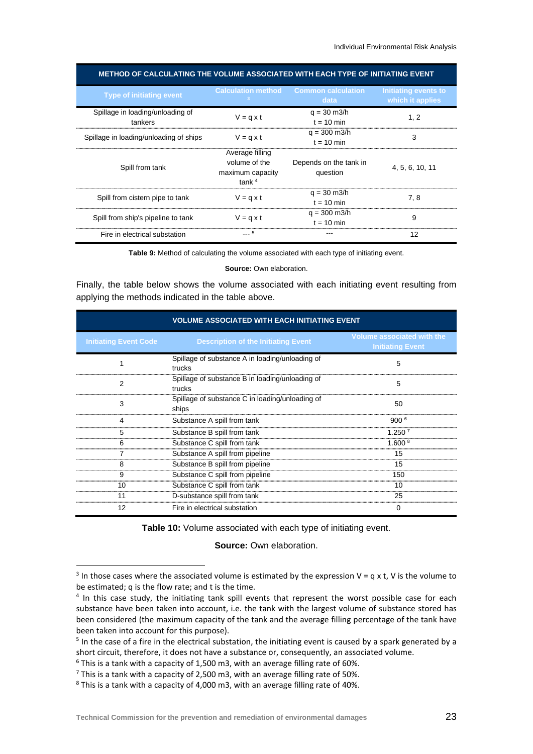| METHOD OF CALCULATING THE VOLUME ASSOCIATED WITH EACH TYPE OF INITIATING EVENT |                                                                  |                                    |                                          |  |  |  |  |  |
|--------------------------------------------------------------------------------|------------------------------------------------------------------|------------------------------------|------------------------------------------|--|--|--|--|--|
| <b>Type of initiating event</b>                                                | <b>Calculation method</b>                                        | <b>Common calculation</b><br>data  | Initiating events to<br>which it applies |  |  |  |  |  |
| Spillage in loading/unloading of<br>tankers                                    | $V = q \times t$                                                 | $q = 30$ m $3/h$<br>$t = 10$ min   | 1, 2                                     |  |  |  |  |  |
| Spillage in loading/unloading of ships                                         | $V = q \times t$                                                 | $q = 300$ m $3/h$<br>$t = 10$ min  | 3                                        |  |  |  |  |  |
| Spill from tank                                                                | Average filling<br>volume of the<br>maximum capacity<br>tank $4$ | Depends on the tank in<br>question | 4.5.6.10.11                              |  |  |  |  |  |
| Spill from cistern pipe to tank                                                | $V = q \times t$                                                 | $q = 30$ m $3/h$<br>$t = 10$ min   | 7.8                                      |  |  |  |  |  |
| Spill from ship's pipeline to tank                                             | $V = q \times t$                                                 | $q = 300$ m $3/h$<br>$t = 10$ min  | 9                                        |  |  |  |  |  |
| Fire in electrical substation                                                  | 5                                                                |                                    | 12                                       |  |  |  |  |  |

**Table 9:** Method of calculating the volume associated with each type of initiating event.

**Source:** Own elaboration.

Finally, the table below shows the volume associated with each initiating event resulting from applying the methods indicated in the table above.

|                              | <b>VOLUME ASSOCIATED WITH EACH INITIATING EVENT</b>       |                                                              |
|------------------------------|-----------------------------------------------------------|--------------------------------------------------------------|
| <b>Initiating Event Code</b> | <b>Description of the Initiating Event</b>                | <b>Volume associated with the</b><br><b>Initiating Event</b> |
|                              | Spillage of substance A in loading/unloading of<br>trucks | 5                                                            |
| 2                            | Spillage of substance B in loading/unloading of<br>trucks | 5                                                            |
| 3                            | Spillage of substance C in loading/unloading of<br>ships  | 50                                                           |
|                              | Substance A spill from tank                               | 900 <sup>6</sup>                                             |
| 5                            | Substance B spill from tank                               | 1.250 <sup>7</sup>                                           |
|                              | Substance C spill from tank                               | 1.600 <sup>8</sup>                                           |
|                              | Substance A spill from pipeline                           | 15                                                           |
|                              | Substance B spill from pipeline                           | 15                                                           |
|                              | Substance C spill from pipeline                           | 150                                                          |
| 10                           | Substance C spill from tank                               | 10                                                           |
| 11                           | D-substance spill from tank                               | 25                                                           |
| 12                           | Fire in electrical substation                             | Ω                                                            |

**Table 10:** Volume associated with each type of initiating event.

<sup>&</sup>lt;sup>3</sup> In those cases where the associated volume is estimated by the expression  $V = q \times t$ , V is the volume to be estimated; q is the flow rate; and t is the time.

<sup>&</sup>lt;sup>4</sup> In this case study, the initiating tank spill events that represent the worst possible case for each substance have been taken into account, i.e. the tank with the largest volume of substance stored has been considered (the maximum capacity of the tank and the average filling percentage of the tank have been taken into account for this purpose).

<sup>&</sup>lt;sup>5</sup> In the case of a fire in the electrical substation, the initiating event is caused by a spark generated by a short circuit, therefore, it does not have a substance or, consequently, an associated volume.

 $6$  This is a tank with a capacity of 1,500 m3, with an average filling rate of 60%.

 $7$  This is a tank with a capacity of 2,500 m3, with an average filling rate of 50%.

 $8$  This is a tank with a capacity of 4,000 m3, with an average filling rate of 40%.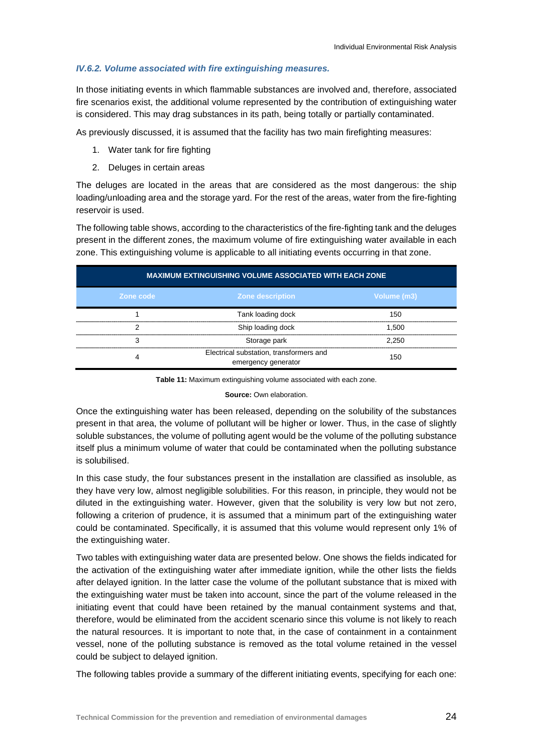### *IV.6.2. Volume associated with fire extinguishing measures.*

In those initiating events in which flammable substances are involved and, therefore, associated fire scenarios exist, the additional volume represented by the contribution of extinguishing water is considered. This may drag substances in its path, being totally or partially contaminated.

As previously discussed, it is assumed that the facility has two main firefighting measures:

- 1. Water tank for fire fighting
- 2. Deluges in certain areas

The deluges are located in the areas that are considered as the most dangerous: the ship loading/unloading area and the storage yard. For the rest of the areas, water from the fire-fighting reservoir is used.

The following table shows, according to the characteristics of the fire-fighting tank and the deluges present in the different zones, the maximum volume of fire extinguishing water available in each zone. This extinguishing volume is applicable to all initiating events occurring in that zone.

|           | <b>MAXIMUM EXTINGUISHING VOLUME ASSOCIATED WITH EACH ZONE</b>  |             |
|-----------|----------------------------------------------------------------|-------------|
| Zone code | <b>Zone description</b>                                        | Volume (m3) |
|           | Tank loading dock                                              | 150         |
|           | Ship loading dock                                              | 1.500       |
|           | Storage park                                                   | 2.250       |
|           | Electrical substation, transformers and<br>emergency generator | 150         |

**Table 11:** Maximum extinguishing volume associated with each zone.

#### **Source:** Own elaboration.

Once the extinguishing water has been released, depending on the solubility of the substances present in that area, the volume of pollutant will be higher or lower. Thus, in the case of slightly soluble substances, the volume of polluting agent would be the volume of the polluting substance itself plus a minimum volume of water that could be contaminated when the polluting substance is solubilised.

In this case study, the four substances present in the installation are classified as insoluble, as they have very low, almost negligible solubilities. For this reason, in principle, they would not be diluted in the extinguishing water. However, given that the solubility is very low but not zero, following a criterion of prudence, it is assumed that a minimum part of the extinguishing water could be contaminated. Specifically, it is assumed that this volume would represent only 1% of the extinguishing water.

Two tables with extinguishing water data are presented below. One shows the fields indicated for the activation of the extinguishing water after immediate ignition, while the other lists the fields after delayed ignition. In the latter case the volume of the pollutant substance that is mixed with the extinguishing water must be taken into account, since the part of the volume released in the initiating event that could have been retained by the manual containment systems and that, therefore, would be eliminated from the accident scenario since this volume is not likely to reach the natural resources. It is important to note that, in the case of containment in a containment vessel, none of the polluting substance is removed as the total volume retained in the vessel could be subject to delayed ignition.

The following tables provide a summary of the different initiating events, specifying for each one: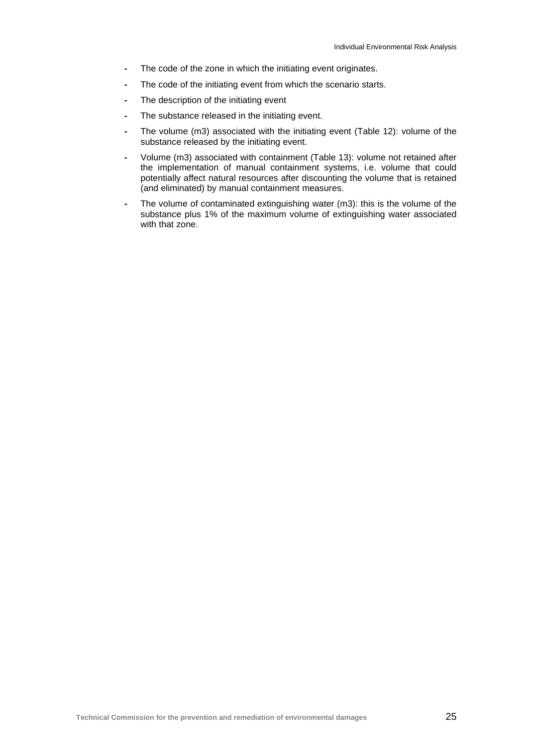- The code of the zone in which the initiating event originates.
- The code of the initiating event from which the scenario starts.
- The description of the initiating event
- The substance released in the initiating event.
- The volume (m3) associated with the initiating event (Table 12): volume of the substance released by the initiating event.
- Volume (m3) associated with containment (Table 13): volume not retained after the implementation of manual containment systems, i.e. volume that could potentially affect natural resources after discounting the volume that is retained (and eliminated) by manual containment measures.
- The volume of contaminated extinguishing water (m3): this is the volume of the substance plus 1% of the maximum volume of extinguishing water associated with that zone.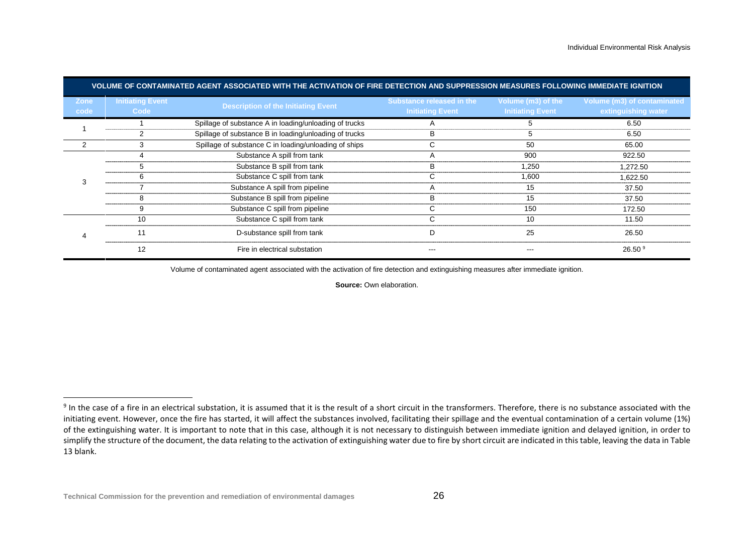|                     |                                 | VOLUME OF CONTAMINATED AGENT ASSOCIATED WITH THE ACTIVATION OF FIRE DETECTION AND SUPPRESSION MEASURES FOLLOWING IMMEDIATE IGNITION |                                                             |                                               |                                                    |
|---------------------|---------------------------------|-------------------------------------------------------------------------------------------------------------------------------------|-------------------------------------------------------------|-----------------------------------------------|----------------------------------------------------|
| <b>Zone</b><br>code | <b>Initiating Event</b><br>Code | <b>Description of the Initiating Event</b>                                                                                          | <b>Substance released in the</b><br><b>Initiating Event</b> | Volume (m3) of the<br><b>Initiating Event</b> | Volume (m3) of contaminated<br>extinguishing water |
|                     |                                 | Spillage of substance A in loading/unloading of trucks                                                                              |                                                             |                                               | 6.50                                               |
|                     |                                 | Spillage of substance B in loading/unloading of trucks                                                                              | В                                                           | 5                                             | 6.50                                               |
|                     |                                 | Spillage of substance C in loading/unloading of ships                                                                               |                                                             | 50                                            | 65.00                                              |
|                     |                                 | Substance A spill from tank                                                                                                         |                                                             | 900                                           | 922.50                                             |
|                     |                                 | Substance B spill from tank                                                                                                         | в                                                           | 1,250                                         | 1,272.50                                           |
| 3                   |                                 | Substance C spill from tank                                                                                                         |                                                             | 1.600                                         | 1,622.50                                           |
|                     |                                 | Substance A spill from pipeline                                                                                                     | A                                                           | 15                                            | 37.50                                              |
|                     |                                 | Substance B spill from pipeline                                                                                                     | в                                                           | 15                                            | 37.50                                              |
|                     | 9                               | Substance C spill from pipeline                                                                                                     | C.                                                          | 150                                           | 172.50                                             |
|                     | 10                              | Substance C spill from tank                                                                                                         |                                                             | 10                                            | 11.50                                              |
|                     |                                 | D-substance spill from tank                                                                                                         |                                                             | 25                                            | 26.50                                              |
|                     | 12                              | Fire in electrical substation                                                                                                       |                                                             |                                               | 26.50 <sup>9</sup>                                 |

Volume of contaminated agent associated with the activation of fire detection and extinguishing measures after immediate ignition.

 $9$  In the case of a fire in an electrical substation, it is assumed that it is the result of a short circuit in the transformers. Therefore, there is no substance associated with the initiating event. However, once the fire has started, it will affect the substances involved, facilitating their spillage and the eventual contamination of a certain volume (1%) of the extinguishing water. It is important to note that in this case, although it is not necessary to distinguish between immediate ignition and delayed ignition, in order to simplify the structure of the document, the data relating to the activation of extinguishing water due to fire by short circuit are indicated in this table, leaving the data in Table 13 blank.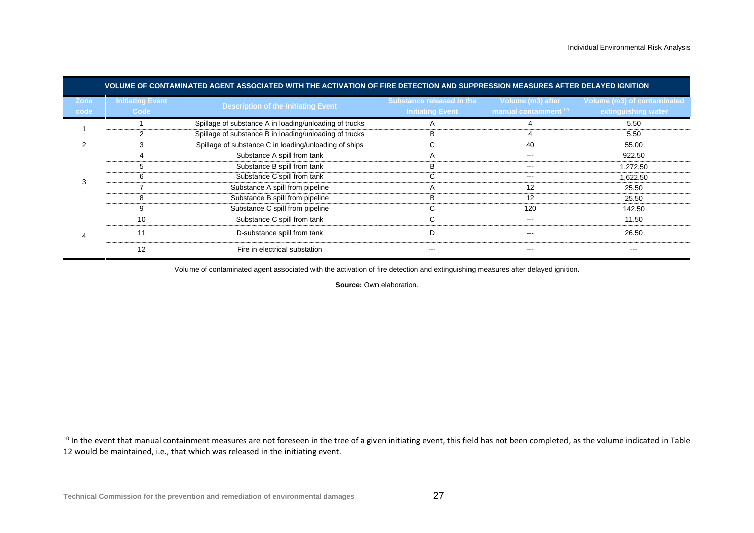|                     |                                 | VOLUME OF CONTAMINATED AGENT ASSOCIATED WITH THE ACTIVATION OF FIRE DETECTION AND SUPPRESSION MEASURES AFTER DELAYED IGNITION |                                                             |                                                       |                                                    |
|---------------------|---------------------------------|-------------------------------------------------------------------------------------------------------------------------------|-------------------------------------------------------------|-------------------------------------------------------|----------------------------------------------------|
| <b>Zone</b><br>code | <b>Initiating Event</b><br>Code | <b>Description of the Initiating Event</b>                                                                                    | <b>Substance released in the</b><br><b>Initiating Event</b> | Volume (m3) after<br>manual containment <sup>10</sup> | Volume (m3) of contaminated<br>extinguishing water |
|                     |                                 | Spillage of substance A in loading/unloading of trucks                                                                        |                                                             |                                                       | 5.50                                               |
|                     | ⌒                               | Spillage of substance B in loading/unloading of trucks                                                                        | В                                                           |                                                       | 5.50                                               |
|                     |                                 | Spillage of substance C in loading/unloading of ships                                                                         | ⌒<br>U                                                      | 40                                                    | 55.00                                              |
|                     |                                 | Substance A spill from tank                                                                                                   | A                                                           | $--$                                                  | 922.50                                             |
|                     | 5                               | Substance B spill from tank                                                                                                   | B                                                           | $\qquad \qquad -\qquad -$                             | 1,272.50                                           |
| 3                   | ิ ค                             | Substance C spill from tank                                                                                                   | С                                                           | $- - -$                                               | 1,622.50                                           |
|                     |                                 | Substance A spill from pipeline                                                                                               | $\mathsf{A}$                                                | 12                                                    | 25.50                                              |
|                     | 8                               | Substance B spill from pipeline                                                                                               | B                                                           | 12                                                    | 25.50                                              |
|                     | 9                               | Substance C spill from pipeline                                                                                               | U                                                           | 120                                                   | 142.50                                             |
|                     | 10                              | Substance C spill from tank                                                                                                   | ⌒<br>U                                                      | ---                                                   | 11.50                                              |
|                     | 11                              | D-substance spill from tank                                                                                                   |                                                             |                                                       | 26.50                                              |
|                     | 12                              | Fire in electrical substation                                                                                                 |                                                             |                                                       |                                                    |

Volume of contaminated agent associated with the activation of fire detection and extinguishing measures after delayed ignition**.** 

<sup>&</sup>lt;sup>10</sup> In the event that manual containment measures are not foreseen in the tree of a given initiating event, this field has not been completed, as the volume indicated in Table 12 would be maintained, i.e., that which was released in the initiating event.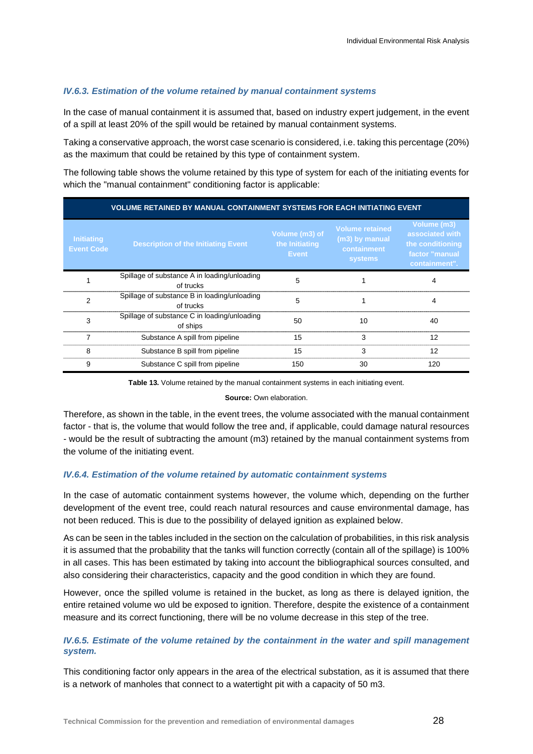## *IV.6.3. Estimation of the volume retained by manual containment systems*

In the case of manual containment it is assumed that, based on industry expert judgement, in the event of a spill at least 20% of the spill would be retained by manual containment systems.

Taking a conservative approach, the worst case scenario is considered, i.e. taking this percentage (20%) as the maximum that could be retained by this type of containment system.

The following table shows the volume retained by this type of system for each of the initiating events for which the "manual containment" conditioning factor is applicable:

|                                        | VOLUME RETAINED BY MANUAL CONTAINMENT SYSTEMS FOR EACH INITIATING EVENT |                                                  |                                                                             |                                                                                       |
|----------------------------------------|-------------------------------------------------------------------------|--------------------------------------------------|-----------------------------------------------------------------------------|---------------------------------------------------------------------------------------|
| <b>Initiating</b><br><b>Event Code</b> | <b>Description of the Initiating Event</b>                              | Volume (m3) of<br>the Initiating<br><b>Event</b> | <b>Volume retained</b><br>$(m3)$ by manual<br>containment<br><b>systems</b> | Volume (m3)<br>associated with<br>the conditioning<br>factor "manual<br>containment". |
|                                        | Spillage of substance A in loading/unloading<br>of trucks               | 5                                                |                                                                             |                                                                                       |
| 2                                      | Spillage of substance B in loading/unloading<br>of trucks               | 5                                                |                                                                             |                                                                                       |
| 3                                      | Spillage of substance C in loading/unloading<br>of ships                | 50                                               | 10                                                                          | 40                                                                                    |
|                                        | Substance A spill from pipeline                                         | 15                                               | з                                                                           | 12                                                                                    |
| 8                                      | Substance B spill from pipeline                                         | 15                                               | 3                                                                           | 12                                                                                    |
| 9                                      | Substance C spill from pipeline                                         | 150                                              | 30                                                                          | 120                                                                                   |

**Table 13.** Volume retained by the manual containment systems in each initiating event.

#### **Source:** Own elaboration.

Therefore, as shown in the table, in the event trees, the volume associated with the manual containment factor - that is, the volume that would follow the tree and, if applicable, could damage natural resources - would be the result of subtracting the amount (m3) retained by the manual containment systems from the volume of the initiating event.

### *IV.6.4. Estimation of the volume retained by automatic containment systems*

In the case of automatic containment systems however, the volume which, depending on the further development of the event tree, could reach natural resources and cause environmental damage, has not been reduced. This is due to the possibility of delayed ignition as explained below.

As can be seen in the tables included in the section on the calculation of probabilities, in this risk analysis it is assumed that the probability that the tanks will function correctly (contain all of the spillage) is 100% in all cases. This has been estimated by taking into account the bibliographical sources consulted, and also considering their characteristics, capacity and the good condition in which they are found.

However, once the spilled volume is retained in the bucket, as long as there is delayed ignition, the entire retained volume wo uld be exposed to ignition. Therefore, despite the existence of a containment measure and its correct functioning, there will be no volume decrease in this step of the tree.

## *IV.6.5. Estimate of the volume retained by the containment in the water and spill management system.*

This conditioning factor only appears in the area of the electrical substation, as it is assumed that there is a network of manholes that connect to a watertight pit with a capacity of 50 m3.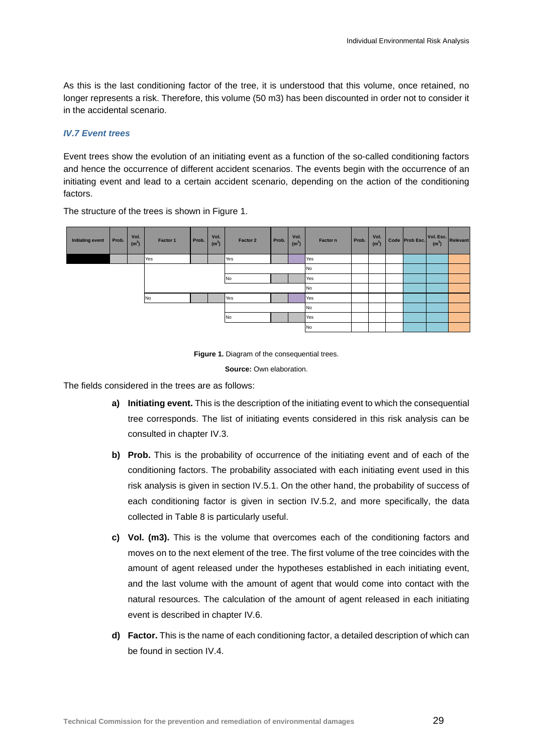As this is the last conditioning factor of the tree, it is understood that this volume, once retained, no longer represents a risk. Therefore, this volume (50 m3) has been discounted in order not to consider it in the accidental scenario.

## *IV.7 Event trees*

Event trees show the evolution of an initiating event as a function of the so-called conditioning factors and hence the occurrence of different accident scenarios. The events begin with the occurrence of an initiating event and lead to a certain accident scenario, depending on the action of the conditioning factors.



The structure of the trees is shown in Figure 1.





The fields considered in the trees are as follows:

- **a) Initiating event.** This is the description of the initiating event to which the consequential tree corresponds. The list of initiating events considered in this risk analysis can be consulted in chapter IV.3.
- **b)** Prob. This is the probability of occurrence of the initiating event and of each of the conditioning factors. The probability associated with each initiating event used in this risk analysis is given in section IV.5.1. On the other hand, the probability of success of each conditioning factor is given in section IV.5.2, and more specifically, the data collected in Table 8 is particularly useful.
- **c) Vol. (m3).** This is the volume that overcomes each of the conditioning factors and moves on to the next element of the tree. The first volume of the tree coincides with the amount of agent released under the hypotheses established in each initiating event, and the last volume with the amount of agent that would come into contact with the natural resources. The calculation of the amount of agent released in each initiating event is described in chapter IV.6.
- **d) Factor.** This is the name of each conditioning factor, a detailed description of which can be found in section IV.4.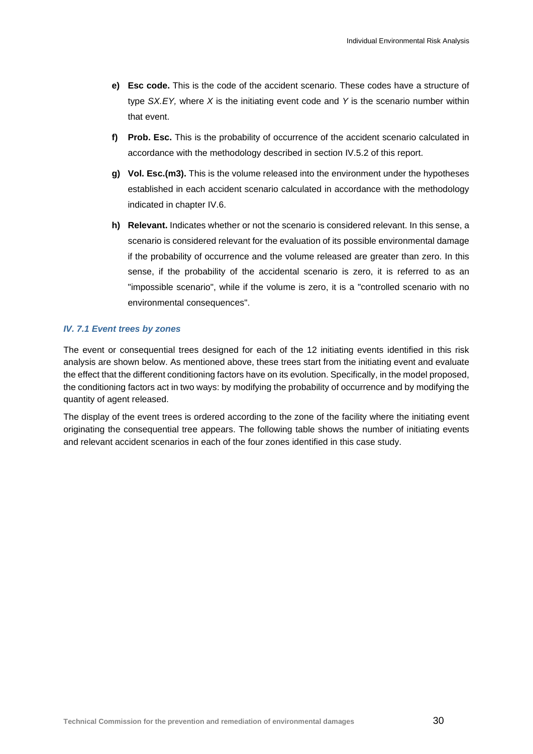- **e) Esc code.** This is the code of the accident scenario. These codes have a structure of type *SX.EY,* where *X* is the initiating event code and *Y* is the scenario number within that event.
- **f) Prob. Esc.** This is the probability of occurrence of the accident scenario calculated in accordance with the methodology described in section IV.5.2 of this report.
- **g) Vol. Esc.(m3).** This is the volume released into the environment under the hypotheses established in each accident scenario calculated in accordance with the methodology indicated in chapter IV.6.
- **h) Relevant.** Indicates whether or not the scenario is considered relevant. In this sense, a scenario is considered relevant for the evaluation of its possible environmental damage if the probability of occurrence and the volume released are greater than zero. In this sense, if the probability of the accidental scenario is zero, it is referred to as an "impossible scenario", while if the volume is zero, it is a "controlled scenario with no environmental consequences".

### *IV. 7.1 Event trees by zones*

The event or consequential trees designed for each of the 12 initiating events identified in this risk analysis are shown below. As mentioned above, these trees start from the initiating event and evaluate the effect that the different conditioning factors have on its evolution. Specifically, in the model proposed, the conditioning factors act in two ways: by modifying the probability of occurrence and by modifying the quantity of agent released.

The display of the event trees is ordered according to the zone of the facility where the initiating event originating the consequential tree appears. The following table shows the number of initiating events and relevant accident scenarios in each of the four zones identified in this case study.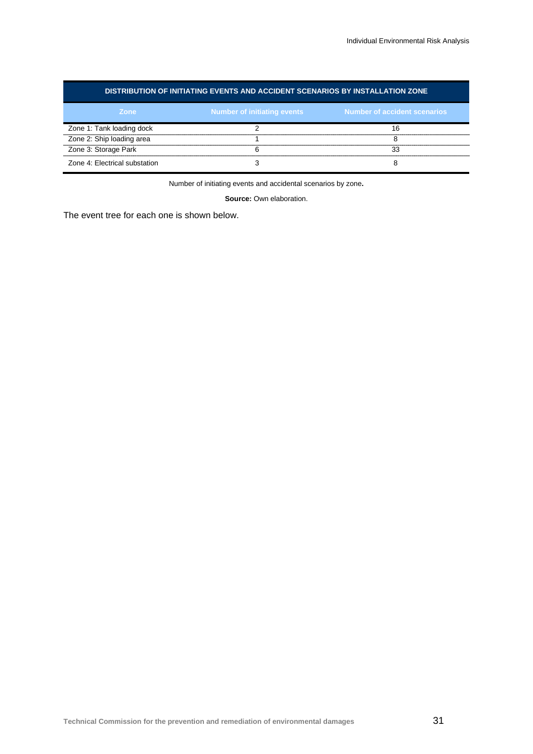## **DISTRIBUTION OF INITIATING EVENTS AND ACCIDENT SCENARIOS BY INSTALLATION ZONE**

| <b>Zone</b>                   | <b>Number of initiating events</b> | Number of accident scenarios |
|-------------------------------|------------------------------------|------------------------------|
| Zone 1: Tank loading dock     |                                    |                              |
| Zone 2: Ship loading area     |                                    |                              |
| Zone 3: Storage Park          |                                    |                              |
| Zone 4: Electrical substation |                                    |                              |

Number of initiating events and accidental scenarios by zone**.** 

Source: Own elaboration.

The event tree for each one is shown below.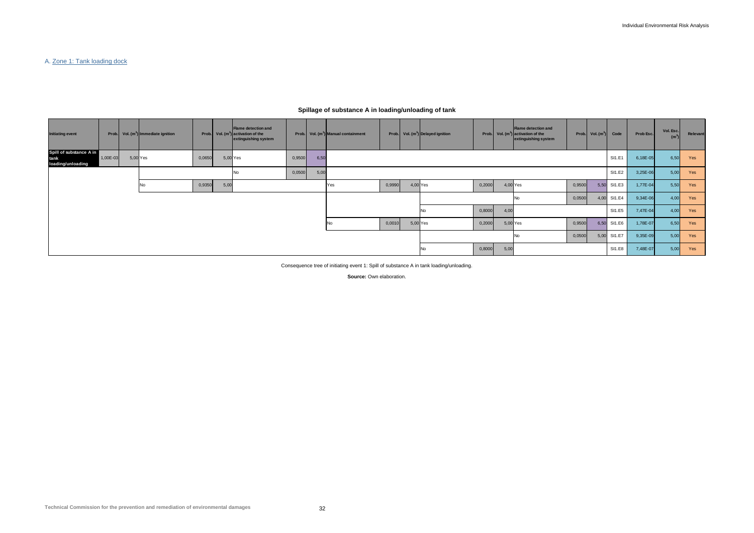A. Zone 1: Tank loading dock

# **Spillage of substance A in loading/unloading of tank**

Consequence tree of initiating event 1: Spill of substance A in tank loading/unloading.

| <b>Initiating event</b>                      | Prob.      | Vol. $(m^3)$ Immediate ignition |        |      | Flame detection and<br>Prob. $\vert$ Vol. (m <sup>3</sup> ) activation of the<br>extinguishing system |        |      | Prob. $\vert$ Vol. (m <sup>3</sup> ) Manual containment | Prob.  | Vol. $(m^3)$ Delayed ignition |        |      | <b>Flame detection and</b><br><b>Prob.</b> $\vert$ Vol. (m <sup>3</sup> ) activation of the<br>extinguishing system | Prob.  | Vol. $(m^3)$ | Code        | Prob Esc.  | Vol. Esc.<br>(m <sup>3</sup> ) | Relevant |
|----------------------------------------------|------------|---------------------------------|--------|------|-------------------------------------------------------------------------------------------------------|--------|------|---------------------------------------------------------|--------|-------------------------------|--------|------|---------------------------------------------------------------------------------------------------------------------|--------|--------------|-------------|------------|--------------------------------|----------|
| Spill of substance A in<br>loading/unloading | $1,00E-03$ | $5,00$ Yes                      | 0,0650 |      | $5,00$ Yes                                                                                            | 0,9500 | 6,50 |                                                         |        |                               |        |      |                                                                                                                     |        |              | SI1.E1      | $6,18E-05$ | 6,50                           | Yes      |
|                                              |            |                                 |        |      | <b>INo</b>                                                                                            | 0,0500 | 5,00 |                                                         |        |                               |        |      |                                                                                                                     |        |              | SI1.E2      | $3,25E-06$ | 5,00                           | Yes      |
|                                              |            |                                 | 0,9350 | 5,00 |                                                                                                       |        |      | Yes                                                     | 0,9990 | 4,00 Yes                      | 0,2000 |      | 4,00 Yes                                                                                                            | 0,9500 |              | 5,50 SI1.E3 | 1,77E-04   | 5,50                           | Yes      |
|                                              |            |                                 |        |      |                                                                                                       |        |      |                                                         |        |                               |        |      | <b>NO</b>                                                                                                           | 0,0500 | 4,00         | SI1.E4      | $9,34E-06$ | 4,00                           | Yes      |
|                                              |            |                                 |        |      |                                                                                                       |        |      |                                                         |        | I No                          | 0,8000 | 4,00 |                                                                                                                     |        |              | SI1.E5      | 7,47E-04   | 4,00                           | Yes      |
|                                              |            |                                 |        |      |                                                                                                       |        |      | N٥                                                      | 0,0010 | 5,00 Yes                      | 0,2000 |      | 5,00 Yes                                                                                                            | 0,9500 |              | 6,50 SI1.E6 | 1,78E-07   | 6,50                           | Yes      |
|                                              |            |                                 |        |      |                                                                                                       |        |      |                                                         |        |                               |        |      | INo.                                                                                                                | 0,0500 |              | 5,00 SI1.E7 | $9,35E-09$ | 5,00                           | Yes      |
|                                              |            |                                 |        |      |                                                                                                       |        |      |                                                         |        | I NO                          | 0,8000 | 5,00 |                                                                                                                     |        |              | SI1.E8      | 7,48E-07   | 5,00                           | Yes      |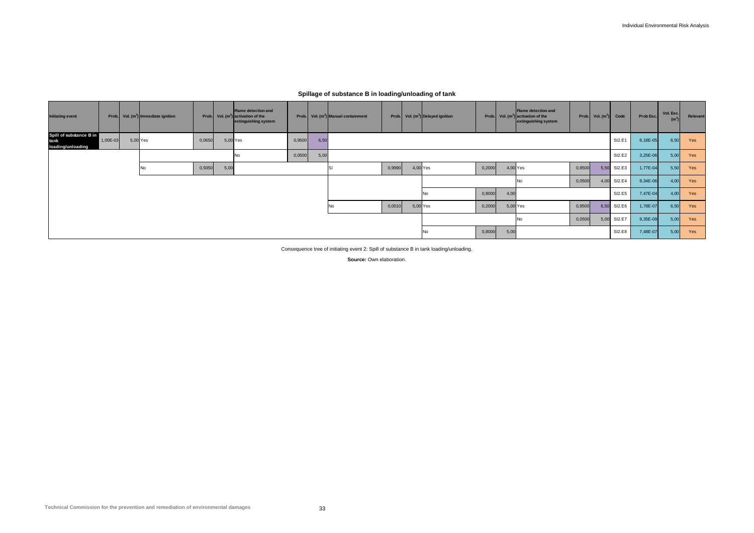# **Spillage of substance B in loading/unloading of tank**

Consequence tree of initiating event 2: Spill of substance B in tank loading/unloading.

| Initiating event                             |          | Prob. $\vert$ Vol. (m <sup>3</sup> ) Immediate ignition |        |      | <b>Hame detection and</b><br><b>Prob.</b> Vol. $(m^3)$ activation of the<br>extinguishing system |        |      | <b>Prob.</b> Vol. $(m^3)$ Manual containment |        |      | Prob. $\vert$ Vol. (m <sup>3</sup> ) Delayed ignition | Prob.  |      | Flame detection and<br>Vol. $(m^3)$ activation of the<br>extinguishing system |        | Prob. $ Vol. (m^3) $ Code |               | Prob Esc.  | Vol. Esc.<br>(m <sup>3</sup> ) | Relevant |
|----------------------------------------------|----------|---------------------------------------------------------|--------|------|--------------------------------------------------------------------------------------------------|--------|------|----------------------------------------------|--------|------|-------------------------------------------------------|--------|------|-------------------------------------------------------------------------------|--------|---------------------------|---------------|------------|--------------------------------|----------|
| Spill of substance B in<br>loading/unloading | 1,00E-03 | 5,00 Yes                                                | 0,0650 |      | $5,00$ Yes                                                                                       | 0,9500 | 6,50 |                                              |        |      |                                                       |        |      |                                                                               |        |                           | SI2.E1        | $6,18E-05$ | 6,50                           | Yes      |
|                                              |          |                                                         |        |      | No                                                                                               | 0,0500 | 5,00 |                                              |        |      |                                                       |        |      |                                                                               |        |                           | SI2.E2        | $3,25E-06$ | 5,00                           | Yes      |
|                                              |          |                                                         | 0,9350 | 5,00 |                                                                                                  |        |      |                                              | 0,9990 | 4,00 | <b>Yes</b>                                            | 0,2000 |      | $4,00$ Yes                                                                    | 0,9500 | 5,50                      | SI2.E3        | 1,77E-04   | 5,50                           | Yes      |
|                                              |          |                                                         |        |      |                                                                                                  |        |      |                                              |        |      |                                                       |        |      |                                                                               | 0,0500 | 4,00                      | SI2.E4        | $9,34E-06$ | 4,00                           | Yes      |
|                                              |          |                                                         |        |      |                                                                                                  |        |      |                                              |        |      | <b>No</b>                                             | 0,8000 | 4,00 |                                                                               |        |                           | SI2.E5        | 7,47E-04   | 4,00                           | Yes      |
|                                              |          |                                                         |        |      |                                                                                                  |        |      |                                              | 0,0010 | 5,00 | <b>Yes</b>                                            | 0,2000 |      | 5,00 Yes                                                                      | 0,9500 | 6,50                      | SI2.E6        | 1,78E-07   | 6,50                           | Yes      |
|                                              |          |                                                         |        |      |                                                                                                  |        |      |                                              |        |      |                                                       |        |      |                                                                               | 0,0500 | 5,00                      | <b>SI2.E7</b> | 9,35E-09   | 5,00                           | Yes      |
|                                              |          |                                                         |        |      |                                                                                                  |        |      |                                              |        |      | No                                                    | 0,8000 | 5,00 |                                                                               |        |                           | SI2.E8        | 7,48E-07   | 5,00                           | Yes      |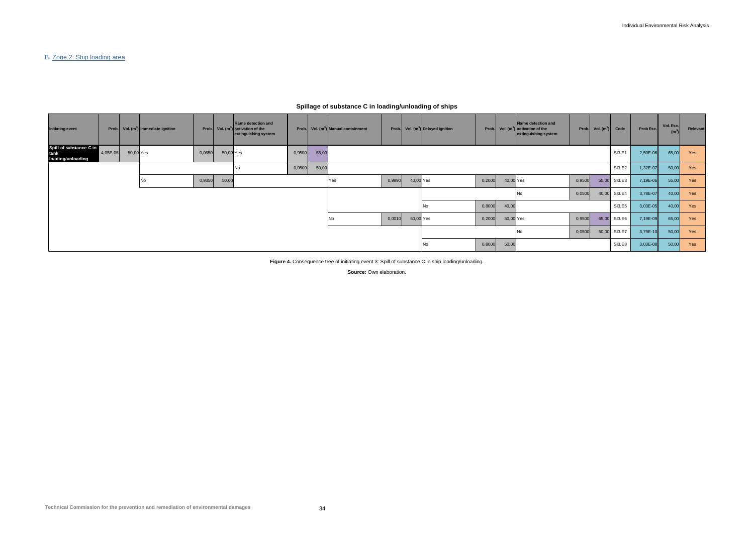# B. Zone 2: Ship loading area

# **Spillage of substance C in loading/unloading of ships**

**Figure 4.** Consequence tree of initiating event 3: Spill of substance C in ship loading/unloading.

| <b>Initiating event</b>                              |          |           | Prob. $\vert$ Vol. (m <sup>3</sup> ) Immediate ignition | Prob.  |       | <b>Flame detection and</b><br>Vol. $(m^3)$ activation of the<br>extinguishing system |        |       | Prob. $\vert$ Vol. (m <sup>3</sup> ) Manual containment |        |           | Prob. $\vert$ Vol. (m <sup>3</sup> ) Delayed ignition |        |       | Flame detection and<br><b>Prob.</b> $Vol. (m^3)$ activation of the<br>extinguishing system |        | Prob. $ Vol. (m^3) $ Code |        | Prob Esc.  | Vol. Esc.<br>(m <sup>3</sup> ) | Relevant |
|------------------------------------------------------|----------|-----------|---------------------------------------------------------|--------|-------|--------------------------------------------------------------------------------------|--------|-------|---------------------------------------------------------|--------|-----------|-------------------------------------------------------|--------|-------|--------------------------------------------------------------------------------------------|--------|---------------------------|--------|------------|--------------------------------|----------|
| Spill of substance C in<br>tank<br>loading/unloading | 4,05E-05 | 50,00 Yes |                                                         | 0,0650 |       | 50,00 Yes                                                                            | 0,9500 | 65,00 |                                                         |        |           |                                                       |        |       |                                                                                            |        |                           | SI3.E1 | 2,50E-06   | 65,00                          | Yes      |
|                                                      |          |           |                                                         |        |       | No.                                                                                  | 0,0500 | 50,00 |                                                         |        |           |                                                       |        |       |                                                                                            |        |                           | SI3.E2 | 1,32E-07   | 50,00                          | Yes      |
|                                                      |          |           | <b>INo</b>                                              | 0,9350 | 50,00 |                                                                                      |        |       | Yes                                                     | 0,9990 | 40,00 Yes |                                                       | 0,2000 |       | 40,00 Yes                                                                                  | 0,9500 | 55,00                     | SI3.E3 | 7,19E-06   | 55,00                          | Yes      |
|                                                      |          |           |                                                         |        |       |                                                                                      |        |       |                                                         |        |           |                                                       |        |       |                                                                                            | 0,0500 | 40,00                     | SI3.E4 | 3,78E-07   | 40,00                          | Yes      |
|                                                      |          |           |                                                         |        |       |                                                                                      |        |       |                                                         |        |           | INo.                                                  | 0,8000 | 40,00 |                                                                                            |        |                           | SI3.E5 | $3,03E-05$ | 40,00                          | Yes      |
|                                                      |          |           |                                                         |        |       |                                                                                      |        |       | No.                                                     | 0,0010 | 50,00 Yes |                                                       | 0,2000 |       | 50,00 Yes                                                                                  | 0,9500 | 65,00                     | SI3.E6 | 7,19E-09   | 65,00                          | Yes      |
|                                                      |          |           |                                                         |        |       |                                                                                      |        |       |                                                         |        |           |                                                       |        |       |                                                                                            | 0,0500 | 50,00                     | SI3.E7 | 3,79E-10   | 50,00                          | Yes      |
|                                                      |          |           |                                                         |        |       |                                                                                      |        |       |                                                         |        |           | No.                                                   | 0,8000 | 50,00 |                                                                                            |        |                           | SI3.E8 | $3,03E-08$ | 50,00                          | Yes      |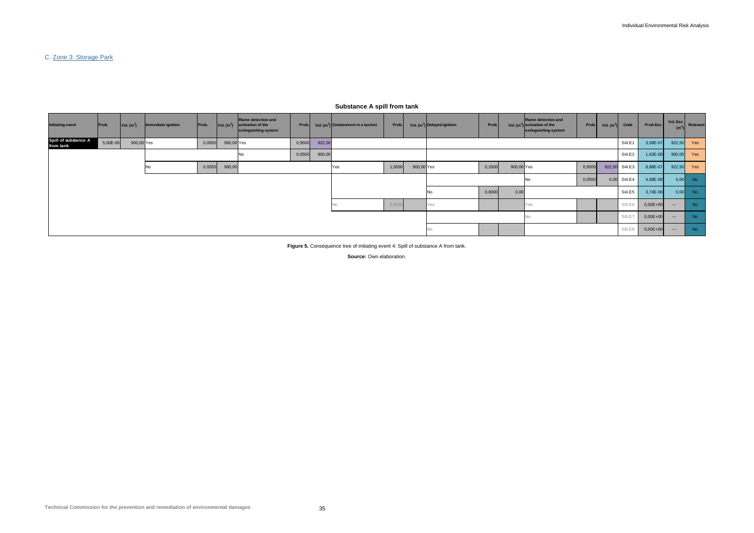# C. Zone 3: Storage Park

# **Substance A spill from tank**

**Figure 5.** Consequence tree of initiating event 4: Spill of substance A from tank.

| <b>Initiating event</b>           | Prob.    | Vol. $(m^3)$ | Immediate ignition | Prob.  | Vol. (m <sup>3</sup> ) | Flame detection and<br>activation of the<br>extinguishing system | Prob.  |        | Vol. $(m^3)$ Containment in a bucket | Prob.  |            | Vol. $(m^3)$ Delayed ignition | Prob.  |            | <b>Flame detection and</b><br>Vol. $(m^3)$ activation of the<br>extinguishing system | Prob.  | Vol. $(m^3)$ Code |        | Prob Esc.  | Vol. Esc.<br>$(m^3)$     | Relevant  |
|-----------------------------------|----------|--------------|--------------------|--------|------------------------|------------------------------------------------------------------|--------|--------|--------------------------------------|--------|------------|-------------------------------|--------|------------|--------------------------------------------------------------------------------------|--------|-------------------|--------|------------|--------------------------|-----------|
| Spill of substance A<br>from tank | 5,00E-06 | 900,00 Yes   |                    | 0,0650 | 900,00 Yes             |                                                                  | 0,9500 | 922,50 |                                      |        |            |                               |        |            |                                                                                      |        |                   | SI4.E1 | $3,09E-07$ | 922,50                   | Yes       |
|                                   |          |              |                    |        |                        |                                                                  | 0,0500 | 900,00 |                                      |        |            |                               |        |            |                                                                                      |        |                   | SI4.E2 | $1,63E-08$ | 900,00                   | Yes       |
|                                   |          |              | No.                | 0,9350 | 900,00                 |                                                                  |        |        | Yes                                  | 1,0000 | 900,00 Yes |                               | 0,2000 | 900,00 Yes |                                                                                      | 0,9500 | 922,50            | SI4.E3 | 8,88E-07   | 922,50                   | Yes       |
|                                   |          |              |                    |        |                        |                                                                  |        |        |                                      |        |            |                               |        |            | IN0.                                                                                 | 0,0500 | 0,00              | SI4.E4 | $4,68E-08$ | 0,00                     | <b>No</b> |
|                                   |          |              |                    |        |                        |                                                                  |        |        |                                      |        |            |                               | 0,8000 | 0,00       |                                                                                      |        |                   | SI4.E5 | $3,74E-06$ | 0,00                     | <b>No</b> |
|                                   |          |              |                    |        |                        |                                                                  |        |        |                                      | 0,0000 |            | Yes                           |        |            | Yes                                                                                  |        |                   | SI5.E6 | $0,00E+00$ | $\overline{\phantom{a}}$ | No.       |
|                                   |          |              |                    |        |                        |                                                                  |        |        |                                      |        |            |                               |        |            |                                                                                      |        |                   | S15.E7 | $0,00E+00$ | $\overline{\phantom{a}}$ | No.       |
|                                   |          |              |                    |        |                        |                                                                  |        |        |                                      |        |            |                               |        |            |                                                                                      |        |                   | SI5.E8 | $0,00E+00$ | $---$                    | No        |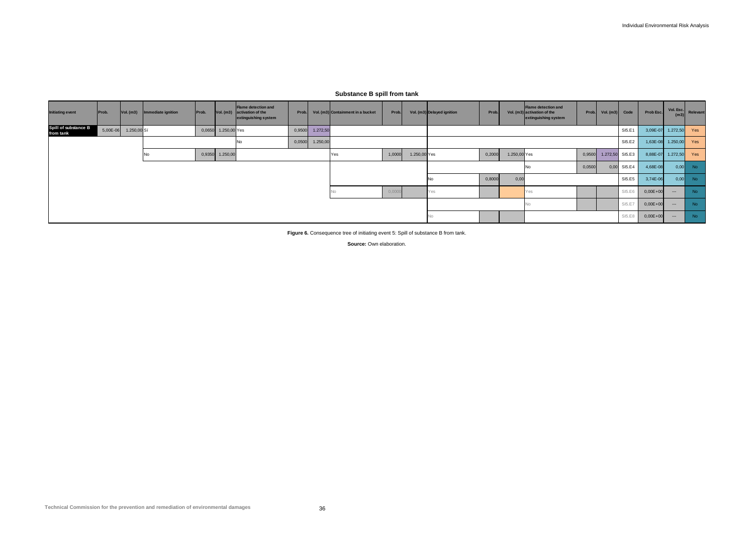# **Substance B spill from tank**

**Figure 6.** Consequence tree of initiating event 5: Spill of substance B from tank.

| Initiating event                  | Prob.      |             | $Vol. (m3)$  Immediate ignition | Prob.  |              | Flame detection and<br>$Vol. (m3)$ activation of the<br>extinguishing system |        |          | Prob. Vol. (m3) Containment in a bucket | Prob.  |              | Vol. (m3) Delayed ignition | <b>Prob.</b> |              | Flame detection and<br>Vol. (m3) $\vert$ activation of the<br>extinguishing system | Prob.  | Vol. $(m3)$ Code |        | Prob Esc.  | Vol. Esc. Relevant<br>(m3) |           |
|-----------------------------------|------------|-------------|---------------------------------|--------|--------------|------------------------------------------------------------------------------|--------|----------|-----------------------------------------|--------|--------------|----------------------------|--------------|--------------|------------------------------------------------------------------------------------|--------|------------------|--------|------------|----------------------------|-----------|
| Spill of substance B<br>from tank | $5,00E-06$ | 1.250,00 Sí |                                 | 0,0650 | 1.250,00 Yes |                                                                              | 0,9500 | 1.272,50 |                                         |        |              |                            |              |              |                                                                                    |        |                  | SI5.E1 | 3,09E-07   | 1.272,50 Yes               |           |
|                                   |            |             |                                 |        |              |                                                                              | 0,0500 | 1.250,00 |                                         |        |              |                            |              |              |                                                                                    |        |                  | SI5.E2 | $1,63E-08$ | 1.250,00                   | Yes       |
|                                   |            |             |                                 | 0,9350 | 1.250,00     |                                                                              |        |          | Yes                                     | 1,0000 | 1.250,00 Yes |                            | 0,2000       | 1.250,00 Yes |                                                                                    | 0,9500 | 1.272,50 SI5.E3  |        | 8,88E-07   | 1.272,50                   | Yes       |
|                                   |            |             |                                 |        |              |                                                                              |        |          |                                         |        |              |                            |              |              |                                                                                    | 0,0500 | 0,00             | SI5.E4 | 4,68E-08   |                            | $0,00$ No |
|                                   |            |             |                                 |        |              |                                                                              |        |          |                                         |        |              | No.                        | 0,8000       | 0,00,        |                                                                                    |        |                  | SI5.E5 | 3,74E-06   | 0,00                       | No.       |
|                                   |            |             |                                 |        |              |                                                                              |        |          |                                         | 0,0000 |              | Yes                        |              |              | res                                                                                |        |                  | SI5.E6 | $0,00E+00$ | $---$                      | No.       |
|                                   |            |             |                                 |        |              |                                                                              |        |          |                                         |        |              |                            |              |              |                                                                                    |        |                  | SI5.E7 | $0,00E+00$ | $\overline{\phantom{a}}$   | <b>No</b> |
|                                   |            |             |                                 |        |              |                                                                              |        |          |                                         |        |              |                            |              |              |                                                                                    |        |                  | SI5.E8 | $0,00E+00$ | $\hspace{0.05cm} \ldots$   | <b>No</b> |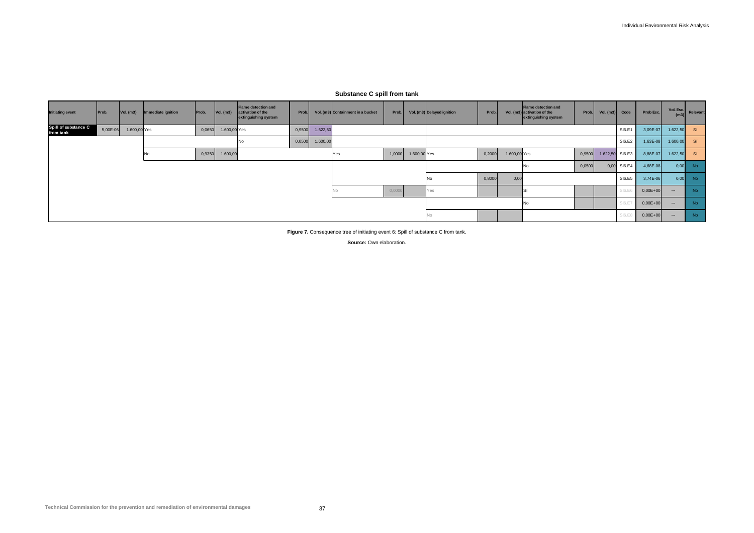# **Substance C spill from tank**

**Figure 7.** Consequence tree of initiating event 6: Spill of substance C from tank.

| <b>Initiating event</b>           | Prob.    | Vol. (m3)    | Immediate ignition | Prob.  | Vol. (m3)    | Flame detection and<br>activation of the<br>extinguishing system | Prob.  |          | Vol. (m3) Containment in a bucket | Prob.  |              | Vol. (m3) Delayed ignition | Prob.  |              | Flame detection and<br>Vol. (m3) activation of the<br>extinguishing system | Prob.  | Vol. $(m3)$ Code |                    | Prob Esc.  | Vol. Esc. Relevant<br>(m <sub>3</sub> ) |           |
|-----------------------------------|----------|--------------|--------------------|--------|--------------|------------------------------------------------------------------|--------|----------|-----------------------------------|--------|--------------|----------------------------|--------|--------------|----------------------------------------------------------------------------|--------|------------------|--------------------|------------|-----------------------------------------|-----------|
| Spill of substance C<br>from tank | 5,00E-06 | 1.600,00 Yes |                    | 0,0650 | 1.600,00 Yes |                                                                  | 0,9500 | 1.622,50 |                                   |        |              |                            |        |              |                                                                            |        |                  | SIO.E <sup>4</sup> | $3,09E-07$ | 1.622,50                                | - Sí      |
|                                   |          |              |                    |        |              | No                                                               | 0,0500 | 1.600,00 |                                   |        |              |                            |        |              |                                                                            |        |                  | SI6.E2             | $1,63E-08$ | 1.600,00                                | Sí.       |
|                                   |          |              |                    | 0,9350 | 1.600,00     |                                                                  |        |          | Yes                               | 1,0000 | 1.600,00 Yes |                            | 0,2000 | 1.600,00 Yes |                                                                            | 0,9500 | 1.622,50         | SI6.E3             | 8,88E-07   | 1.622,50                                | - Sí      |
|                                   |          |              |                    |        |              |                                                                  |        |          |                                   |        |              |                            |        |              |                                                                            | 0,0500 | 0,00             | SI6.E4             | 4,68E-08   | 0,00                                    | No.       |
|                                   |          |              |                    |        |              |                                                                  |        |          |                                   |        |              | INo.                       | 0,8000 | 0,00         |                                                                            |        |                  | SI6.E5             | $3,74E-06$ | 0,00                                    | No.       |
|                                   |          |              |                    |        |              |                                                                  |        |          |                                   | 0,0000 |              | Yes                        |        |              |                                                                            |        |                  | SIG.E6             | $0,00E+00$ | $\cdots$                                | No.       |
|                                   |          |              |                    |        |              |                                                                  |        |          |                                   |        |              |                            |        |              | 1No                                                                        |        |                  | SI6.E7             | $0,00E+00$ | $-$                                     | <b>No</b> |
|                                   |          |              |                    |        |              |                                                                  |        |          |                                   |        |              |                            |        |              |                                                                            |        |                  | SIG.E8             | $0,00E+00$ | $\cdots$                                | No        |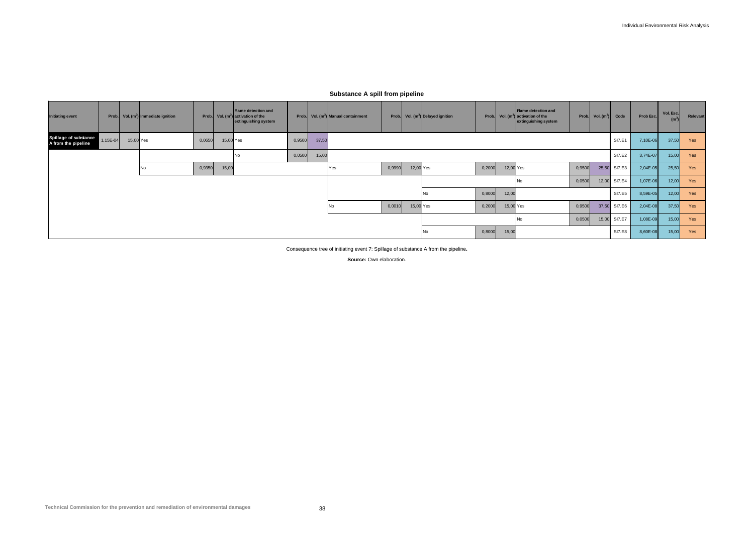### **Substance A spill from pipeline**

Consequence tree of initiating event 7: Spillage of substance A from the pipeline**.** 

|                                              |            |           |                                              |        |       |                                                                                                   |        |       |                                                         | --     |           |                                                       |        |           |                                                                                            |        |                     |               |            |                                |          |
|----------------------------------------------|------------|-----------|----------------------------------------------|--------|-------|---------------------------------------------------------------------------------------------------|--------|-------|---------------------------------------------------------|--------|-----------|-------------------------------------------------------|--------|-----------|--------------------------------------------------------------------------------------------|--------|---------------------|---------------|------------|--------------------------------|----------|
| <b>Initiating event</b>                      |            |           | <b>Prob.</b> Vol. $(m^3)$ Immediate ignition |        |       | <b>Flame detection and</b><br><b>Prob.</b> Vol. $(m^3)$ activation of the<br>extinguishing system |        |       | Prob. $\vert$ Vol. (m <sup>3</sup> ) Manual containment |        |           | Prob. $\vert$ Vol. (m <sup>3</sup> ) Delayed ignition |        |           | Flame detection and<br><b>Prob.</b> Vol. $(m^3)$ activation of the<br>extinguishing system |        | Prob. $ Vol. (m3) $ | Code          | Prob Esc.  | Vol. Esc.<br>(m <sup>3</sup> ) | Relevant |
| Spillage of substance<br>A from the pipeline | $1,15E-04$ | 15,00 Yes |                                              | 0,0650 |       | 15,00 Yes                                                                                         | 0,9500 | 37,50 |                                                         |        |           |                                                       |        |           |                                                                                            |        |                     | SI7.E1        | 7,10E-06   | 37,50                          | Yes      |
|                                              |            |           |                                              |        |       | INo.                                                                                              | 0,0500 | 15,00 |                                                         |        |           |                                                       |        |           |                                                                                            |        |                     | <b>SI7.E2</b> | 3,74E-07   | 15,00                          | Yes      |
|                                              |            |           |                                              | 0,9350 | 15,00 |                                                                                                   |        |       | Yes                                                     | 0,9990 | 12,00 Yes |                                                       | 0,2000 | 12,00 Yes |                                                                                            | 0,9500 | 25,50               | <b>SI7.E3</b> | $2,04E-05$ | 25,50                          | Yes      |
|                                              |            |           |                                              |        |       |                                                                                                   |        |       |                                                         |        |           |                                                       |        |           | <b>NO</b>                                                                                  | 0,0500 | 12,00               | <b>SI7.E4</b> | 1,07E-06   | 12,00                          | Yes      |
|                                              |            |           |                                              |        |       |                                                                                                   |        |       |                                                         |        |           |                                                       | 0,8000 | 12,00     |                                                                                            |        |                     | <b>SI7.E5</b> | 8,59E-05   | 12,00                          | Yes      |
|                                              |            |           |                                              |        |       |                                                                                                   |        |       |                                                         | 0,0010 | 15,00 Yes |                                                       | 0,2000 | 15,00 Yes |                                                                                            | 0,9500 | 37,50               | SI7.E6        | 2,04E-08   | 37,50                          | Yes      |
|                                              |            |           |                                              |        |       |                                                                                                   |        |       |                                                         |        |           |                                                       |        |           | NO                                                                                         | 0,0500 | 15,00               | <b>SI7.E7</b> | 1,08E-09   | 15,00                          | Yes      |
|                                              |            |           |                                              |        |       |                                                                                                   |        |       |                                                         |        |           | No.                                                   | 0,8000 | 15,00     |                                                                                            |        |                     | <b>SI7.E8</b> | 8,60E-08   | 15,00                          | Yes      |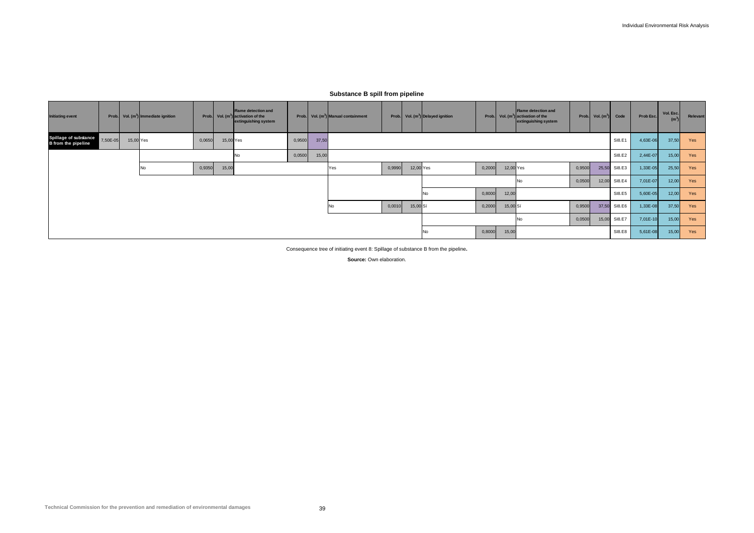### **Substance B spill from pipeline**

Consequence tree of initiating event 8: Spillage of substance B from the pipeline**.** 

|                                              |          |           |                                              |        |       |                                                                                                              |        |       |                                                         |        | .         |                                                       |        |          |                                                                                            |        |                     |        |            |                                |          |
|----------------------------------------------|----------|-----------|----------------------------------------------|--------|-------|--------------------------------------------------------------------------------------------------------------|--------|-------|---------------------------------------------------------|--------|-----------|-------------------------------------------------------|--------|----------|--------------------------------------------------------------------------------------------|--------|---------------------|--------|------------|--------------------------------|----------|
| <b>Initiating event</b>                      |          |           | <b>Prob.</b> Vol. $(m^3)$ Immediate ignition |        |       | <b>Flame detection and</b><br>Prob. $\vert$ Vol. (m <sup>3</sup> ) activation of the<br>extinguishing system |        |       | Prob. $\vert$ Vol. (m <sup>3</sup> ) Manual containment |        |           | Prob. $\vert$ Vol. (m <sup>3</sup> ) Delayed ignition |        |          | Flame detection and<br><b>Prob.</b> Vol. $(m^3)$ activation of the<br>extinguishing system |        | Prob. $ Vol. (m3) $ | Code   | Prob Esc.  | Vol. Esc.<br>(m <sup>3</sup> ) | Relevant |
| Spillage of substance<br>B from the pipeline | 7,50E-05 | 15,00 Yes |                                              | 0,0650 |       | 15,00 Yes                                                                                                    | 0,9500 | 37,50 |                                                         |        |           |                                                       |        |          |                                                                                            |        |                     | SI8.E1 | 4,63E-06   | 37,50                          | Yes      |
|                                              |          |           |                                              |        |       | No.                                                                                                          | 0,0500 | 15,00 |                                                         |        |           |                                                       |        |          |                                                                                            |        |                     | SI8.E2 | 2,44E-07   | 15,00                          | Yes      |
|                                              |          |           | No.                                          | 0,9350 | 15,00 |                                                                                                              |        |       | Yes                                                     | 0,9990 | 12,00 Yes |                                                       | 0,2000 |          | 12,00 Yes                                                                                  | 0,9500 | 25,50               | SI8.E3 | $1,33E-05$ | 25,50                          | Yes      |
|                                              |          |           |                                              |        |       |                                                                                                              |        |       |                                                         |        |           |                                                       |        |          | NO                                                                                         | 0,0500 | 12,00               | SI8.E4 | 7,01E-07   | 12,00                          | Yes      |
|                                              |          |           |                                              |        |       |                                                                                                              |        |       |                                                         |        |           | No.                                                   | 0,8000 | 12,00    |                                                                                            |        |                     | SI8.E5 | 5,60E-05   | 12,00                          | Yes      |
|                                              |          |           |                                              |        |       |                                                                                                              |        |       |                                                         | 0,0010 | 15,00 Sí  |                                                       | 0,2000 | 15,00 Sí |                                                                                            | 0,9500 | 37,50               | SI8.E6 | 1,33E-08   | 37,50                          | Yes      |
|                                              |          |           |                                              |        |       |                                                                                                              |        |       |                                                         |        |           |                                                       |        |          |                                                                                            | 0,0500 | 15,00               | SI8.E7 | 7,01E-10   | 15,00                          | Yes      |
|                                              |          |           |                                              |        |       |                                                                                                              |        |       |                                                         |        |           | l No                                                  | 0,8000 | 15,00    |                                                                                            |        |                     | SI8.E8 | $5,61E-08$ | 15,00                          | Yes      |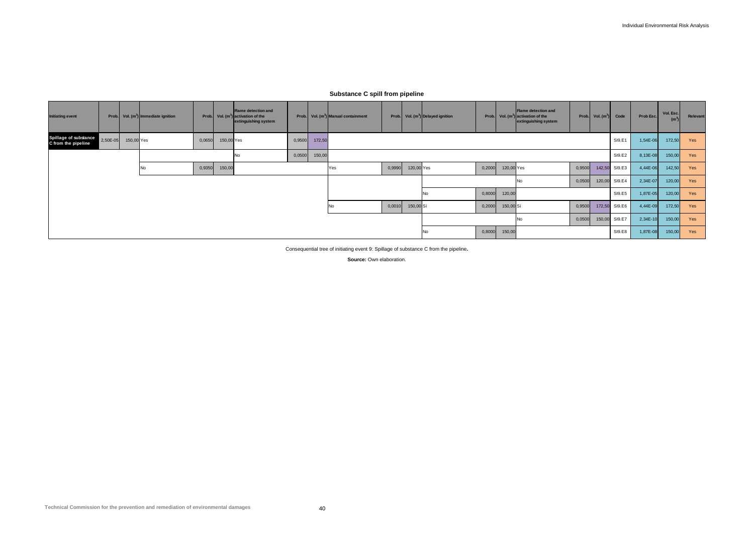# **Substance C spill from pipeline**

Consequential tree of initiating event 9: Spillage of substance C from the pipeline**.** 

|                                              |            |            |                                                         |        |            |                                                                                                  |        |        |                                                         |        | . .        |                                                       |        |                                      |                                                                                            |        |                     |          |           |                                |          |
|----------------------------------------------|------------|------------|---------------------------------------------------------|--------|------------|--------------------------------------------------------------------------------------------------|--------|--------|---------------------------------------------------------|--------|------------|-------------------------------------------------------|--------|--------------------------------------|--------------------------------------------------------------------------------------------|--------|---------------------|----------|-----------|--------------------------------|----------|
| <b>Initiating event</b>                      |            |            | Prob. $\vert$ Vol. (m <sup>3</sup> ) Immediate ignition |        |            | <b>Hame detection and</b><br><b>Prob.</b> Vol. $(m^3)$ activation of the<br>extinguishing system |        |        | Prob. $\vert$ Vol. (m <sup>3</sup> ) Manual containment |        |            | Prob. $\vert$ Vol. (m <sup>3</sup> ) Delayed ignition |        |                                      | Flame detection and<br><b>Prob.</b> Vol. $(m^3)$ activation of the<br>extinguishing system |        | Prob. $ Vol. (m3) $ | Code     | Prob Esc. | Vol. Esc.<br>(m <sup>3</sup> ) | Relevant |
| Spillage of substance<br>C from the pipeline | $2,50E-05$ | 150,00 Yes |                                                         | 0,0650 | 150,00 Yes |                                                                                                  | 0,9500 | 172,50 |                                                         |        |            |                                                       |        |                                      |                                                                                            |        |                     | SI9.E1   | 1,54E-06  | 172,50                         | Yes      |
|                                              |            |            |                                                         |        |            | I No                                                                                             | 0,0500 | 150,00 |                                                         |        |            |                                                       |        |                                      |                                                                                            |        |                     | SI9.E2   | 8,13E-08  | 150,00                         | Yes      |
|                                              |            |            |                                                         | 0,9350 | 150,00     |                                                                                                  |        |        | Yes                                                     | 0,9990 | 120,00 Yes |                                                       | 0,2000 |                                      |                                                                                            |        | 142,50              | SI9.E3   | 4,44E-06  | 142,50                         | Yes      |
|                                              |            |            |                                                         |        |            |                                                                                                  |        |        |                                                         |        |            |                                                       |        | 0,9500<br>120,00 Yes<br>0,0500<br>NO |                                                                                            | 120,00 | SI9.E4              | 2,34E-07 | 120,00    | Yes                            |          |
|                                              |            |            |                                                         |        |            |                                                                                                  |        |        |                                                         |        |            |                                                       | 0,8000 | 120,00                               |                                                                                            |        |                     | SI9.E5   | 1,87E-05  | 120,00                         | Yes      |
|                                              |            |            |                                                         |        |            |                                                                                                  |        |        |                                                         | 0,0010 | 150,00 Sí  |                                                       | 0,2000 | 150,00 Sí                            |                                                                                            | 0,9500 | 172,50              | SI9.E6   | 4,44E-09  | 172,50                         | Yes      |
|                                              |            |            |                                                         |        |            |                                                                                                  |        |        |                                                         |        |            |                                                       |        |                                      | Nο                                                                                         | 0,0500 | 150,00              | SI9.E7   | 2,34E-10  | 150,00                         | Yes      |
|                                              |            |            |                                                         |        |            |                                                                                                  |        |        |                                                         |        |            | No.                                                   | 0,8000 | 150,00                               |                                                                                            |        |                     | SI9.E8   | 1,87E-08  | 150,00                         | Yes      |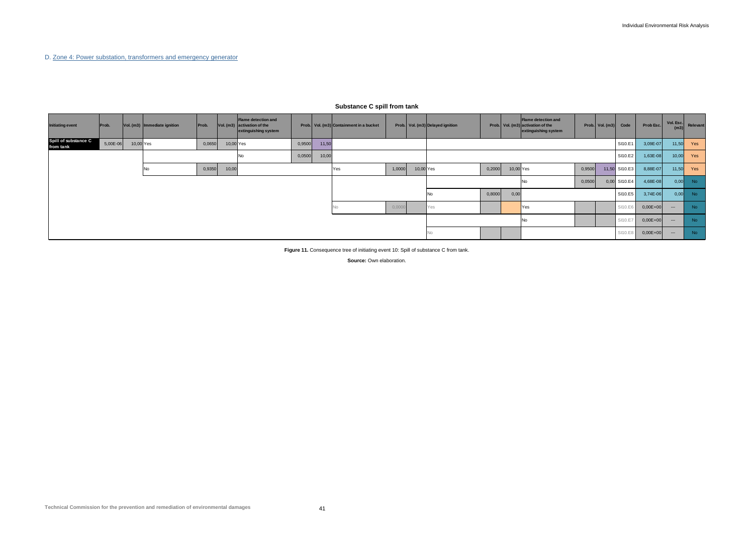# D. Zone 4: Power substation, transformers and emergency generator

# **Substance C spill from tank**

**Figure 11.** Consequence tree of initiating event 10: Spill of substance C from tank.

| <b>Initiating event</b>           | Prob.    |           | Vol. (m3) Immediate ignition | Prob.  |           | <b>Hame detection and</b><br>$Vol. (m3)$ activation of the<br>extinguishing system |        |       | Prob. Vol. (m3) Containment in a bucket |        |           | Prob. Vol. (m3) Delayed ignition |                               |      | <b>Hame detection and</b><br>Prob. Vol. (m3) activation of the<br>extinguishing system |        | Prob. Vol. (m3) Code |              | Prob Esc.  | Vol. Esc.<br>(m3)        | Relevant |
|-----------------------------------|----------|-----------|------------------------------|--------|-----------|------------------------------------------------------------------------------------|--------|-------|-----------------------------------------|--------|-----------|----------------------------------|-------------------------------|------|----------------------------------------------------------------------------------------|--------|----------------------|--------------|------------|--------------------------|----------|
| Spill of substance C<br>from tank | 5,00E-06 | 10,00 Yes |                              | 0,0650 | 10,00 Yes |                                                                                    | 0,9500 | 11,50 |                                         |        |           |                                  |                               |      |                                                                                        |        |                      | SI10.E1      | $3,09E-07$ | 11,50                    | Yes      |
|                                   |          |           |                              |        |           |                                                                                    | 0,0500 | 10,00 |                                         |        |           |                                  | $11,50$ SI10.E3               |      |                                                                                        |        |                      | SI10.E2      | $1,63E-08$ | 10,00                    | Yes      |
|                                   |          |           |                              | 0,9350 | 10,00     |                                                                                    |        |       | Yes                                     | 1,0000 | 10,00 Yes |                                  | 0,2000<br>0,9500<br>10,00 Yes |      |                                                                                        |        |                      |              | 8,88E-07   | 11,50                    | Yes      |
|                                   |          |           |                              |        |           |                                                                                    |        |       |                                         |        |           |                                  | <b>No</b>                     |      |                                                                                        | 0,0500 |                      | 0,00 SI10.E4 | $4,68E-08$ | 0,00                     | No.      |
|                                   |          |           |                              |        |           |                                                                                    |        |       |                                         |        |           | No.                              | 0,8000                        | 0,00 |                                                                                        |        |                      | SI10.E5      | $3,74E-06$ | 0,00                     | No.      |
|                                   |          |           |                              |        |           |                                                                                    |        |       |                                         | 0,0000 |           | <b>Yes</b><br>Yes                |                               |      |                                                                                        |        | SI10.E6              | $0,00E+00$   | $\cdots$   | No.                      |          |
|                                   |          |           |                              |        |           |                                                                                    |        |       |                                         |        |           |                                  | <b>No</b>                     |      |                                                                                        |        |                      | SI10.E7      | $0,00E+00$ | $\hspace{0.05cm} \ldots$ | No.      |
|                                   |          |           |                              |        |           |                                                                                    |        |       |                                         |        |           | No                               |                               |      |                                                                                        |        |                      | SI10.E8      | $0,00E+00$ | $---$                    | No.      |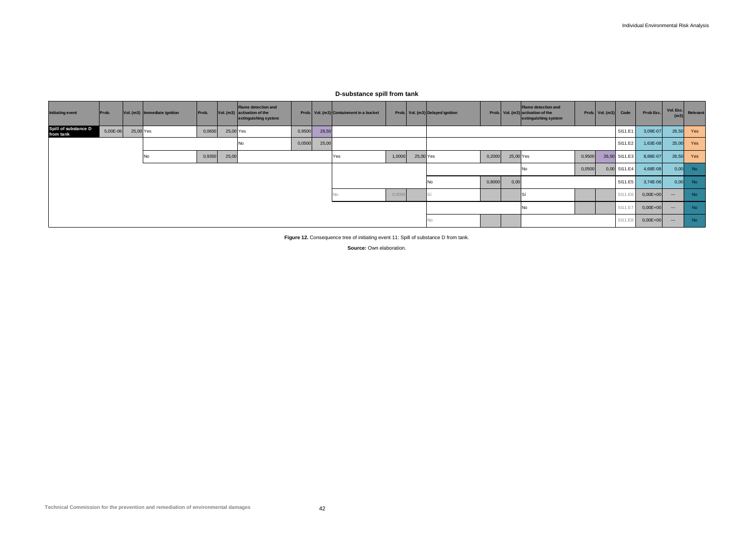# **D-substance spill from tank**

**Source:** Own elaboration.

| Initiating event                  | Prob.    |           | Vol. (m3) Immediate ignition | Prob.  |           | <b>Hame detection and</b><br>$ Vol. (m3) $ activation of the<br>extinguishing system |        |       | Prob. Vol. (m3) Containment in a bucket |        |           | Prob. Vol. (m3) Delayed ignition |        | <b>Hame detection and</b><br>Prob. Vol. (m3) activation of the<br>extinguishing system |  | Prob. Vol. (m3) Code |         | Prob Esc.  | Vol. Esc.<br>(m3)        | Relevant |
|-----------------------------------|----------|-----------|------------------------------|--------|-----------|--------------------------------------------------------------------------------------|--------|-------|-----------------------------------------|--------|-----------|----------------------------------|--------|----------------------------------------------------------------------------------------|--|----------------------|---------|------------|--------------------------|----------|
| Spill of substance D<br>from tank | 5,00E-06 | 25,00 Yes |                              | 0,0650 | 25,00 Yes |                                                                                      | 0,9500 | 26,50 |                                         |        |           |                                  |        |                                                                                        |  |                      | SI11.E1 | $3,09E-07$ | 26,50                    | Yes      |
|                                   |          |           |                              |        |           | No.                                                                                  | 0,0500 | 25,00 |                                         |        |           |                                  |        |                                                                                        |  |                      | SI11.E2 | $1,63E-08$ | 25,00                    | Yes      |
|                                   |          |           |                              | 0,9350 | 25,00     |                                                                                      |        |       | Yes                                     | 1,0000 | 25,00 Yes |                                  | 0,2000 |                                                                                        |  |                      | SI11.E3 | 8,88E-07   | 26,50                    | Yes      |
|                                   |          |           |                              |        |           |                                                                                      |        |       |                                         |        |           |                                  |        |                                                                                        |  |                      |         | 4,68E-08   | 0,00                     | No.      |
|                                   |          |           |                              |        |           |                                                                                      |        |       |                                         |        |           | I No                             | 0,8000 |                                                                                        |  |                      | SI11.E5 | $3,74E-06$ | 0,00                     | No.      |
|                                   |          |           |                              |        |           |                                                                                      |        |       |                                         | 0,0000 |           |                                  |        | 1Sí                                                                                    |  |                      | SI11.E6 | $0,00E+00$ | $\cdots$                 | No.      |
|                                   |          |           |                              |        |           |                                                                                      |        |       |                                         |        |           |                                  |        | <b>No</b>                                                                              |  |                      | SI11.E7 | $0,00E+00$ | $\overline{\phantom{a}}$ | No.      |
|                                   |          |           |                              |        |           |                                                                                      |        |       |                                         |        |           |                                  |        | 0,9500<br>25,00 Yes<br>26,50<br>0,0500<br>0,00 SI11.E4<br>0,00<br>SI11.E8              |  |                      |         | $0,00E+00$ | $\hspace{0.05cm} \ldots$ | No.      |

Figure 12. Consequence tree of initiating event 11: Spill of substance D from tank.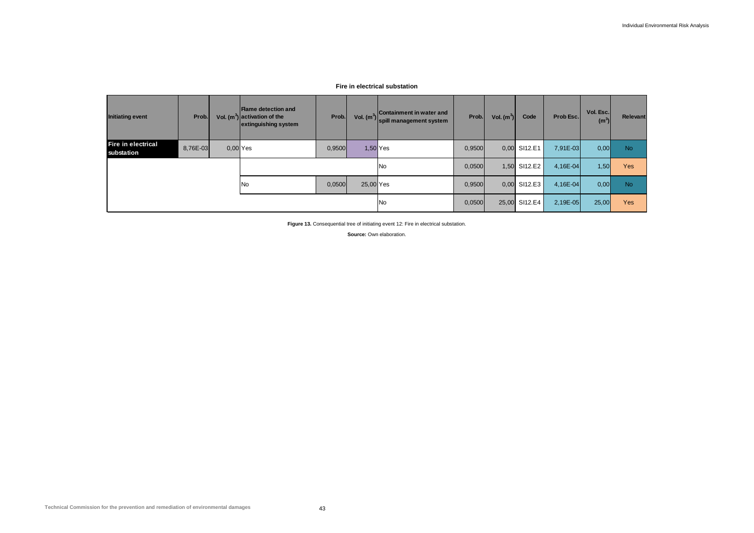## **Fire in electrical substation**

**Figure 13.** Consequential tree of initiating event 12: Fire in electrical substation.

| <b>Initiating event</b>                 | Prob.    | <b>Hame detection and</b><br>Vol. $(m^3)$ activation of the<br>extinguishing system | Prob.  | Vol. $(m^3)$ | Containment in water and<br>spill management system | Prob.  | Vol. $(m^3)$ | Code          | Prob Esc.  | Vol. Esc.<br>$(m^3)$ | <b>Relevant</b> |
|-----------------------------------------|----------|-------------------------------------------------------------------------------------|--------|--------------|-----------------------------------------------------|--------|--------------|---------------|------------|----------------------|-----------------|
| <b>Fire in electrical</b><br>substation | 8,76E-03 | $0,00$ Yes                                                                          | 0,9500 |              | $1,50$ Yes                                          | 0,9500 |              | 0,00 SI12.E1  | $7,91E-03$ | 0,00                 | <b>No</b>       |
|                                         |          |                                                                                     |        |              | No                                                  | 0,0500 |              | 1,50 SI12.E2  | $4,16E-04$ | 1,50                 | Yes             |
|                                         |          | <b>INo</b>                                                                          | 0,0500 | 25,00 Yes    |                                                     | 0,9500 |              | 0,00 SI12.E3  | $4,16E-04$ | 0,00                 | <b>No</b>       |
|                                         |          |                                                                                     |        |              | No                                                  | 0,0500 |              | 25,00 SI12.E4 | $2,19E-05$ | 25,00                | Yes             |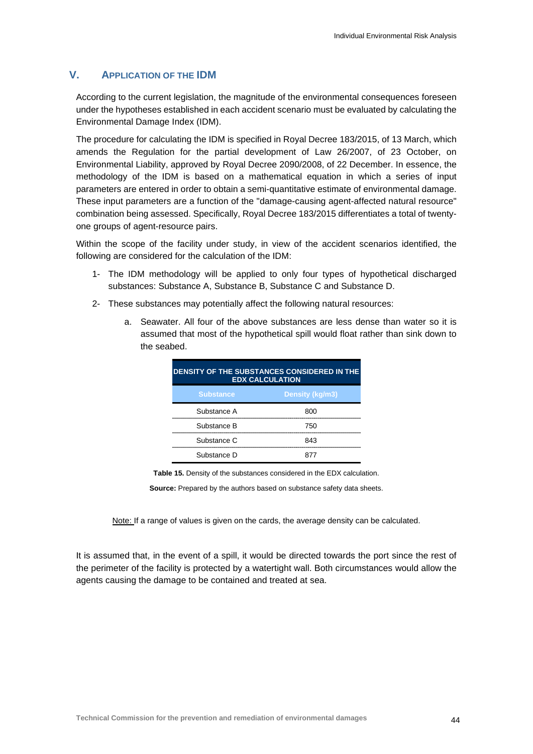# **V. APPLICATION OF THE IDM**

According to the current legislation, the magnitude of the environmental consequences foreseen under the hypotheses established in each accident scenario must be evaluated by calculating the Environmental Damage Index (IDM).

The procedure for calculating the IDM is specified in Royal Decree 183/2015, of 13 March, which amends the Regulation for the partial development of Law 26/2007, of 23 October, on Environmental Liability, approved by Royal Decree 2090/2008, of 22 December. In essence, the methodology of the IDM is based on a mathematical equation in which a series of input parameters are entered in order to obtain a semi-quantitative estimate of environmental damage. These input parameters are a function of the "damage-causing agent-affected natural resource" combination being assessed. Specifically, Royal Decree 183/2015 differentiates a total of twentyone groups of agent-resource pairs.

Within the scope of the facility under study, in view of the accident scenarios identified, the following are considered for the calculation of the IDM:

- 1- The IDM methodology will be applied to only four types of hypothetical discharged substances: Substance A, Substance B, Substance C and Substance D.
- 2- These substances may potentially affect the following natural resources:
	- a. Seawater. All four of the above substances are less dense than water so it is assumed that most of the hypothetical spill would float rather than sink down to the seabed.

|                  | DENSITY OF THE SUBSTANCES CONSIDERED IN THE<br><b>EDX CALCULATION</b> |
|------------------|-----------------------------------------------------------------------|
| <b>Substance</b> | Density (kg/m3)                                                       |
| Substance A      |                                                                       |
| Substance B      | 750                                                                   |
| Substance C      | 843                                                                   |
| Substance D      |                                                                       |

**Table 15.** Density of the substances considered in the EDX calculation.

**Source:** Prepared by the authors based on substance safety data sheets.

Note: If a range of values is given on the cards, the average density can be calculated.

It is assumed that, in the event of a spill, it would be directed towards the port since the rest of the perimeter of the facility is protected by a watertight wall. Both circumstances would allow the agents causing the damage to be contained and treated at sea.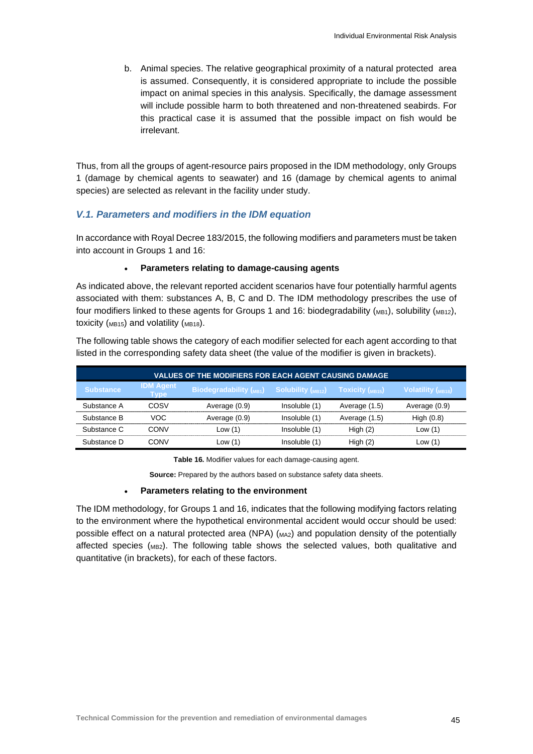b. Animal species. The relative geographical proximity of a natural protected area is assumed. Consequently, it is considered appropriate to include the possible impact on animal species in this analysis. Specifically, the damage assessment will include possible harm to both threatened and non-threatened seabirds. For this practical case it is assumed that the possible impact on fish would be irrelevant.

Thus, from all the groups of agent-resource pairs proposed in the IDM methodology, only Groups 1 (damage by chemical agents to seawater) and 16 (damage by chemical agents to animal species) are selected as relevant in the facility under study.

# *V.1. Parameters and modifiers in the IDM equation*

In accordance with Royal Decree 183/2015, the following modifiers and parameters must be taken into account in Groups 1 and 16:

### **Parameters relating to damage-causing agents**

As indicated above, the relevant reported accident scenarios have four potentially harmful agents associated with them: substances A, B, C and D. The IDM methodology prescribes the use of four modifiers linked to these agents for Groups 1 and 16: biodegradability ( $_{MB1}$ ), solubility ( $_{MB12}$ ), toxicity  $(MB15)$  and volatility  $(MB18)$ .

The following table shows the category of each modifier selected for each agent according to that listed in the corresponding safety data sheet (the value of the modifier is given in brackets).

|                  |                          | <b>VALUES OF THE MODIFIERS FOR EACH AGENT CAUSING DAMAGE</b>                                                        |               |               |                                                   |
|------------------|--------------------------|---------------------------------------------------------------------------------------------------------------------|---------------|---------------|---------------------------------------------------|
| <b>Substance</b> | <b>IDM Agent</b><br>Tvpe | Biodegradability $\binom{M_{B1}}{M_{B1}}$ Solubility $\binom{M_{B12}}{M_{B15}}$ Toxicity $\binom{M_{B15}}{M_{B15}}$ |               |               | Volatility $\left(\mathsf{M}_{\text{B18}}\right)$ |
| Substance A      | COSV                     | Average (0.9)                                                                                                       | Insoluble (1) | Average (1.5) | Average (0.9)                                     |
| Substance B      | VOC.                     | Average (0.9)                                                                                                       | Insoluble (1) | Average (1.5) | High $(0.8)$                                      |
| Substance C      | CONV                     | _ow (1)                                                                                                             | Insoluble (1) | High $(2)$    | Low (1)                                           |
| Substance D      | CONV                     | _ow (1)                                                                                                             | Insoluble (1) | High $(2)$    | Low (1)                                           |

**Table 16.** Modifier values for each damage-causing agent.

**Source:** Prepared by the authors based on substance safety data sheets.

### **Parameters relating to the environment**

The IDM methodology, for Groups 1 and 16, indicates that the following modifying factors relating to the environment where the hypothetical environmental accident would occur should be used: possible effect on a natural protected area (NPA) (MA2) and population density of the potentially affected species  $(MBE)$ . The following table shows the selected values, both qualitative and quantitative (in brackets), for each of these factors.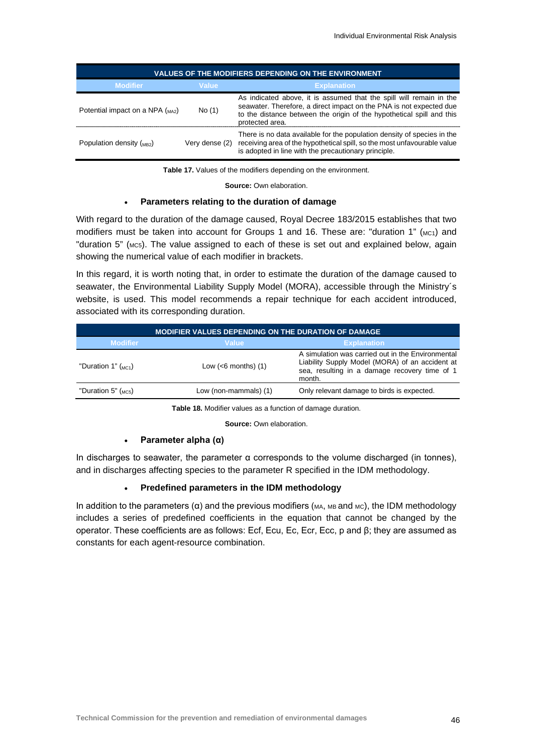|                                          |                | <b>VALUES OF THE MODIFIERS DEPENDING ON THE ENVIRONMENT</b>                                                                                                                                                                            |
|------------------------------------------|----------------|----------------------------------------------------------------------------------------------------------------------------------------------------------------------------------------------------------------------------------------|
| Modifier                                 | Value          | <b>Explanation</b>                                                                                                                                                                                                                     |
| Potential impact on a NPA $\binom{M}{2}$ | No (1)         | As indicated above, it is assumed that the spill will remain in the<br>seawater. Therefore, a direct impact on the PNA is not expected due<br>to the distance between the origin of the hypothetical spill and this<br>protected area. |
| Population density $\binom{M}{M}$        | Very dense (2) | There is no data available for the population density of species in the<br>receiving area of the hypothetical spill, so the most unfavourable value<br>is adopted in line with the precautionary principle.                            |

**Table 17.** Values of the modifiers depending on the environment.

**Source:** Own elaboration.

## **Parameters relating to the duration of damage**

With regard to the duration of the damage caused, Royal Decree 183/2015 establishes that two modifiers must be taken into account for Groups 1 and 16. These are: "duration 1" ( $_{MC1}$ ) and "duration 5" ( $_{MCS}$ ). The value assigned to each of these is set out and explained below, again showing the numerical value of each modifier in brackets.

In this regard, it is worth noting that, in order to estimate the duration of the damage caused to seawater, the Environmental Liability Supply Model (MORA), accessible through the Ministry's website, is used. This model recommends a repair technique for each accident introduced, associated with its corresponding duration.

|                                        | <b>MODIFIER VALUES DEPENDING ON THE DURATION OF DAMAGE</b> |                                                                                                                                                                 |
|----------------------------------------|------------------------------------------------------------|-----------------------------------------------------------------------------------------------------------------------------------------------------------------|
| <b>Modifier</b>                        | <b>Value</b>                                               | <b>Explanation</b>                                                                                                                                              |
| "Duration 1" $(mc_1)$                  | Low $(6 \text{ months}) (1)$                               | A simulation was carried out in the Environmental<br>Liability Supply Model (MORA) of an accident at<br>sea, resulting in a damage recovery time of 1<br>month. |
| "Duration 5" $\left(\text{MCS}\right)$ | Low (non-mammals) (1)                                      | Only relevant damage to birds is expected.                                                                                                                      |

**Table 18.** Modifier values as a function of damage duration.

**Source:** Own elaboration.

#### **Parameter alpha (α)**

In discharges to seawater, the parameter  $\alpha$  corresponds to the volume discharged (in tonnes), and in discharges affecting species to the parameter R specified in the IDM methodology.

## **Predefined parameters in the IDM methodology**

In addition to the parameters  $(\alpha)$  and the previous modifiers ( $_{\text{MA, MB}}$  and  $_{\text{MC}}$ ), the IDM methodology includes a series of predefined coefficients in the equation that cannot be changed by the operator. These coefficients are as follows: Ecf, Ecu, Ec, Ecr, Ecc, p and β; they are assumed as constants for each agent-resource combination.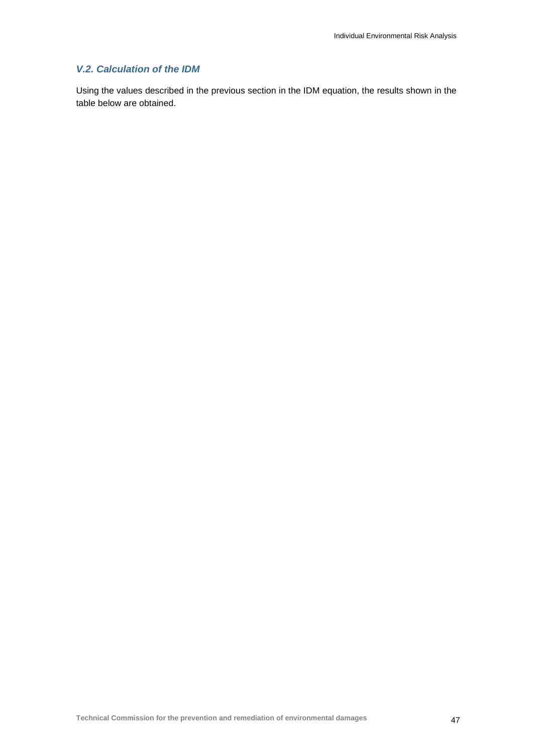# *V.2. Calculation of the IDM*

Using the values described in the previous section in the IDM equation, the results shown in the table below are obtained.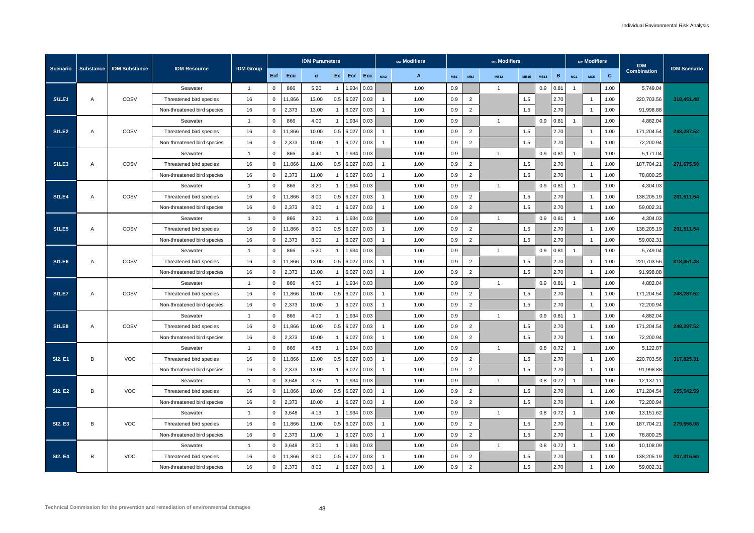|                 |                  |                      |                             |                  |                |        | <b>IDM Parameters</b> |                |                   |                      |                | MA Modifiers |         |                | Modifiers      |             |             |      |                 | Mc Modifiers   |              | <b>IDM</b>         |                     |
|-----------------|------------------|----------------------|-----------------------------|------------------|----------------|--------|-----------------------|----------------|-------------------|----------------------|----------------|--------------|---------|----------------|----------------|-------------|-------------|------|-----------------|----------------|--------------|--------------------|---------------------|
| <b>Scenario</b> | <b>Substance</b> | <b>IDM Substance</b> | <b>IDM Resource</b>         | <b>IDM Group</b> | Ecf            | Ecu    | $\alpha$              | Ec             | Ecr               | Ecc.                 | MA2            | A            | MB1     | MB2            | <b>MB12</b>    | <b>MB15</b> | <b>MB18</b> | B    | MC <sub>1</sub> | MC5            | $\mathbf{C}$ | <b>Combination</b> | <b>IDM Scenario</b> |
|                 |                  |                      | Seawater                    | $\overline{1}$   | $\mathbf 0$    | 866    | 5.20                  | $\overline{1}$ | 1,934             | 0.03                 |                | 1.00         | 0.9     |                | $\overline{1}$ |             | 0.9         | 0.81 |                 |                | 1.00         | 5,749.04           |                     |
| <b>SI1.E1</b>   | A                | COSV                 | Threatened bird species     | 16               | $\mathbf 0$    | 11,866 | 13.00                 |                | $0.5 \quad 6,027$ | 0.03                 | $\overline{1}$ | 1.00         | 0.9     | $\overline{2}$ |                | 1.5         |             | 2.70 |                 |                | 1.00         | 220,703.56         | 318,451.48          |
|                 |                  |                      | Non-threatened bird species | 16               | $\mathbf 0$    | 2,373  | 13.00                 |                | 6,027             | 0.03                 | $\overline{1}$ | 1.00         | 0.9     | $\overline{2}$ |                | 1.5         |             | 2.70 |                 |                | 1.00         | 91,998.88          |                     |
|                 |                  |                      | Seawater                    | $\overline{1}$   | $\mathbf 0$    | 866    | 4.00                  |                | 1,934             | 0.03                 |                | 1.00         | 0.9     |                | $\overline{1}$ |             | 0.9         | 0.81 |                 |                | 1.00         | 4,882.04           |                     |
| <b>SI1.E2</b>   | A                | COSV                 | Threatened bird species     | 16               | $\overline{0}$ | 11,866 | 10.00                 |                | $0.5 \quad 6,027$ | 0.03                 | $\overline{1}$ | 1.00         | 0.9     | $\overline{2}$ |                | 1.5         |             | 2.70 |                 |                | 1.00         | 171,204.54         | 248,287.52          |
|                 |                  |                      | Non-threatened bird species | 16               | $\mathbf 0$    | 2,373  | 10.00                 |                | 6,027             | 0.03                 |                | 1.00         | 0.9     | $\overline{2}$ |                | 1.5         |             | 2.70 |                 |                | 1.00         | 72,200.94          |                     |
|                 |                  |                      | Seawater                    | $\overline{1}$   | $\mathbf 0$    | 866    | 4.40                  |                | 1,934             | 0.03                 |                | 1.00         | 0.9     |                | -1             |             | 0.9         | 0.81 |                 |                | 1.00         | 5,171.04           |                     |
| <b>SI1.E3</b>   | A                | COSV                 | Threatened bird species     | 16               | $\mathbf 0$    | 11,866 | 11.00                 |                | $0.5 \quad 6,027$ | 0.03                 |                | 1.00         | 0.9     | $\overline{2}$ |                | 1.5         |             | 2.70 |                 |                | 1.00         | 187,704.21         | 271,675.50          |
|                 |                  |                      | Non-threatened bird species | 16               | $\mathbf 0$    | 2,373  | 11.00                 |                | 6,027             | 0.03                 | $\overline{1}$ | 1.00         | 0.9     | 2              |                | 1.5         |             | 2.70 |                 |                | 1.00         | 78,800.25          |                     |
|                 |                  |                      | Seawater                    | $\overline{1}$   | $\mathbf 0$    | 866    | 3.20                  |                | 1,934             | 0.03                 |                | 1.00         | 0.9     |                | $\overline{1}$ |             | 0.9         | 0.81 |                 |                | 1.00         | 4,304.03           |                     |
| <b>SI1.E4</b>   | A                | COSV                 | Threatened bird species     | 16               | $\overline{0}$ | 11,866 | 8.00                  |                | $0.5 \quad 6,027$ | 0.03                 | $\overline{1}$ | 1.00         | 0.9     | $\overline{2}$ |                | 1.5         |             | 2.70 |                 |                | 1.00         | 138,205.19         | 201,511.54          |
|                 |                  |                      | Non-threatened bird species | 16               | $\mathbf{0}$   | 2,373  | 8.00                  |                | 6,027             | 0.03                 | $\overline{1}$ | 1.00         | 0.9     | 2              |                | 1.5         |             | 2.70 |                 |                | 1.00         | 59,002.31          |                     |
|                 |                  |                      | Seawater                    | $\overline{1}$   | $\mathbf 0$    | 866    | 3.20                  |                | 1,934             | 0.03                 |                | 1.00         | 0.9     |                | $\overline{1}$ |             | 0.9         | 0.81 | -1              |                | 1.00         | 4,304.03           |                     |
| <b>SI1.E5</b>   | A                | COSV                 | Threatened bird species     | 16               | $\mathbf 0$    | 11,866 | 8.00                  |                | $0.5 \, 6,027$    | 0.03                 |                | 1.00         | 0.9     | $\overline{2}$ |                | 1.5         |             | 2.70 |                 |                | 1.00         | 138,205.19         | 201,511.54          |
|                 |                  |                      | Non-threatened bird species | 16               | $\mathbf 0$    | 2,373  | 8.00                  |                | 6,027             | 0.03                 |                | 1.00         | 0.9     | $\overline{2}$ |                | 1.5         |             | 2.70 |                 |                | 1.00         | 59,002.31          |                     |
|                 |                  |                      | Seawater                    | $\mathbf{1}$     | $\mathbf 0$    | 866    | 5.20                  |                | 1,934             | 0.03                 |                | 1.00         | 0.9     |                | $\overline{1}$ |             | 0.9         | 0.81 | -1              |                | 1.00         | 5,749.04           |                     |
| <b>SI1.E6</b>   | Α                | COSV                 | Threatened bird species     | 16               | $\mathbf 0$    | 11,866 | 13.00                 |                | $0.5 \, 6,027$    | 0.03                 |                | 1.00         | 0.9     | $\overline{2}$ |                | 1.5         |             | 2.70 |                 |                | 1.00         | 220,703.56         | 318,451.48          |
|                 |                  |                      | Non-threatened bird species | 16               | $\Omega$       | 2,373  | 13.00                 |                | 6,027             | 0.03                 | $\overline{1}$ | 1.00         | 0.9     | $\overline{2}$ |                | 1.5         |             | 2.70 |                 |                | 1.00         | 91,998.88          |                     |
|                 |                  |                      | Seawater                    | $\overline{1}$   | $\overline{0}$ | 866    | 4.00                  |                | 1,934             | 0.03                 |                | 1.00         | 0.9     |                | $\overline{1}$ |             | 0.9         | 0.81 |                 |                | 1.00         | 4,882.04           |                     |
| <b>SI1.E7</b>   | A                | COSV                 | Threatened bird species     | 16               | $\overline{0}$ | 11,866 | 10.00                 |                | $0.5 \quad 6,027$ | 0.03                 |                | 1.00         | 0.9     | $\overline{2}$ |                | 1.5         |             | 2.70 |                 |                | 1.00         | 171,204.54         | 248,287.52          |
|                 |                  |                      | Non-threatened bird species | 16               | $\mathbf 0$    | 2,373  | 10.00                 |                | 6,027             | 0.03                 |                | 1.00         | 0.9     | $\overline{2}$ |                | 1.5         |             | 2.70 |                 |                | 1.00         | 72,200.94          |                     |
|                 |                  |                      | Seawater                    | $\overline{1}$   | $\overline{0}$ | 866    | 4.00                  |                | 1,934             | 0.03                 |                | 1.00         | 0.9     |                | $\overline{1}$ |             | 0.9         | 0.81 |                 |                | 1.00         | 4,882.04           |                     |
| <b>SI1.E8</b>   | A                | COSV                 | Threatened bird species     | 16               | $\overline{0}$ | 11,866 | 10.00                 |                | $0.5 \, 6,027$    | 0.03                 | $\overline{1}$ | 1.00         | 0.9     | $\overline{2}$ |                | 1.5         |             | 2.70 |                 |                | 1.00         | 171,204.54         | 248,287.52          |
|                 |                  |                      | Non-threatened bird species | 16               | 0              | 2,373  | 10.00                 | $\mathbf{1}$   |                   | 6,027 0.03           | $\overline{1}$ | 1.00         | 0.9     | $\overline{2}$ |                | 1.5         |             | 2.70 |                 |                | 1.00         | 72,200.94          |                     |
|                 |                  |                      | Seawater                    | $\overline{1}$   | $\overline{0}$ | 866    | 4.88                  |                |                   | 1,934 0.03           |                | 1.00         | 0.9     |                | $\overline{1}$ |             | 0.8         | 0.72 | $\mathbf{1}$    |                | 1.00         | 5,122.87           |                     |
| <b>SI2. E1</b>  | B                | VOC                  | Threatened bird species     | 16               | $\overline{0}$ | 11,866 | 13.00                 |                |                   | $0,5$ 6,027 0.03     | $\overline{1}$ | 1.00         | $0.9\,$ | $\overline{2}$ |                | 1.5         |             | 2.70 |                 |                | 1.00         | 220,703.56         | 317,825.31          |
|                 |                  |                      | Non-threatened bird species | 16               | $\mathbf 0$    | 2,373  | 13.00                 |                |                   | 6,027 0.03           | $\overline{1}$ | 1.00         | 0.9     | $\overline{2}$ |                | 1.5         |             | 2.70 |                 |                | 1.00         | 91,998.88          |                     |
|                 |                  |                      | Seawater                    | $\mathbf{1}$     | $\overline{0}$ | 3,648  | 3.75                  |                |                   | 1,934 0.03           |                | 1.00         | 0.9     |                | $\overline{1}$ |             | 0.8         | 0.72 | $\overline{1}$  |                | 1.00         | 12,137.11          |                     |
| <b>SI2. E2</b>  | B                | VOC                  | Threatened bird species     | 16               | $\overline{0}$ | 11,866 | 10.00                 |                |                   | $0.5 \ 6.027 \ 0.03$ | $\overline{1}$ | 1.00         | 0.9     | $\overline{2}$ |                | 1.5         |             | 2.70 |                 |                | 1.00         | 171,204.54         | 255,542.59          |
|                 |                  |                      | Non-threatened bird species | 16               | $\mathbf 0$    | 2,373  | 10.00                 |                |                   | $6,027$ 0.03         | $\overline{1}$ | 1.00         | $0.9\,$ | $\overline{2}$ |                | 1.5         |             | 2.70 |                 |                | 1.00         | 72,200.94          |                     |
|                 |                  |                      | Seawater                    | $\mathbf{1}$     | $\overline{0}$ | 3,648  | 4.13                  |                |                   | 1,934 0.03           |                | 1.00         | $0.9\,$ |                | $\overline{1}$ |             | 0.8         | 0.72 | $\overline{1}$  |                | 1.00         | 13,151.62          |                     |
| <b>SI2. E3</b>  | B                | VOC                  | Threatened bird species     | 16               | $\overline{0}$ | 11,866 | 11.00                 |                |                   | $0.5$ 6,027 0.03     | $\overline{1}$ | 1.00         | 0.9     | $\overline{2}$ |                | 1.5         |             | 2.70 |                 |                | 1.00         | 187,704.21         | 279,656.08          |
|                 |                  |                      | Non-threatened bird species | 16               | $\mathbf 0$    | 2,373  | 11.00                 |                |                   | 6,027 0.03           | $\overline{1}$ | 1.00         | $0.9\,$ | $\overline{2}$ |                | 1.5         |             | 2.70 |                 |                | 1.00         | 78,800.25          |                     |
|                 |                  |                      | Seawater                    | $\mathbf{1}$     | $\mathbf 0$    | 3,648  | 3.00                  |                |                   | $1,934$ 0.03         |                | 1.00         | 0.9     |                | $\overline{1}$ |             | 0.8         | 0.72 |                 |                | 1.00         | 10,108.09          |                     |
| <b>SI2. E4</b>  | B                | VOC                  | Threatened bird species     | 16               | $\overline{0}$ | 11,866 | 8.00                  |                |                   | 0.5   6,027   0.03   | $\overline{1}$ | 1.00         | $0.9\,$ | $\overline{2}$ |                | 1.5         |             | 2.70 |                 | $\overline{1}$ | 1.00         | 138,205.19         | 207,315.60          |
|                 |                  |                      | Non-threatened bird species | 16               | $\overline{0}$ | 2,373  | 8.00                  | $\mathbf{1}$   |                   | 6,027 0.03           | $\overline{1}$ | 1.00         | 0.9     | $\overline{2}$ |                | $1.5\,$     |             | 2.70 |                 |                | 1.00         | 59,002.31          |                     |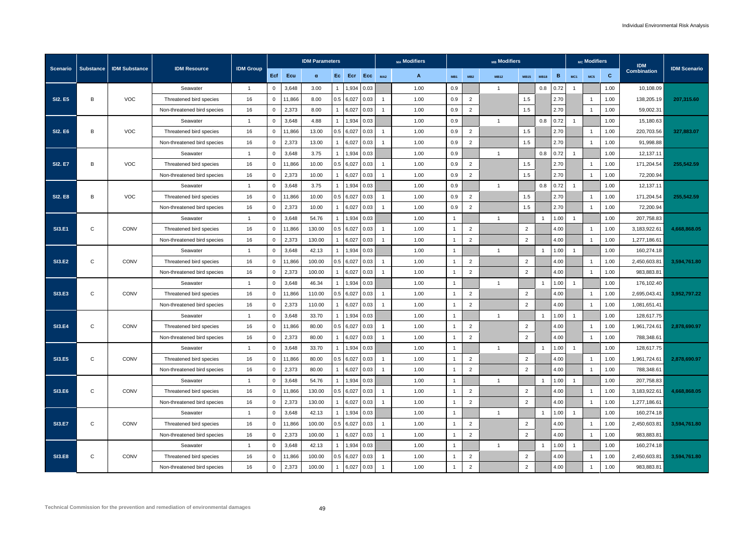|                 |                  |                      |                             |                  |                |        | <b>IDM Parameters</b> |              |                            |              |     | Modifiers    |                |                | MB Modifiers   |                 |             |      |                 | Mc Modifiers   |              | <b>IDM</b>         |                     |
|-----------------|------------------|----------------------|-----------------------------|------------------|----------------|--------|-----------------------|--------------|----------------------------|--------------|-----|--------------|----------------|----------------|----------------|-----------------|-------------|------|-----------------|----------------|--------------|--------------------|---------------------|
| <b>Scenario</b> | <b>Substance</b> | <b>IDM Substance</b> | <b>IDM Resource</b>         | <b>IDM Group</b> | Ecf            | Ecu    | $\alpha$              | Ec           | Ecr                        | Ecc.         | MA2 | $\mathbf{A}$ | MB1            | MB2            | <b>MB12</b>    | <b>MB15</b>     | <b>MB18</b> | B    | MC <sub>1</sub> | MC5            | $\mathbf{C}$ | <b>Combination</b> | <b>IDM Scenario</b> |
|                 |                  |                      | Seawater                    | $\overline{1}$   | $\mathbf 0$    | 3,648  | 3.00                  | $\mathbf{1}$ | 1,934                      | 0.03         |     | 1.00         | 0.9            |                | $\overline{1}$ |                 | 0.8         | 0.72 |                 |                | 1.00         | 10,108.09          |                     |
| <b>SI2. E5</b>  | B                | <b>VOC</b>           | Threatened bird species     | 16               | $\mathbf 0$    | 11,866 | 8.00                  |              | $0.5 \quad 6,027$          | 0.03         |     | 1.00         | 0.9            | $\overline{2}$ |                | 1.5             |             | 2.70 |                 |                | 1.00         | 138,205.19         | 207,315.60          |
|                 |                  |                      | Non-threatened bird species | 16               | $\Omega$       | 2,373  | 8.00                  | $\mathbf{1}$ | 6,027                      | 0.03         |     | 1.00         | 0.9            | $\overline{2}$ |                | 1.5             |             | 2.70 |                 |                | 1.00         | 59,002.31          |                     |
|                 |                  |                      | Seawater                    | $\overline{1}$   | $\Omega$       | 3,648  | 4.88                  |              | 1,934                      | 0.03         |     | 1.00         | 0.9            |                | 1              |                 | 0.8         | 0.72 |                 |                | 1.00         | 15,180.63          |                     |
| <b>SI2. E6</b>  | B                | <b>VOC</b>           | Threatened bird species     | 16               | $\overline{0}$ | 11,866 | 13.00                 |              | 0.5   6,027                | 0.03         |     | 1.00         | 0.9            | $\overline{2}$ |                | 1.5             |             | 2.70 |                 |                | 1.00         | 220,703.56         | 327,883.07          |
|                 |                  |                      | Non-threatened bird species | 16               | $\mathbf 0$    | 2,373  | 13.00                 |              | 6,027                      | 0.03         |     | 1.00         | 0.9            | $\overline{2}$ |                | 1.5             |             | 2.70 |                 |                | 1.00         | 91,998.88          |                     |
|                 |                  |                      | Seawater                    | $\overline{1}$   | $\mathbf 0$    | 3,648  | 3.75                  |              | 1,934                      | 0.03         |     | 1.00         | 0.9            |                | $\overline{1}$ |                 | 0.8         | 0.72 |                 |                | 1.00         | 12,137.11          |                     |
| <b>SI2. E7</b>  | B                | <b>VOC</b>           | Threatened bird species     | 16               | $\mathbf 0$    | 11,866 | 10.00                 |              | $0.5 \quad 6,027$          | 0.03         |     | 1.00         | 0.9            | $\overline{2}$ |                | 1.5             |             | 2.70 |                 |                | 1.00         | 171,204.54         | 255,542.59          |
|                 |                  |                      | Non-threatened bird species | 16               | $\Omega$       | 2,373  | 10.00                 | $\mathbf{1}$ | 6,027                      | 0.03         |     | 1.00         | 0.9            | $\overline{2}$ |                | 1.5             |             | 2.70 |                 |                | 1.00         | 72,200.94          |                     |
|                 |                  |                      | Seawater                    | $\overline{1}$   | $\Omega$       | 3,648  | 3.75                  |              | 1,934                      | 0.03         |     | 1.00         | 0.9            |                | $\overline{1}$ |                 | 0.8         | 0.72 |                 |                | 1.00         | 12,137.11          |                     |
| <b>SI2. E8</b>  | B                | VOC                  | Threatened bird species     | 16               | $\Omega$       | 11,866 | 10.00                 |              | $0.5 \, 6.027$             | 0.03         |     | 1.00         | 0.9            | $\overline{2}$ |                | 1.5             |             | 2.70 |                 |                | 1.00         | 171,204.54         | 255,542.59          |
|                 |                  |                      | Non-threatened bird species | 16               | $\mathbf 0$    | 2,373  | 10.00                 |              | 6,027                      | 0.03         |     | 1.00         | 0.9            | $\overline{2}$ |                | 1.5             |             | 2.70 |                 |                | 1.00         | 72,200.94          |                     |
|                 |                  |                      | Seawater                    | $\overline{1}$   | $\mathbf 0$    | 3,648  | 54.76                 | $\mathbf{1}$ |                            | 1,934 0.03   |     | 1.00         | $\overline{1}$ |                | $\overline{1}$ |                 |             | 1.00 | $\overline{1}$  |                | 1.00         | 207,758.83         |                     |
| <b>SI3.E1</b>   | $\mathbf C$      | CONV                 | Threatened bird species     | 16               | $\mathbf 0$    | 11,866 | 130.00                |              | $0.5 \, 6,027$             | 0.03         |     | 1.00         |                | $\overline{2}$ |                | $\overline{2}$  |             | 4.00 |                 |                | 1.00         | 3,183,922.61       | 4.668.868.05        |
|                 |                  |                      | Non-threatened bird species | 16               | $\Omega$       | 2,373  | 130.00                |              | 6,027                      | 0.03         |     | 1.00         |                | $\overline{2}$ |                | $\overline{2}$  |             | 4.00 |                 |                | 1.00         | 1,277,186.61       |                     |
|                 |                  |                      | Seawater                    | $\mathbf{1}$     | $\Omega$       | 3,648  | 42.13                 | $\mathbf{1}$ | 1,934                      | 0.03         |     | 1.00         | $\mathbf{1}$   |                | $\overline{1}$ |                 |             | 1.00 |                 |                | 1.00         | 160,274.18         |                     |
| <b>SI3.E2</b>   | C                | CONV                 | Threatened bird species     | 16               | $\Omega$       | 11,866 | 100.00                |              | 0.5   6,027                | 0.03         |     | 1.00         |                | $\overline{2}$ |                | 2               |             | 4.00 |                 |                | 1.00         | 2,450,603.81       | 3,594,761.80        |
|                 |                  |                      | Non-threatened bird species | 16               | $\mathbf{0}$   | 2,373  | 100.00                |              | 6,027                      | 0.03         |     | 1.00         |                | $\overline{2}$ |                | $\overline{2}$  |             | 4.00 |                 |                | 1.00         | 983,883.81         |                     |
|                 |                  |                      | Seawater                    | $\overline{1}$   | $\mathbf{0}$   | 3,648  | 46.34                 |              | 1,934                      | 0.03         |     | 1.00         | $\mathbf{1}$   |                | 1              |                 |             | 1.00 |                 |                | 1.00         | 176,102.40         |                     |
| <b>SI3.E3</b>   | $\mathbf C$      | CONV                 | Threatened bird species     | 16               | $\mathbf 0$    | 11,866 | 110.00                |              | $0.5 \, 6,027$             | 0.03         |     | 1.00         |                | $\overline{2}$ |                | $\overline{2}$  |             | 4.00 |                 |                | 1.00         | 2,695,043.41       | 3,952,797.22        |
|                 |                  |                      | Non-threatened bird species | 16               | $\Omega$       | 2,373  | 110.00                |              | 6,027                      | 0.03         |     | 1.00         |                | $\overline{2}$ |                | $\overline{2}$  |             | 4.00 |                 |                | 1.00         | 1,081,651.41       |                     |
|                 |                  |                      | Seawater                    | $\overline{1}$   | $\overline{0}$ | 3,648  | 33.70                 | $\mathbf{1}$ | 1,934                      | 0.03         |     | 1.00         | $\mathbf{1}$   |                | $\overline{1}$ |                 |             | 1.00 |                 |                | 1.00         | 128,617.75         |                     |
| <b>SI3.E4</b>   | C                | CONV                 | Threatened bird species     | 16               | $\mathbf{0}$   | 11,866 | 80.00                 |              | $0.5$ 6,027                | 0.03         |     | 1.00         |                | $\overline{2}$ |                | $\overline{2}$  |             | 4.00 |                 |                | 1.00         | 1,961,724.61       | 2.878.690.97        |
|                 |                  |                      | Non-threatened bird species | 16               | 0              | 2,373  | 80.00                 |              | 1   6,027   0.03           |              |     | 1.00         |                | $\overline{2}$ |                | $\overline{2}$  |             | 4.00 |                 |                | 1.00         | 788,348.61         |                     |
|                 |                  |                      | Seawater                    | $\overline{1}$   | $\overline{0}$ | 3,648  | 33.70                 | $\mathbf{1}$ |                            | 1,934 0.03   |     | 1.00         | $\mathbf{1}$   |                | $\overline{1}$ |                 |             | 1.00 | $\mathbf{1}$    |                | 1.00         | 128,617.75         |                     |
| <b>SI3.E5</b>   | $\mathsf{C}$     | CONV                 | Threatened bird species     | 16               | $\overline{0}$ | 11,866 | 80.00                 |              | $0.5$ 6,027 0.03           |              |     | 1.00         | $\overline{1}$ | $\overline{2}$ |                | $2\overline{ }$ |             | 4.00 |                 |                | 1.00         | 1,961,724.61       | 2,878,690.97        |
|                 |                  |                      | Non-threatened bird species | 16               | $\mathbf 0$    | 2,373  | 80.00                 |              | 6,027 0.03                 |              |     | 1.00         | $\mathbf{1}$   | $\overline{2}$ |                | $\overline{2}$  |             | 4.00 |                 |                | 1.00         | 788,348.61         |                     |
|                 |                  |                      | Seawater                    | $\mathbf{1}$     | $\mathbf 0$    | 3,648  | 54.76                 | $\mathbf{1}$ |                            | $1,934$ 0.03 |     | 1.00         | $\overline{1}$ |                | $\overline{1}$ |                 |             | 1.00 | $\overline{1}$  |                | 1.00         | 207,758.83         |                     |
| <b>SI3.E6</b>   | $\mathsf{C}$     | CONV                 | Threatened bird species     | 16               | $\mathbf 0$    | 11,866 | 130.00                |              | $0.5 \mid 6,027 \mid 0.03$ |              |     | 1.00         | $\mathbf{1}$   | $\overline{2}$ |                | $\overline{2}$  |             | 4.00 |                 |                | 1.00         | 3,183,922.61       | 4,668,868.05        |
|                 |                  |                      | Non-threatened bird species | 16               | $\mathbf 0$    | 2,373  | 130.00                |              |                            | 6,027 0.03   |     | 1.00         |                | $\overline{2}$ |                | $\overline{2}$  |             | 4.00 |                 |                | 1.00         | 1,277,186.61       |                     |
|                 |                  |                      | Seawater                    | $\mathbf{1}$     | $\mathbf 0$    | 3,648  | 42.13                 |              |                            | 1,934 0.03   |     | 1.00         | $\mathbf{1}$   |                | $\mathbf{1}$   |                 |             | 1.00 | $\overline{1}$  |                | 1.00         | 160,274.18         |                     |
| <b>SI3.E7</b>   | $\mathsf{C}$     | CONV                 | Threatened bird species     | 16               | $\overline{0}$ | 11,866 | 100.00                |              | $0.5$ 6,027 0.03           |              |     | 1.00         | $\mathbf{1}$   | $\overline{2}$ |                | $2\overline{ }$ |             | 4.00 |                 |                | 1.00         | 2,450,603.81       | 3,594,761.80        |
|                 |                  |                      | Non-threatened bird species | 16               | $\mathbf 0$    | 2,373  | 100.00                |              |                            | $6,027$ 0.03 |     | 1.00         | $\mathbf{1}$   | $\overline{2}$ |                | $\overline{2}$  |             | 4.00 |                 |                | 1.00         | 983,883.81         |                     |
|                 |                  |                      | Seawater                    | $\mathbf{1}$     | $\overline{0}$ | 3,648  | 42.13                 |              |                            | 1,934 0.03   |     | 1.00         | $\mathbf{1}$   |                | $\mathbf{1}$   |                 |             | 1.00 |                 |                | 1.00         | 160,274.18         |                     |
| <b>SI3.E8</b>   | $\mathbf C$      | CONV                 | Threatened bird species     | 16               | $\overline{0}$ | 11,866 | 100.00                |              | 0.5   6,027   0.03         |              |     | 1.00         | $\mathbf{1}$   | $\overline{2}$ |                | $\overline{2}$  |             | 4.00 |                 | $\overline{1}$ | 1.00         | 2,450,603.81       | 3,594,761.80        |
|                 |                  |                      | Non-threatened bird species | 16               | $\mathbf 0$    | 2,373  | 100.00                | $\mathbf{1}$ |                            | 6,027 0.03   |     | 1.00         | $\overline{1}$ | $\overline{2}$ |                | $\overline{2}$  |             | 4.00 |                 |                | 1.00         | 983,883.81         |                     |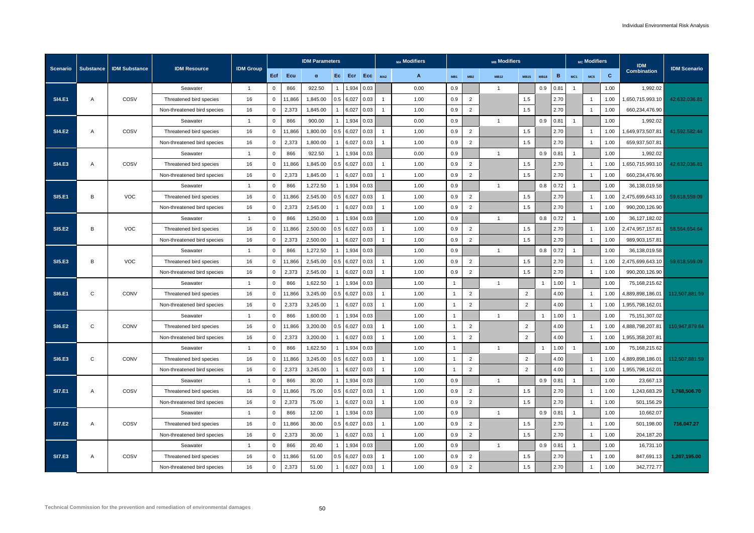### Individual Environmental Risk Analysis

|                 |                  |                      |                             |                  |                |        | <b>IDM Parameters</b> |    |                        |                | <sub>MA</sub> Modifiers |                |                | MB Modifiers            |                |                |      |                 | Mc Modifiers |              | <b>IDM</b>         |                     |
|-----------------|------------------|----------------------|-----------------------------|------------------|----------------|--------|-----------------------|----|------------------------|----------------|-------------------------|----------------|----------------|-------------------------|----------------|----------------|------|-----------------|--------------|--------------|--------------------|---------------------|
| <b>Scenario</b> | <b>Substance</b> | <b>IDM Substance</b> | <b>IDM Resource</b>         | <b>IDM Group</b> | Ecf            | Ecu    | $\alpha$              | Ec | Ecr<br>Ecc.            | MA2            | A                       | MB1            | MB2            | <b>MB12</b>             | <b>MB15</b>    | <b>MB18</b>    | B    | MC <sub>1</sub> | MC5          | $\mathbf{C}$ | <b>Combination</b> | <b>IDM Scenario</b> |
|                 |                  |                      | Seawater                    | $\overline{1}$   | $\Omega$       | 866    | 922.50                |    | 1,934<br>0.03          |                | 0.00                    | 0.9            |                | $\overline{1}$          |                | 0.9            | 0.81 |                 |              | 1.00         | 1,992.02           |                     |
| <b>SI4.E1</b>   | A                | COSV                 | Threatened bird species     | 16               | $\mathbf 0$    | 11,866 | 1,845.00              |    | 0.5   6,027<br>0.03    | $\overline{1}$ | 1.00                    | 0.9            | $\overline{2}$ |                         | 1.5            |                | 2.70 |                 |              | 1.00         | 1,650,715,993.10   | 42.632.036.81       |
|                 |                  |                      | Non-threatened bird species | 16               | $\Omega$       | 2,373  | 1,845.00              |    | $6,027$ 0.03           | $\overline{1}$ | 1.00                    | 0.9            | $\overline{2}$ |                         | 1.5            |                | 2.70 |                 |              | 1.00         | 660,234,476.90     |                     |
|                 |                  |                      | Seawater                    | $\overline{1}$   | $\overline{0}$ | 866    | 900.00                |    | 1,934<br>0.03          |                | 0.00                    | 0.9            |                | $\overline{\mathbf{1}}$ |                | 0.9            | 0.81 |                 |              | 1.00         | 1,992.02           |                     |
| <b>SI4.E2</b>   | A                | COSV                 | Threatened bird species     | 16               | $\mathbf 0$    | 11,866 | 1,800.00              |    | 0.5   6,027<br>0.03    | $\overline{1}$ | 1.00                    | 0.9            | $\overline{2}$ |                         | 1.5            |                | 2.70 |                 |              | 1.00         | 1,649,973,507.81   | 41.592.582.44       |
|                 |                  |                      | Non-threatened bird species | 16               | $\mathbf 0$    | 2,373  | 1,800.00              |    | 6,027<br>0.03          | $\overline{1}$ | 1.00                    | 0.9            | $\overline{2}$ |                         | 1.5            |                | 2.70 |                 |              | 1.00         | 659,937,507.81     |                     |
|                 |                  |                      | Seawater                    | $\overline{1}$   | $\mathbf 0$    | 866    | 922.50                |    | 1,934<br>0.03          |                | 0.00                    | 0.9            |                | $\overline{\mathbf{1}}$ |                | 0.9            | 0.81 |                 |              | 1.00         | 1,992.02           |                     |
| <b>SI4.E3</b>   | A                | COSV                 | Threatened bird species     | 16               | $\mathbf 0$    | 11,866 | 1,845.00              |    | $0.5 \, 6,027$<br>0.03 | $\overline{1}$ | 1.00                    | 0.9            | $\overline{2}$ |                         | 1.5            |                | 2.70 |                 |              | 1.00         | 1,650,715,993.10   | 42.632.036.81       |
|                 |                  |                      | Non-threatened bird species | 16               | $\overline{0}$ | 2,373  | 1,845.00              |    | 6,027<br>0.03          | $\overline{1}$ | 1.00                    | 0.9            | $\overline{2}$ |                         | 1.5            |                | 2.70 |                 |              | 1.00         | 660,234,476.90     |                     |
|                 |                  |                      | Seawater                    | $\overline{1}$   | $\mathbf 0$    | 866    | 1,272.50              |    | 1,934<br>0.03          |                | 1.00                    | 0.9            |                | $\overline{\mathbf{1}}$ |                | 0.8            | 0.72 |                 |              | 1.00         | 36,138,019.58      |                     |
| <b>SI5.E1</b>   | B                | VOC                  | Threatened bird species     | 16               | $\overline{0}$ | 11,866 | 2,545.00              |    | $0.5 \, 6.027$<br>0.03 | $\overline{1}$ | 1.00                    | 0.9            | $\overline{2}$ |                         | 1.5            |                | 2.70 |                 |              | 1.00         | 2,475,699,643.10   | 59,618,559.09       |
|                 |                  |                      | Non-threatened bird species | 16               | $\mathbf 0$    | 2,373  | 2,545.00              |    | 6,027<br>0.03          | $\overline{1}$ | 1.00                    | 0.9            | $\overline{2}$ |                         | 1.5            |                | 2.70 |                 |              | 1.00         | 990,200,126.90     |                     |
|                 |                  |                      | Seawater                    | $\overline{1}$   | $\mathbf 0$    | 866    | 1,250.00              |    | 1,934<br>0.03          |                | 1.00                    | 0.9            |                | $\overline{1}$          |                | 0.8            | 0.72 |                 |              | 1.00         | 36,127,182.02      |                     |
| <b>SI5.E2</b>   | B                | VOC                  | Threatened bird species     | 16               | $\mathbf 0$    | 11,866 | 2,500.00              |    | $0.5 \, 6.027$<br>0.03 | $\overline{1}$ | 1.00                    | 0.9            | $\overline{2}$ |                         | 1.5            |                | 2.70 |                 |              | 1.00         | 2,474,957,157.81   | 58,564,654.64       |
|                 |                  |                      | Non-threatened bird species | 16               | $\mathbf 0$    | 2,373  | 2,500.00              |    | 6,027<br>0.03          | $\overline{1}$ | 1.00                    | 0.9            | 2              |                         | 1.5            |                | 2.70 |                 |              | 1.00         | 989,903,157.81     |                     |
|                 |                  |                      | Seawater                    | $\overline{1}$   | $\overline{0}$ | 866    | 1,272.50              |    | 1,934<br>0.03          |                | 1.00                    | 0.9            |                | -1                      |                | 0.8            | 0.72 |                 |              | 1.00         | 36,138,019.58      |                     |
| <b>SI5.E3</b>   | B                | VOC                  | Threatened bird species     | 16               | $\Omega$       | 11,866 | 2,545.00              |    | $0.5$ 6,027 0.03       | $\overline{1}$ | 1.00                    | 0.9            | 2              |                         | 1.5            |                | 2.70 |                 |              | 1.00         | 2,475,699,643.10   | 59,618,559.09       |
|                 |                  |                      | Non-threatened bird species | 16               | $\mathbf 0$    | 2,373  | 2,545.00              |    | 6,027<br>0.03          | $\overline{1}$ | 1.00                    | 0.9            | $\overline{2}$ |                         | 1.5            |                | 2.70 |                 |              | 1.00         | 990,200,126.90     |                     |
|                 |                  |                      | Seawater                    | $\overline{1}$   | $\mathbf 0$    | 866    | 1,622.50              |    | 1,934<br>0.03          |                | 1.00                    | $\overline{1}$ |                | $\overline{1}$          |                | $\overline{1}$ | 0.00 |                 |              | 1.00         | 75,168,215.62      |                     |
| <b>SI6.E1</b>   | $\mathsf{C}$     | CONV                 | Threatened bird species     | 16               | $\mathbf 0$    | 11,866 | 3,245.00              |    | $0.5 \, 6.027$<br>0.03 | $\overline{1}$ | 1.00                    | $\mathbf{1}$   | 2              |                         | $\overline{2}$ |                | 4.00 |                 |              | 1.00         | 4,889,898,186.01   | 112,507,881.59      |
|                 |                  |                      | Non-threatened bird species | 16               | $\Omega$       | 2,373  | 3,245.00              |    | 6,027<br>0.03          | $\overline{1}$ | 1.00                    | $\mathbf{1}$   | 2              |                         | $\overline{2}$ |                | 4.00 |                 |              | 1.00         | 1,955,798,162.01   |                     |
|                 |                  |                      | Seawater                    | $\overline{1}$   | $\overline{0}$ | 866    | 1,600.00              |    | 1,934<br>0.03          |                | 1.00                    | $\mathbf{1}$   |                | $\overline{\mathbf{1}}$ |                | 1              | 1.00 |                 |              | 1.00         | 75,151,307.02      |                     |
| <b>SI6.E2</b>   | $\mathbf C$      | CONV                 | Threatened bird species     | 16               | $\mathbf{0}$   | 11,866 | 3,200.00              |    | $0.5$ 6,027 0.03       | $\mathbf 1$    | 1.00                    |                | $\overline{2}$ |                         | $\overline{2}$ |                | 4.00 |                 |              | 1.00         | 4,888,798,207.81   | 110,947,879.64      |
|                 |                  |                      | Non-threatened bird species | 16               | 0              | 2,373  | 3,200.00              |    | $6,027$ 0.03           | $\overline{1}$ | 1.00                    |                | $\overline{2}$ |                         | $\overline{2}$ |                | 4.00 |                 |              | 1.00         | 1,955,358,207.81   |                     |
|                 |                  |                      | Seawater                    | $\overline{1}$   | $\overline{0}$ | 866    | 1,622.50              |    | 1,934 0.03             |                | 1.00                    | $\mathbf{1}$   |                | $\overline{1}$          |                | $\overline{1}$ | 1.00 |                 |              | 1.00         | 75,168,215.62      |                     |
| <b>SI6.E3</b>   | $\mathsf C$      | CONV                 | Threatened bird species     | 16               | $\overline{0}$ | 11,866 | 3,245.00              |    | $0.5$ 6,027 0.03       | $\mathbf{1}$   | 1.00                    | $\mathbf{1}$   | $\overline{2}$ |                         | $\overline{2}$ |                | 4.00 |                 |              | 1.00         | 4,889,898,186.01   | 112,507,881.59      |
|                 |                  |                      | Non-threatened bird species | 16               | $\mathbf 0$    | 2,373  | 3,245.00              |    | 6,027 0.03             | $\overline{1}$ | 1.00                    | $\overline{1}$ | $\overline{2}$ |                         | $\overline{2}$ |                | 4.00 |                 |              | 1.00         | 1,955,798,162.01   |                     |
|                 |                  |                      | Seawater                    | $\overline{1}$   | $\mathbf 0$    | 866    | 30.00                 |    | $1,934$ 0.03           |                | 1.00                    | 0.9            |                | $\overline{1}$          |                | 0.9            | 0.81 |                 |              | 1.00         | 23,667.13          |                     |
| <b>SI7.E1</b>   | A                | COSV                 | Threatened bird species     | 16               | $\overline{0}$ | 11,866 | 75.00                 |    | $0.5$ 6,027 0.03       | $\overline{1}$ | 1.00                    | 0.9            | $\overline{2}$ |                         | 1.5            |                | 2.70 |                 |              | 1.00         | 1,243,683.29       | 1,768,506.70        |
|                 |                  |                      | Non-threatened bird species | 16               | $\mathbf 0$    | 2,373  | 75.00                 |    | 6,027 0.03             | $\overline{1}$ | 1.00                    | $0.9\,$        | $\overline{2}$ |                         | 1.5            |                | 2.70 |                 |              | 1.00         | 501,156.29         |                     |
|                 |                  |                      | Seawater                    | $\overline{1}$   | $\mathbf 0$    | 866    | 12.00                 |    | $1,934$ 0.03           |                | 1.00                    | 0.9            |                | $\overline{1}$          |                | 0.9            | 0.81 |                 |              | 1.00         | 10,662.07          |                     |
| <b>SI7.E2</b>   | A                | COSV                 | Threatened bird species     | 16               | $\overline{0}$ | 11,866 | 30.00                 |    | $0.5$ 6,027 0.03       | $\overline{1}$ | 1.00                    | 0.9            | $\overline{2}$ |                         | $1.5\,$        |                | 2.70 |                 |              | 1.00         | 501,198.00         | 716,047.27          |
|                 |                  |                      | Non-threatened bird species | 16               | $\mathbf 0$    | 2,373  | 30.00                 |    | 6,027 0.03             | $\overline{1}$ | 1.00                    | $0.9\,$        | $\overline{2}$ |                         | 1.5            |                | 2.70 |                 |              | 1.00         | 204,187.20         |                     |
|                 |                  |                      | Seawater                    | $\overline{1}$   | $\mathbf 0$    | 866    | 20.40                 |    | 1,934 0.03             |                | 1.00                    | 0.9            |                | $\overline{1}$          |                | 0.9            | 0.81 |                 |              | 1.00         | 16,731.10          |                     |
| <b>SI7.E3</b>   | A                | COSV                 | Threatened bird species     | 16               | $\mathbf 0$    | 11,866 | 51.00                 |    | $0.5$ 6,027 0.03       | $\overline{1}$ | 1.00                    | 0.9            | $\overline{2}$ |                         | 1.5            |                | 2.70 |                 |              | 1.00         | 847,691.13         | 1,207,195.00        |
|                 |                  |                      | Non-threatened bird species | 16               | $\overline{0}$ | 2,373  | 51.00                 |    | $6,027$ 0.03           | $\overline{1}$ | 1.00                    | 0.9            | $\overline{2}$ |                         | 1.5            |                | 2.70 |                 |              | 1.00         | 342,772.77         |                     |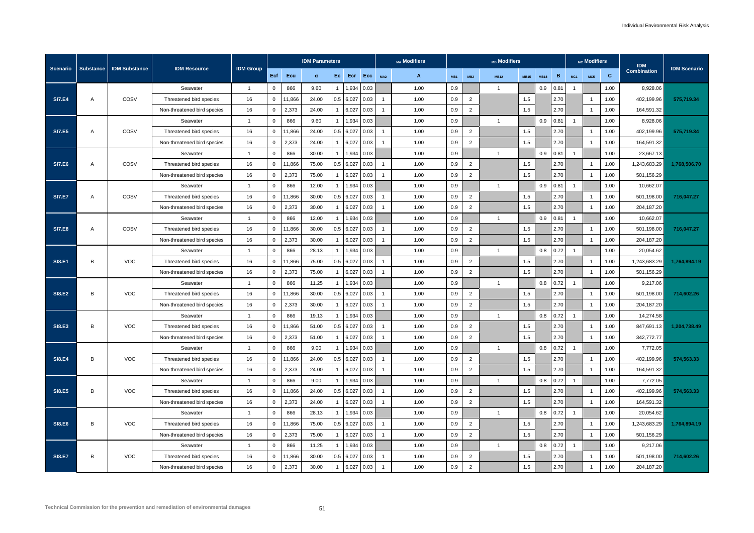|                 |                  |                      |                             |                  |                |        | <b>IDM Parameters</b> |                |                   |                      |                | MA Modifiers |         |                | Modifiers               |             |             |      |                 | Mc Modifiers   |              | <b>IDM</b>         |                     |
|-----------------|------------------|----------------------|-----------------------------|------------------|----------------|--------|-----------------------|----------------|-------------------|----------------------|----------------|--------------|---------|----------------|-------------------------|-------------|-------------|------|-----------------|----------------|--------------|--------------------|---------------------|
| <b>Scenario</b> | <b>Substance</b> | <b>IDM Substance</b> | <b>IDM Resource</b>         | <b>IDM Group</b> | Ecf            | Ecu    | $\alpha$              | Ec             | Ecr               | Ecc.                 | MA2            | A            | MB1     | MB2            | <b>MB12</b>             | <b>MB15</b> | <b>MB18</b> | B    | MC <sub>1</sub> | MC5            | $\mathbf{C}$ | <b>Combination</b> | <b>IDM Scenario</b> |
|                 |                  |                      | Seawater                    | $\overline{1}$   | $\mathbf 0$    | 866    | 9.60                  | $\overline{1}$ | 1,934             | 0.03                 |                | 1.00         | 0.9     |                | $\overline{1}$          |             | 0.9         | 0.81 |                 |                | 1.00         | 8,928.06           |                     |
| <b>SI7.E4</b>   | A                | COSV                 | Threatened bird species     | 16               | $\mathbf 0$    | 11,866 | 24.00                 |                | $0.5 \quad 6,027$ | 0.03                 | $\overline{1}$ | 1.00         | 0.9     | $\overline{2}$ |                         | 1.5         |             | 2.70 |                 |                | 1.00         | 402,199.96         | 575,719.34          |
|                 |                  |                      | Non-threatened bird species | 16               | $\mathbf 0$    | 2,373  | 24.00                 |                | 6,027             | 0.03                 | $\overline{1}$ | 1.00         | 0.9     | $\overline{2}$ |                         | 1.5         |             | 2.70 |                 |                | 1.00         | 164,591.32         |                     |
|                 |                  |                      | Seawater                    | $\overline{1}$   | $\mathbf 0$    | 866    | 9.60                  |                | 1,934             | 0.03                 |                | 1.00         | 0.9     |                | $\overline{1}$          |             | 0.9         | 0.81 |                 |                | 1.00         | 8,928.06           |                     |
| <b>SI7.E5</b>   | A                | COSV                 | Threatened bird species     | 16               | $\overline{0}$ | 11,866 | 24.00                 |                | $0.5 \quad 6,027$ | 0.03                 | $\overline{1}$ | 1.00         | 0.9     | $\overline{2}$ |                         | 1.5         |             | 2.70 |                 |                | 1.00         | 402,199.96         | 575,719.34          |
|                 |                  |                      | Non-threatened bird species | 16               | $\mathbf 0$    | 2,373  | 24.00                 |                | 6,027             | 0.03                 |                | 1.00         | 0.9     | $\overline{2}$ |                         | 1.5         |             | 2.70 |                 |                | 1.00         | 164,591.32         |                     |
|                 |                  |                      | Seawater                    | $\overline{1}$   | $\mathbf 0$    | 866    | 30.00                 |                | 1,934             | 0.03                 |                | 1.00         | 0.9     |                | -1                      |             | 0.9         | 0.81 |                 |                | 1.00         | 23,667.13          |                     |
| <b>SI7.E6</b>   | A                | COSV                 | Threatened bird species     | 16               | $\mathbf 0$    | 11,866 | 75.00                 |                | $0.5 \quad 6,027$ | 0.03                 |                | 1.00         | 0.9     | $\overline{2}$ |                         | 1.5         |             | 2.70 |                 |                | 1.00         | 1,243,683.29       | 1,768,506.70        |
|                 |                  |                      | Non-threatened bird species | 16               | $\mathbf 0$    | 2,373  | 75.00                 |                | 6,027             | 0.03                 | $\overline{1}$ | 1.00         | 0.9     | 2              |                         | 1.5         |             | 2.70 |                 |                | 1.00         | 501,156.29         |                     |
|                 |                  |                      | Seawater                    | $\overline{1}$   | $\mathbf 0$    | 866    | 12.00                 |                | 1,934             | 0.03                 |                | 1.00         | 0.9     |                | $\overline{1}$          |             | 0.9         | 0.81 |                 |                | 1.00         | 10,662.07          |                     |
| <b>SI7.E7</b>   | A                | COSV                 | Threatened bird species     | 16               | $\overline{0}$ | 11,866 | 30.00                 |                | $0.5 \, 6.027$    | 0.03                 | $\overline{1}$ | 1.00         | 0.9     | $\overline{2}$ |                         | 1.5         |             | 2.70 |                 |                | 1.00         | 501,198.00         | 716,047.27          |
|                 |                  |                      | Non-threatened bird species | 16               | $\mathbf{0}$   | 2,373  | 30.00                 |                | 6,027             | 0.03                 | $\overline{1}$ | 1.00         | 0.9     | 2              |                         | 1.5         |             | 2.70 |                 |                | 1.00         | 204,187.20         |                     |
|                 |                  |                      | Seawater                    | $\overline{1}$   | $\mathbf 0$    | 866    | 12.00                 |                | 1,934             | 0.03                 |                | 1.00         | 0.9     |                | $\overline{1}$          |             | 0.9         | 0.81 | -1              |                | 1.00         | 10,662.07          |                     |
| <b>SI7.E8</b>   | A                | COSV                 | Threatened bird species     | 16               | $\mathbf 0$    | 11,866 | 30.00                 |                | $0.5 \, 6.027$    | 0.03                 |                | 1.00         | 0.9     | $\overline{2}$ |                         | 1.5         |             | 2.70 |                 |                | 1.00         | 501,198.00         | 716,047.27          |
|                 |                  |                      | Non-threatened bird species | 16               | $\mathbf 0$    | 2,373  | 30.00                 |                | 6,027             | 0.03                 |                | 1.00         | 0.9     | $\overline{2}$ |                         | 1.5         |             | 2.70 |                 |                | 1.00         | 204,187.20         |                     |
|                 |                  |                      | Seawater                    | $\mathbf{1}$     | $\mathbf 0$    | 866    | 28.13                 |                | 1,934             | 0.03                 |                | 1.00         | 0.9     |                | $\overline{1}$          |             | 0.8         | 0.72 |                 |                | 1.00         | 20,054.62          |                     |
| <b>SI8.E1</b>   | B                | VOC                  | Threatened bird species     | 16               | $\overline{0}$ | 11,866 | 75.00                 |                | $0.5 \, 6,027$    | 0.03                 |                | 1.00         | 0.9     | $\overline{2}$ |                         | 1.5         |             | 2.70 |                 |                | 1.00         | 1,243,683.29       | 1,764,894.19        |
|                 |                  |                      | Non-threatened bird species | 16               | $\Omega$       | 2,373  | 75.00                 |                | 6,027             | 0.03                 | $\overline{1}$ | 1.00         | 0.9     | $\overline{2}$ |                         | 1.5         |             | 2.70 |                 |                | 1.00         | 501,156.29         |                     |
|                 |                  |                      | Seawater                    | $\overline{1}$   | $\mathbf 0$    | 866    | 11.25                 |                | 1,934             | 0.03                 |                | 1.00         | 0.9     |                | $\overline{\mathbf{1}}$ |             | 0.8         | 0.72 |                 |                | 1.00         | 9,217.06           |                     |
| <b>SI8.E2</b>   | B                | VOC                  | Threatened bird species     | 16               | $\overline{0}$ | 11,866 | 30.00                 |                | $0.5 \quad 6,027$ | 0.03                 |                | 1.00         | 0.9     | $\overline{2}$ |                         | 1.5         |             | 2.70 |                 |                | 1.00         | 501,198.00         | 714,602.26          |
|                 |                  |                      | Non-threatened bird species | 16               | $\overline{0}$ | 2,373  | 30.00                 |                | 6,027             | 0.03                 |                | 1.00         | 0.9     | $\overline{2}$ |                         | 1.5         |             | 2.70 |                 |                | 1.00         | 204,187.20         |                     |
|                 |                  |                      | Seawater                    | $\overline{1}$   | $\overline{0}$ | 866    | 19.13                 |                | 1,934             | 0.03                 |                | 1.00         | 0.9     |                | $\overline{1}$          |             | 0.8         | 0.72 |                 |                | 1.00         | 14,274.58          |                     |
| <b>SI8.E3</b>   | B                | VOC                  | Threatened bird species     | 16               | $\overline{0}$ | 11,866 | 51.00                 |                | $0.5 \, 6,027$    | 0.03                 | $\overline{1}$ | 1.00         | 0.9     | $\overline{2}$ |                         | 1.5         |             | 2.70 |                 |                | 1.00         | 847,691.13         | 1,204,738.49        |
|                 |                  |                      | Non-threatened bird species | 16               | 0              | 2,373  | 51.00                 | $\mathbf{1}$   |                   | 6,027 0.03           | $\overline{1}$ | 1.00         | 0.9     | $\overline{2}$ |                         | 1.5         |             | 2.70 |                 |                | 1.00         | 342,772.77         |                     |
|                 |                  |                      | Seawater                    | $\overline{1}$   | $\overline{0}$ | 866    | 9.00                  |                |                   | 1,934 0.03           |                | 1.00         | 0.9     |                | $\overline{1}$          |             | 0.8         | 0.72 | $\mathbf{1}$    |                | 1.00         | 7,772.05           |                     |
| <b>SI8.E4</b>   | B                | VOC                  | Threatened bird species     | 16               | $\overline{0}$ | 11,866 | 24.00                 |                |                   | $0.5$ 6,027 0.03     | $\overline{1}$ | 1.00         | $0.9\,$ | $\overline{2}$ |                         | 1.5         |             | 2.70 |                 |                | 1.00         | 402,199.96         | 574,563.33          |
|                 |                  |                      | Non-threatened bird species | 16               | $\mathbf 0$    | 2,373  | 24.00                 |                |                   | 6,027 0.03           | $\overline{1}$ | 1.00         | 0.9     | $\overline{2}$ |                         | 1.5         |             | 2.70 |                 |                | 1.00         | 164,591.32         |                     |
|                 |                  |                      | Seawater                    | $\mathbf{1}$     | $\overline{0}$ | 866    | 9.00                  |                |                   | 1,934 0.03           |                | 1.00         | 0.9     |                | $\overline{1}$          |             | 0.8         | 0.72 | $\overline{1}$  |                | 1.00         | 7,772.05           |                     |
| <b>SI8.E5</b>   | B                | VOC                  | Threatened bird species     | 16               | $\overline{0}$ | 11,866 | 24.00                 |                |                   | $0.5 \ 6.027 \ 0.03$ | $\overline{1}$ | 1.00         | 0.9     | $\overline{2}$ |                         | 1.5         |             | 2.70 |                 |                | 1.00         | 402,199.96         | 574,563.33          |
|                 |                  |                      | Non-threatened bird species | 16               | $\mathbf 0$    | 2,373  | 24.00                 |                |                   | $6,027$ 0.03         | $\overline{1}$ | 1.00         | $0.9\,$ | $\overline{2}$ |                         | 1.5         |             | 2.70 |                 |                | 1.00         | 164,591.32         |                     |
|                 |                  |                      | Seawater                    | $\mathbf{1}$     | $\overline{0}$ | 866    | 28.13                 |                |                   | 1,934 0.03           |                | 1.00         | $0.9\,$ |                | $\overline{1}$          |             | 0.8         | 0.72 | $\overline{1}$  |                | 1.00         | 20,054.62          |                     |
| <b>SI8.E6</b>   | B                | VOC                  | Threatened bird species     | 16               | $\overline{0}$ | 11,866 | 75.00                 |                |                   | $0.5$ 6,027 0.03     | $\overline{1}$ | 1.00         | 0.9     | $\overline{2}$ |                         | 1.5         |             | 2.70 |                 |                | 1.00         | 1,243,683.29       | 1,764,894.19        |
|                 |                  |                      | Non-threatened bird species | 16               | $\mathbf 0$    | 2,373  | 75.00                 |                |                   | 6,027 0.03           | $\overline{1}$ | 1.00         | $0.9\,$ | $\overline{2}$ |                         | 1.5         |             | 2.70 |                 |                | 1.00         | 501,156.29         |                     |
|                 |                  |                      | Seawater                    | $\mathbf{1}$     | $\mathbf 0$    | 866    | 11.25                 |                |                   | 1,934 0.03           |                | 1.00         | 0.9     |                | $\overline{1}$          |             | 0.8         | 0.72 |                 |                | 1.00         | 9,217.06           |                     |
| <b>SI8.E7</b>   | B                | VOC                  | Threatened bird species     | 16               | $\overline{0}$ | 11,866 | 30.00                 |                |                   | 0.5   6,027   0.03   | $\overline{1}$ | 1.00         | $0.9\,$ | $\overline{2}$ |                         | 1.5         |             | 2.70 |                 | $\overline{1}$ | 1.00         | 501,198.00         | 714,602.26          |
|                 |                  |                      | Non-threatened bird species | 16               | $\mathbf 0$    | 2,373  | 30.00                 | $\mathbf{1}$   |                   | 6,027 0.03           | $\overline{1}$ | 1.00         | 0.9     | $\overline{2}$ |                         | 1.5         |             | 2.70 |                 |                | 1.00         | 204,187.20         |                     |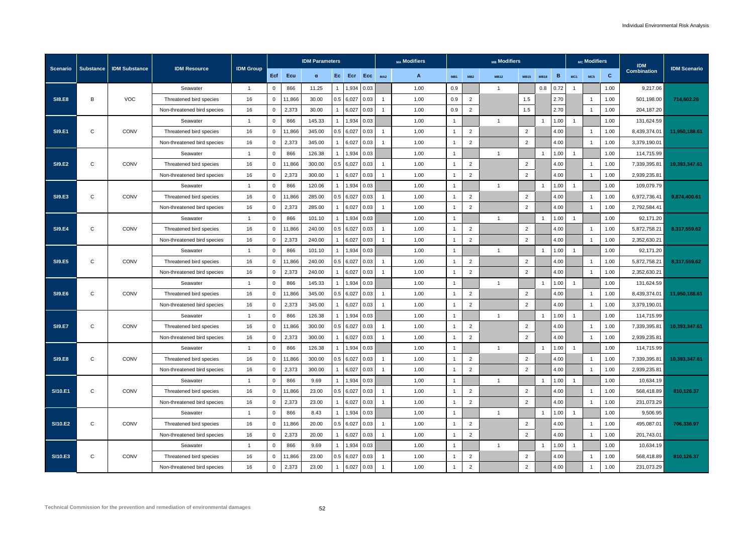|                 |                  |                      |                             |                  |                |        | <b>IDM Parameters</b> |    |                                 |                | MA Modifiers |                |                | MB Modifiers            |                |                |      |                 | Mc Modifiers |              | <b>IDM</b>         |                     |
|-----------------|------------------|----------------------|-----------------------------|------------------|----------------|--------|-----------------------|----|---------------------------------|----------------|--------------|----------------|----------------|-------------------------|----------------|----------------|------|-----------------|--------------|--------------|--------------------|---------------------|
| <b>Scenario</b> | <b>Substance</b> | <b>IDM Substance</b> | <b>IDM Resource</b>         | <b>IDM Group</b> | Ecf            | Ecu    | $\alpha$              | Ec | Ecr<br>Ecc.                     | MA2            | A            | MB1            | MB2            | <b>MB12</b>             | <b>MB15</b>    | <b>MB18</b>    | B    | MC <sub>1</sub> | MC5          | $\mathbf{C}$ | <b>Combination</b> | <b>IDM Scenario</b> |
|                 |                  |                      | Seawater                    | $\overline{1}$   | $\Omega$       | 866    | 11.25                 |    | 1,934<br>0.03                   |                | 1.00         | 0.9            |                | $\overline{1}$          |                | 0.8            | 0.72 |                 |              | 1.00         | 9,217.06           |                     |
| <b>SI8.E8</b>   | B                | VOC                  | Threatened bird species     | 16               | $\mathbf 0$    | 11,866 | 30.00                 |    | $0.5 \, 6,027$<br>0.03          | $\overline{1}$ | 1.00         | 0.9            | $\overline{2}$ |                         | 1.5            |                | 2.70 |                 |              | 1.00         | 501,198.00         | 714,602.26          |
|                 |                  |                      | Non-threatened bird species | 16               | $\Omega$       | 2,373  | 30.00                 |    | 6,027 0.03                      | $\overline{1}$ | 1.00         | 0.9            | 2              |                         | 1.5            |                | 2.70 |                 |              | 1.00         | 204,187.20         |                     |
|                 |                  |                      | Seawater                    | $\overline{1}$   | $\overline{0}$ | 866    | 145.33                |    | 1,934<br>0.03                   |                | 1.00         | $\mathbf{1}$   |                | $\overline{\mathbf{1}}$ |                | $\overline{1}$ | 0.00 |                 |              | 1.00         | 131,624.59         |                     |
| <b>SI9.E1</b>   | C                | CONV                 | Threatened bird species     | 16               | $\overline{0}$ | 11,866 | 345.00                |    | 0.5   6,027<br>0.03             | $\overline{1}$ | 1.00         | $\overline{1}$ | $\overline{2}$ |                         | $\overline{2}$ |                | 4.00 |                 |              | 1.00         | 8,439,374.01       | 11,950,188.61       |
|                 |                  |                      | Non-threatened bird species | 16               | $\mathbf 0$    | 2,373  | 345.00                |    | 6,027<br>0.03                   | $\mathbf{1}$   | 1.00         | $\overline{1}$ | 2              |                         | $\overline{2}$ |                | 4.00 |                 |              | 1.00         | 3,379,190.01       |                     |
|                 |                  |                      | Seawater                    | $\overline{1}$   | $\overline{0}$ | 866    | 126.38                |    | 1,934<br>0.03                   |                | 1.00         | $\mathbf{1}$   |                | $\overline{1}$          |                | 1              | 1.00 |                 |              | 1.00         | 114,715.99         |                     |
| <b>SI9.E2</b>   | $\mathsf{C}$     | CONV                 | Threatened bird species     | 16               | $\mathbf 0$    | 11,866 | 300.00                |    | $0.5 \, 6,027$<br>0.03          | $\overline{1}$ | 1.00         | $\overline{1}$ | $\overline{2}$ |                         | $\overline{2}$ |                | 4.00 |                 |              | 1.00         | 7,339,395.81       | 10,393,347.61       |
|                 |                  |                      | Non-threatened bird species | 16               | $\mathbf 0$    | 2,373  | 300.00                |    | 6,027<br>0.03                   | $\overline{1}$ | 1.00         |                | $\overline{2}$ |                         | $\overline{2}$ |                | 4.00 |                 |              | 1.00         | 2,939,235.81       |                     |
|                 |                  |                      | Seawater                    | $\overline{1}$   | $\mathbf 0$    | 866    | 120.06                |    | 1,934<br>0.03                   |                | 1.00         | $\mathbf{1}$   |                | $\overline{1}$          |                | 1              | 1.00 |                 |              | 1.00         | 109,079.79         |                     |
| <b>SI9.E3</b>   | $\mathsf{C}$     | CONV                 | Threatened bird species     | 16               | $\overline{0}$ | 11,866 | 285.00                |    | $0.5 \, 6.027$<br>0.03          | $\overline{1}$ | 1.00         |                | $\overline{2}$ |                         | $\overline{2}$ |                | 4.00 |                 |              | 1.00         | 6,972,736.41       | 9,874,400.61        |
|                 |                  |                      | Non-threatened bird species | 16               | $\mathbf 0$    | 2,373  | 285.00                |    | 6,027<br>0.03                   | $\mathbf{1}$   | 1.00         | $\overline{1}$ | $\overline{2}$ |                         | $\overline{2}$ |                | 4.00 |                 |              | 1.00         | 2,792,584.41       |                     |
|                 |                  |                      | Seawater                    | $\overline{1}$   | $\mathbf 0$    | 866    | 101.10                |    | 1,934<br>0.03                   |                | 1.00         | $\mathbf{1}$   |                | $\overline{1}$          |                | $\overline{1}$ | 1.00 |                 |              | 1.00         | 92,171.20          |                     |
| <b>SI9.E4</b>   | $\mathsf{C}$     | CONV                 | Threatened bird species     | 16               | $\mathbf 0$    | 11,866 | 240.00                |    | $0.5 \, 6.027$<br>0.03          | $\overline{1}$ | 1.00         | $\overline{1}$ | $\overline{2}$ |                         | $\overline{2}$ |                | 4.00 |                 |              | 1.00         | 5,872,758.21       | 8,317,559.62        |
|                 |                  |                      | Non-threatened bird species | 16               | $\mathbf 0$    | 2,373  | 240.00                |    | 6,027<br>0.03                   | $\overline{1}$ | 1.00         | 1              | $\overline{2}$ |                         | $\overline{2}$ |                | 4.00 |                 |              | 1.00         | 2,352,630.21       |                     |
|                 |                  |                      | Seawater                    | $\overline{1}$   | $\Omega$       | 866    | 101.10                |    | 1,934<br>0.03                   |                | 1.00         | $\mathbf{1}$   |                | -1                      |                |                | 0.00 |                 |              | 1.00         | 92,171.20          |                     |
| <b>SI9.E5</b>   | C                | CONV                 | Threatened bird species     | 16               | $\Omega$       | 11,866 | 240.00                |    | $0.5$ 6,027 0.03                | $\overline{1}$ | 1.00         | $\overline{1}$ | $\overline{2}$ |                         | $\overline{2}$ |                | 4.00 |                 |              | 1.00         | 5,872,758.21       | 8,317,559.62        |
|                 |                  |                      | Non-threatened bird species | 16               | $\mathbf 0$    | 2,373  | 240.00                |    | 6,027<br>0.03                   | $\overline{1}$ | 1.00         |                | 2              |                         | $\overline{2}$ |                | 4.00 |                 |              | 1.00         | 2,352,630.21       |                     |
|                 |                  |                      | Seawater                    | $\overline{1}$   | $\mathbf 0$    | 866    | 145.33                |    | 1,934<br>0.03                   |                | 1.00         | $\overline{1}$ |                | $\overline{1}$          |                | $\overline{1}$ | 0.00 |                 |              | 1.00         | 131,624.59         |                     |
| <b>SI9.E6</b>   | $\mathsf{C}$     | CONV                 | Threatened bird species     | 16               | $\mathbf 0$    | 11,866 | 345.00                |    | $0.5 \, 6.027$<br>0.03          | $\overline{1}$ | 1.00         | 1              | 2              |                         | $\overline{2}$ |                | 4.00 |                 |              | 1.00         | 8,439,374.01       | 11,950,188.61       |
|                 |                  |                      | Non-threatened bird species | 16               | $\Omega$       | 2,373  | 345.00                |    | 6,027<br>0.03                   | $\overline{1}$ | 1.00         | $\mathbf{1}$   | 2              |                         | $\overline{2}$ |                | 4.00 |                 |              | 1.00         | 3,379,190.01       |                     |
|                 |                  |                      | Seawater                    | $\overline{1}$   | $\overline{0}$ | 866    | 126.38                |    | 1,934<br>0.03                   |                | 1.00         | $\mathbf{1}$   |                | $\overline{\mathbf{1}}$ |                | 1              | 1.00 |                 |              | 1.00         | 114,715.99         |                     |
| <b>SI9.E7</b>   | $\mathsf{C}$     | CONV                 | Threatened bird species     | 16               | $\mathbf{0}$   | 11,866 | 300.00                |    | $0.5$ 6,027 0.03                | $\mathbf 1$    | 1.00         |                | $\overline{2}$ |                         | $\overline{2}$ |                | 4.00 |                 |              | 1.00         | 7,339,395.81       | 10.393.347.61       |
|                 |                  |                      | Non-threatened bird species | 16               | 0              | 2,373  | 300.00                |    | 6,027 0.03                      | $\overline{1}$ | 1.00         |                | $\overline{2}$ |                         | $\overline{2}$ |                | 4.00 |                 |              | 1.00         | 2,939,235.81       |                     |
|                 |                  |                      | Seawater                    | $\overline{1}$   | $\mathbf 0$    | 866    | 126.38                |    | 1,934 0.03                      |                | 1.00         | $\overline{1}$ |                | $\overline{1}$          |                | $\overline{1}$ | 1.00 |                 |              | 1.00         | 114,715.99         |                     |
| <b>SI9.E8</b>   | $\mathsf C$      | CONV                 | Threatened bird species     | 16               | $\overline{0}$ | 11,866 | 300.00                |    | $0.5 \mid 6,027 \mid 0.03 \mid$ | $\mathbf{1}$   | 1.00         | $\mathbf{1}$   | $\overline{2}$ |                         | $\overline{2}$ |                | 4.00 |                 |              | 1.00         | 7,339,395.81       | 10,393,347.61       |
|                 |                  |                      | Non-threatened bird species | 16               | $\mathbf 0$    | 2,373  | 300.00                |    | 6,027 0.03                      | $\overline{1}$ | 1.00         | $\overline{1}$ | $\overline{2}$ |                         | $\overline{2}$ |                | 4.00 |                 |              | 1.00         | 2,939,235.81       |                     |
|                 |                  |                      | Seawater                    | $\overline{1}$   | $\mathbf 0$    | 866    | 9.69                  |    | 1,934 0.03                      |                | 1.00         | $\mathbf{1}$   |                | $\overline{1}$          |                | $\overline{1}$ | 1.00 |                 |              | 1.00         | 10,634.19          |                     |
| <b>SI10.E1</b>  | $\mathsf{C}$     | CONV                 | Threatened bird species     | 16               | $\overline{0}$ | 11,866 | 23.00                 |    | $0.5$ 6,027 0.03                | $\overline{1}$ | 1.00         | $\mathbf{1}$   | $\overline{2}$ |                         | $\overline{2}$ |                | 4.00 |                 |              | 1.00         | 568,418.89         | 810,126.37          |
|                 |                  |                      | Non-threatened bird species | 16               | $\mathbf 0$    | 2,373  | 23.00                 |    | 6,027 0.03                      | $\overline{1}$ | 1.00         |                | $\overline{2}$ |                         | $\overline{2}$ |                | 4.00 |                 |              | 1.00         | 231,073.29         |                     |
|                 |                  |                      | Seawater                    | $\overline{1}$   | $\mathbf 0$    | 866    | 8.43                  |    | 1,934 0.03                      |                | 1.00         | $\mathbf{1}$   |                | $\overline{1}$          |                | $\mathbf{1}$   | 1.00 | $\overline{1}$  |              | 1.00         | 9,506.95           |                     |
| <b>SI10.E2</b>  | $\mathsf{C}$     | CONV                 | Threatened bird species     | 16               | $\overline{0}$ | 11,866 | 20.00                 |    | $0.5$ 6,027 0.03                | $\mathbf{1}$   | 1.00         | $\mathbf{1}$   | $\overline{2}$ |                         | $\overline{2}$ |                | 4.00 |                 |              | 1.00         | 495,087.01         | 706,336.97          |
|                 |                  |                      | Non-threatened bird species | 16               | $\mathbf 0$    | 2,373  | 20.00                 |    | 6,027 0.03                      | $\overline{1}$ | 1.00         | $\overline{1}$ | $\overline{2}$ |                         | $\overline{2}$ |                | 4.00 |                 |              | 1.00         | 201,743.01         |                     |
|                 |                  |                      | Seawater                    | $\overline{1}$   | $\mathbf 0$    | 866    | 9.69                  |    | 1,934 0.03                      |                | 1.00         | $\mathbf{1}$   |                | $\overline{1}$          |                | $\overline{1}$ | 1.00 |                 |              | 1.00         | 10,634.19          |                     |
| <b>SI10.E3</b>  | $\mathsf{C}$     | CONV                 | Threatened bird species     | 16               | $\mathbf 0$    | 11,866 | 23.00                 |    | $0.5$ 6,027 0.03                | $\overline{1}$ | 1.00         | $\mathbf{1}$   | $\overline{2}$ |                         | $\overline{2}$ |                | 4.00 |                 |              | 1.00         | 568,418.89         | 810,126.37          |
|                 |                  |                      | Non-threatened bird species | 16               | $\overline{0}$ | 2,373  | 23.00                 |    | $6,027$ 0.03                    | $\overline{1}$ | 1.00         | $\mathbf{1}$   | $\overline{2}$ |                         | $\overline{2}$ |                | 4.00 |                 |              | 1.00         | 231,073.29         |                     |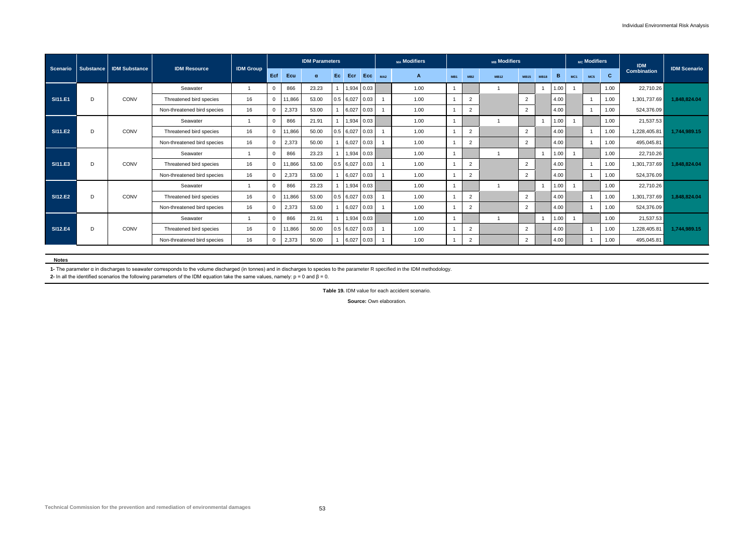|                |   |                           |                             |                  |     |        | <b>IDM Parameters</b> |     |                             |            |     | <sub>MA</sub> Modifiers |                 |                | MB Modifiers |             |             |      | <sub>MC</sub> Modifiers |     |              | <b>IDM</b>         | <b>IDM Scenario</b> |
|----------------|---|---------------------------|-----------------------------|------------------|-----|--------|-----------------------|-----|-----------------------------|------------|-----|-------------------------|-----------------|----------------|--------------|-------------|-------------|------|-------------------------|-----|--------------|--------------------|---------------------|
| Scenario       |   | Substance   IDM Substance | <b>IDM Resource</b>         | <b>IDM Group</b> | Ecf | Ecu    | $\alpha$              | Ec. | Ecr                         | Ecc.       | MA2 | A                       | MB <sub>1</sub> | MB2            | <b>MB12</b>  | <b>MB15</b> | <b>MB18</b> | B    | MC <sub>1</sub>         | MC5 | $\mathbf{C}$ | <b>Combination</b> |                     |
|                |   |                           | Seawater                    |                  |     | 866    | 23.23                 |     |                             | 1,934 0.03 |     | 1.00                    |                 |                |              |             |             | 1.00 |                         |     | 1.00         | 22,710.26          |                     |
| <b>SI11.E1</b> | D | CONV                      | Threatened bird species     | 16               |     | 11,866 | 53.00                 |     | 0.5   6,027   0.03          |            |     | 1.00                    |                 | $\overline{2}$ |              | 2           |             | 4.00 |                         |     | 1.00         | 1,301,737.69       | 1,848,824.04        |
|                |   |                           | Non-threatened bird species | 16               |     | 2,373  | 53.00                 |     | 6,027                       | 0.03       |     | 1.00                    |                 | $\overline{2}$ |              | 2           |             | 4.00 |                         |     | 1.00         | 524,376.09         |                     |
|                |   |                           | Seawater                    |                  |     | 866    | 21.91                 |     |                             | 1,934 0.03 |     | 1.00                    |                 |                |              |             |             | .00. |                         |     | 1.00         | 21,537.53          |                     |
| <b>SI11.E2</b> | D | CONV                      | Threatened bird species     | 16               |     | 11.866 | 50.00                 |     | $0.5 \,   \, 6,027 \,   \,$ | 0.03       |     | 1.00                    |                 | 2              |              | 2           |             | 4.00 |                         |     | 1.00         | 1,228,405.81       | 1,744,989.15        |
|                |   |                           | Non-threatened bird species | 16               |     | 2,373  | 50.00                 |     | 6,027                       | 0.03       |     | 1.00                    |                 | $\overline{2}$ |              | 2           |             | 4.00 |                         |     | 1.00         | 495,045.81         |                     |
|                |   |                           | Seawater                    |                  |     | 866    | 23.23                 |     |                             | 1,934 0.03 |     | 1.00                    |                 |                |              |             |             | .00. |                         |     | 1.00         | 22,710.26          |                     |
| <b>SI11.E3</b> | D | CONV                      | Threatened bird species     | 16               |     | 11.866 | 53.00                 |     | $0.5 \mid 6,027 \mid 0.03$  |            |     | 1.00                    |                 | $\overline{2}$ |              | 2           |             | 4.00 |                         |     | 1.00         | 1,301,737.69       | 1,848,824.04        |
|                |   |                           | Non-threatened bird species | 16               |     | 2,373  | 53.00                 |     | 6,027                       | 0.03       |     | 1.00                    |                 | $\overline{2}$ |              | 2           |             | 4.00 |                         |     | 1.00         | 524,376.09         |                     |
|                |   |                           | Seawater                    |                  |     | 866    | 23.23                 |     |                             | 1,934 0.03 |     | 1.00                    |                 |                |              |             |             | .00. |                         |     | 1.00         | 22,710.26          |                     |
| <b>SI12.E2</b> | D | CONV                      | Threatened bird species     | 16               |     | 1.866  | 53.00                 |     | $0.5 \,   \, 6,027 \,   \,$ | 0.03       |     | 1.00                    |                 | $\overline{2}$ |              | 2           |             | 4.00 |                         |     | 1.00         | 1,301,737.69       | 1,848,824.04        |
|                |   |                           | Non-threatened bird species | 16               |     | 2,373  | 53.00                 |     | 6,027                       | 0.03       |     | 1.00                    |                 | $\overline{2}$ |              | 2           |             | 4.00 |                         |     | 1.00         | 524,376.09         |                     |
|                |   |                           | Seawater                    |                  |     | 866    | 21.91                 |     |                             | 1,934 0.03 |     | 1.00                    |                 |                |              |             |             | .00. |                         |     | 1.00         | 21,537.53          |                     |
| <b>SI12.E4</b> | D | CONV                      | Threatened bird species     | 16               |     | 11,866 | 50.00                 |     | $0.5$ 6,027 0.03            |            |     | 1.00                    |                 | $\overline{2}$ |              | 2           |             | 4.00 |                         |     | 1.00         | 1,228,405.81       | 1,744,989.15        |
|                |   |                           | Non-threatened bird species | 16               |     | 2,373  | 50.00                 |     | 6,027                       | 0.03       |     | 1.00                    |                 | $\overline{2}$ |              | 2           |             | 4.00 |                         |     | 1.00         | 495,045.81         |                     |

#### **Notes**

1- The parameter α in discharges to seawater corresponds to the volume discharged (in tonnes) and in discharges to species to the parameter R specified in the IDM methodology.

 **2-** In all the identified scenarios the following parameters of the IDM equation take the same values, namely: p = 0 and β = 0.

**Table 19.** IDM value for each accident scenario.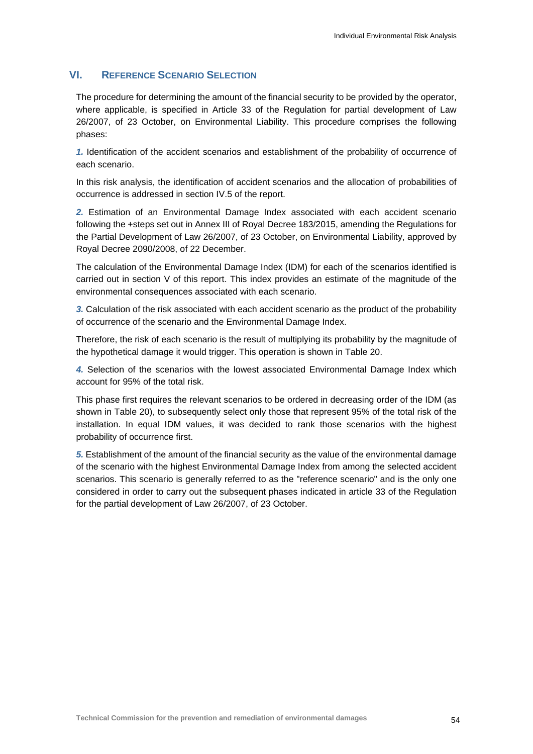# **VI. REFERENCE SCENARIO SELECTION**

The procedure for determining the amount of the financial security to be provided by the operator, where applicable, is specified in Article 33 of the Regulation for partial development of Law 26/2007, of 23 October, on Environmental Liability. This procedure comprises the following phases:

*1.* Identification of the accident scenarios and establishment of the probability of occurrence of each scenario.

In this risk analysis, the identification of accident scenarios and the allocation of probabilities of occurrence is addressed in section IV.5 of the report.

*2.* Estimation of an Environmental Damage Index associated with each accident scenario following the +steps set out in Annex III of Royal Decree 183/2015, amending the Regulations for the Partial Development of Law 26/2007, of 23 October, on Environmental Liability, approved by Royal Decree 2090/2008, of 22 December.

The calculation of the Environmental Damage Index (IDM) for each of the scenarios identified is carried out in section V of this report. This index provides an estimate of the magnitude of the environmental consequences associated with each scenario.

*3.* Calculation of the risk associated with each accident scenario as the product of the probability of occurrence of the scenario and the Environmental Damage Index.

Therefore, the risk of each scenario is the result of multiplying its probability by the magnitude of the hypothetical damage it would trigger. This operation is shown in Table 20.

*4.* Selection of the scenarios with the lowest associated Environmental Damage Index which account for 95% of the total risk.

This phase first requires the relevant scenarios to be ordered in decreasing order of the IDM (as shown in Table 20), to subsequently select only those that represent 95% of the total risk of the installation. In equal IDM values, it was decided to rank those scenarios with the highest probability of occurrence first.

*5.* Establishment of the amount of the financial security as the value of the environmental damage of the scenario with the highest Environmental Damage Index from among the selected accident scenarios. This scenario is generally referred to as the "reference scenario" and is the only one considered in order to carry out the subsequent phases indicated in article 33 of the Regulation for the partial development of Law 26/2007, of 23 October.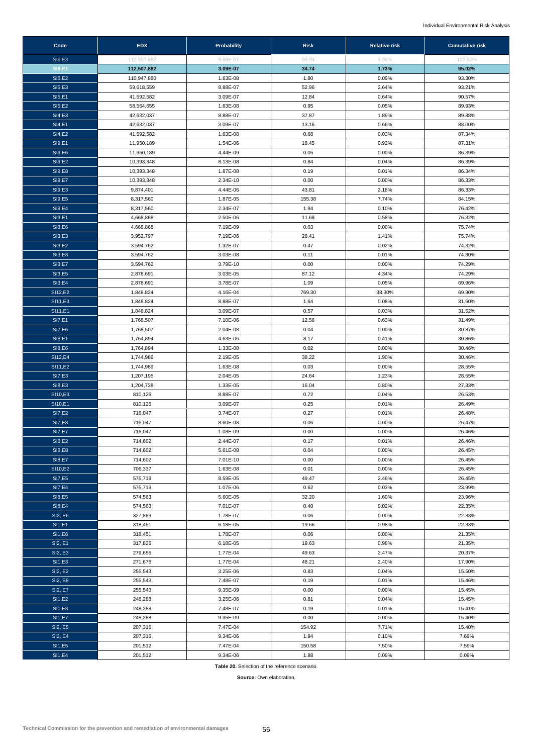**Technical Commission for the prevention and remediation of environmental damages** 56

| Code              | <b>EDX</b>             | Probability          | <b>Risk</b>    | <b>Relative risk</b> | <b>Cumulative risk</b> |
|-------------------|------------------------|----------------------|----------------|----------------------|------------------------|
| <b>SI6.E3</b>     | 112.507.882            | 8.88E-07             | 99.94          | 4.98%                | 100.00%                |
| <b>SI6.E1</b>     | 112,507,882            | 3.09E-07             | 34.74          | 1.73%                | 95.02%                 |
| <b>SI6.E2</b>     | 110,947,880            | 1.63E-08             | 1.80           | 0.09%                | 93.30%                 |
| <b>SI5.E3</b>     | 59,618,559             | 8.88E-07             | 52.96          | 2.64%                | 93.21%                 |
| <b>SI5.E1</b>     | 41,592,582             | 3.09E-07             | 12.84          | 0.64%                | 90.57%                 |
| <b>SI5.E2</b>     | 58,564,655             | 1.63E-08             | 0.95           | 0.05%                | 89.93%                 |
| <b>SI4.E3</b>     | 42,632,037             | 8.88E-07             | 37.87          | 1.89%                | 89.88%                 |
| <b>SI4.E1</b>     | 42,632,037             | 3.09E-07             | 13.16          | 0.66%                | 88.00%                 |
| <b>SI4.E2</b>     | 41,592,582             | 1.63E-08             | 0.68           | 0.03%                | 87.34%                 |
| <b>SI9.E1</b>     | 11,950,189             | 1.54E-06             | 18.45          | 0.92%                | 87.31%                 |
| <b>SI9.E6</b>     | 11,950,189             | 4.44E-09             | 0.05           | 0.00%                | 86.39%                 |
| <b>SI9.E2</b>     | 10,393,348             | 8.13E-08             | 0.84           | 0.04%                | 86.39%                 |
| <b>SI9.E8</b>     | 10,393,348             | 1.87E-08             | 0.19           | 0.01%                | 86.34%                 |
| <b>SI9.E7</b>     | 10,393,348             | 2.34E-10             | 0.00           | 0.00%                | 86.33%                 |
| <b>SI9.E3</b>     | 9,874,401              | 4.44E-06             | 43.81          | 2.18%                | 86.33%                 |
| <b>SI9.E5</b>     | 8,317,560              | 1.87E-05             | 155.38         | 7.74%                | 84.15%                 |
| <b>SI9.E4</b>     | 8,317,560              | 2.34E-07             | 1.94           | 0.10%                | 76.42%                 |
| <b>SI3.E1</b>     | 4,668,868              | 2.50E-06             | 11.68          | 0.58%                | 76.32%                 |
| <b>SI3.E6</b>     | 4.668.868              | 7.19E-09             | 0.03           | 0.00%                | 75.74%                 |
| <b>SI3.E3</b>     | 3.952.797              | 7.19E-06             | 28.41          | 1.41%                | 75.74%                 |
| <b>SI3.E2</b>     | 3.594.762              | 1.32E-07             | 0.47           | 0.02%                | 74.32%                 |
| <b>SI3.E8</b>     | 3.594.762              | 3.03E-08             | 0.11           | 0.01%                | 74.30%                 |
| <b>SI3.E7</b>     | 3.594.762              | 3.79E-10             | 0.00           | 0.00%                | 74.29%                 |
| <b>SI3.E5</b>     | 2.878.691              | 3.03E-05             | 87.12          | 4.34%                | 74.29%                 |
| <b>SI3.E4</b>     | 2.878.691              | 3.78E-07             | 1.09           | 0.05%                | 69.96%                 |
| <b>SI12.E2</b>    | 1.848.824              | 4.16E-04             | 769.30         | 38.30%               | 69.90%                 |
| SI11.E3           | 1.848.824              | 8.88E-07             | 1.64           | 0.08%                | 31.60%                 |
| SI11.E1           | 1.848.824              | 3.09E-07             | 0.57           | 0.03%                | 31.52%                 |
| <b>SI7.E1</b>     | 1.768.507              | 7.10E-06             | 12.56          | 0.63%                | 31.49%                 |
| SI7.E6<br>SI8,E1  | 1,768,507              | 2.04E-08             | 0.04<br>8.17   | $0.00\%$             | 30.87%                 |
| SI8, E6           | 1,764,894              | 4.63E-06<br>1.33E-08 | 0.02           | 0.41%<br>0.00%       | 30.86%<br>30.46%       |
| SI12,E4           | 1,764,894<br>1,744,989 | 2.19E-05             | 38.22          | 1.90%                | 30.46%                 |
| SI11, E2          | 1,744,989              | 1.63E-08             | 0.03           | $0.00\%$             | 28.55%                 |
| <b>SI7,E3</b>     | 1,207,195              | 2.04E-05             | 24.64          | 1.23%                | 28.55%                 |
| SI8,E3            | 1,204,738              | 1.33E-05             | 16.04          | 0.80%                | 27.33%                 |
| SI10,E3           | 810,126                | 8.88E-07             | 0.72           | 0.04%                | 26.53%                 |
| SI10,E1           | 810,126                | 3.09E-07             | 0.25           | 0.01%                | 26.49%                 |
| <b>SI7,E2</b>     | 716,047                | 3.74E-07             | 0.27           | 0.01%                | 26.48%                 |
| <b>SI7,E8</b>     | 716,047                | 8.60E-08             | 0.06           | $0.00\%$             | 26.47%                 |
| <b>SI7,E7</b>     | 716,047                | 1.08E-09             | 0.00           | 0.00%                | 26.46%                 |
| SI8,E2            | 714,602                | 2.44E-07             | 0.17           | 0.01%                | 26.46%                 |
| <b>SI8,E8</b>     | 714,602                | 5.61E-08             | 0.04           | $0.00\%$             | 26.45%                 |
| SI8, E7           | 714,602                | 7.01E-10             | 0.00           | $0.00\%$             | 26.45%                 |
| SI10,E2           | 706,337                | 1.63E-08             | 0.01           | 0.00%                | 26.45%                 |
| <b>SI7,E5</b>     | 575,719                | 8.59E-05             | 49.47          | 2.46%                | 26.45%                 |
| <b>SI7,E4</b>     | 575,719                | 1.07E-06             | 0.62           | 0.03%                | 23.99%                 |
| SI8, E5           | 574,563                | 5.60E-05             | 32.20          | 1.60%                | 23.96%                 |
| <b>SI8,E4</b>     | 574,563                | 7.01E-07             | 0.40           | 0.02%                | 22.35%                 |
| SI2, E6           | 327,883                | 1.78E-07             | 0.06           | $0.00\%$             | 22.33%                 |
| SI1,E1            | 318,451                | 6.18E-05             | 19.66          | 0.98%                | 22.33%                 |
| SI1, E6           | 318,451                | 1.78E-07             | 0.06           | 0.00%                | 21.35%                 |
| SI2, E1           | 317,825                | 6.18E-05<br>1.77E-04 | 19.63          | 0.98%<br>2.47%       | 21.35%                 |
| SI2, E3<br>SI1,E3 | 279,656<br>271,676     | 1.77E-04             | 49.63<br>48.21 | 2.40%                | 20.37%<br>17.90%       |
| SI2, E2           | 255,543                | 3.25E-06             | 0.83           | 0.04%                | 15.50%                 |
| <b>SI2, E8</b>    | 255,543                | 7.48E-07             | 0.19           | 0.01%                | 15.46%                 |
| SI2, E7           | 255,543                | 9.35E-09             | 0.00           | $0.00\%$             | 15.45%                 |
| SI1, E2           | 248,288                | 3.25E-06             | 0.81           | 0.04%                | 15.45%                 |
| <b>SI1,E8</b>     | 248,288                | 7.48E-07             | 0.19           | 0.01%                | 15.41%                 |
| <b>SI1,E7</b>     | 248,288                | 9.35E-09             | 0.00           | 0.00%                | 15.40%                 |
| SI2, E5           | 207,316                | 7.47E-04             | 154.92         | 7.71%                | 15.40%                 |
| SI2, E4           | 207,316                | 9.34E-06             | 1.94           | 0.10%                | 7.69%                  |
| SI1, E5           | 201,512                | 7.47E-04             | 150.58         | 7.50%                | 7.59%                  |
| <b>SI1,E4</b>     | 201,512                | 9.34E-06             | 1.88           | 0.09%                | 0.09%                  |

**Table 20.** Selection of the reference scenario.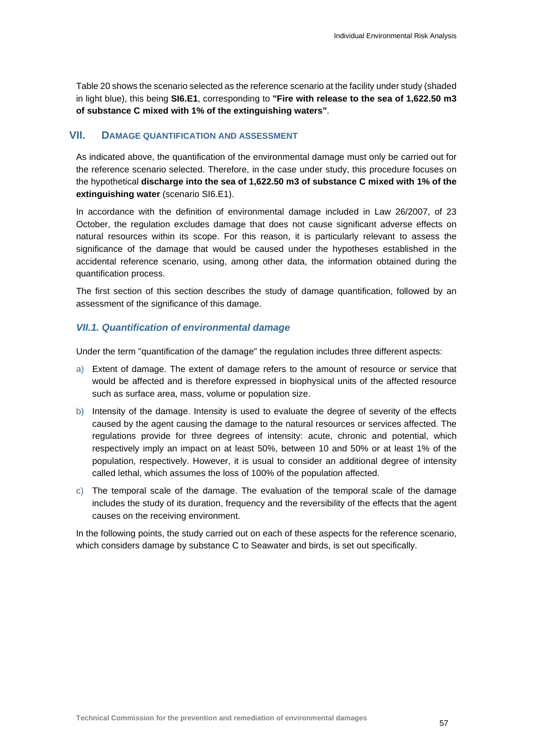Table 20 shows the scenario selected as the reference scenario at the facility under study (shaded in light blue), this being **SI6.E1**, corresponding to **"Fire with release to the sea of 1,622.50 m3 of substance C mixed with 1% of the extinguishing waters"**.

# **VII. DAMAGE QUANTIFICATION AND ASSESSMENT**

As indicated above, the quantification of the environmental damage must only be carried out for the reference scenario selected. Therefore, in the case under study, this procedure focuses on the hypothetical **discharge into the sea of 1,622.50 m3 of substance C mixed with 1% of the extinguishing water** (scenario SI6.E1).

In accordance with the definition of environmental damage included in Law 26/2007, of 23 October, the regulation excludes damage that does not cause significant adverse effects on natural resources within its scope. For this reason, it is particularly relevant to assess the significance of the damage that would be caused under the hypotheses established in the accidental reference scenario, using, among other data, the information obtained during the quantification process.

The first section of this section describes the study of damage quantification, followed by an assessment of the significance of this damage.

# *VII.1. Quantification of environmental damage*

Under the term "quantification of the damage" the regulation includes three different aspects:

- a) Extent of damage. The extent of damage refers to the amount of resource or service that would be affected and is therefore expressed in biophysical units of the affected resource such as surface area, mass, volume or population size.
- b) Intensity of the damage. Intensity is used to evaluate the degree of severity of the effects caused by the agent causing the damage to the natural resources or services affected. The regulations provide for three degrees of intensity: acute, chronic and potential, which respectively imply an impact on at least 50%, between 10 and 50% or at least 1% of the population, respectively. However, it is usual to consider an additional degree of intensity called lethal, which assumes the loss of 100% of the population affected.
- c) The temporal scale of the damage. The evaluation of the temporal scale of the damage includes the study of its duration, frequency and the reversibility of the effects that the agent causes on the receiving environment.

In the following points, the study carried out on each of these aspects for the reference scenario, which considers damage by substance C to Seawater and birds, is set out specifically.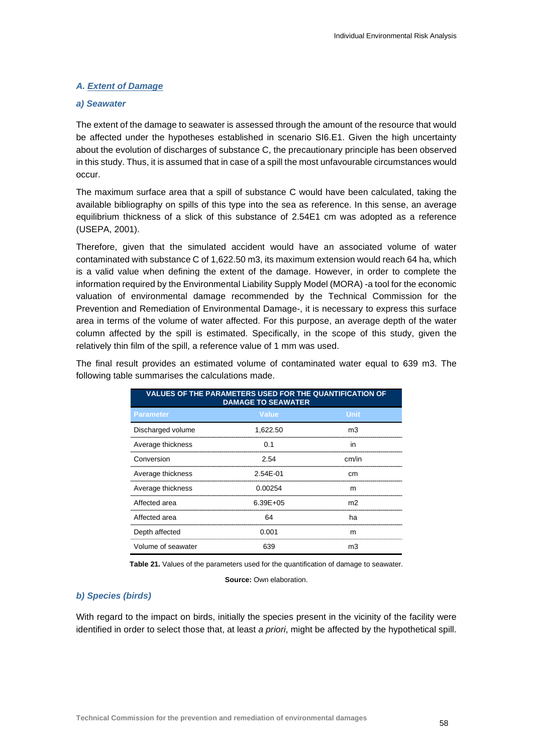## *A. Extent of Damage*

### *a) Seawater*

The extent of the damage to seawater is assessed through the amount of the resource that would be affected under the hypotheses established in scenario SI6.E1. Given the high uncertainty about the evolution of discharges of substance C, the precautionary principle has been observed in this study. Thus, it is assumed that in case of a spill the most unfavourable circumstances would occur.

The maximum surface area that a spill of substance C would have been calculated, taking the available bibliography on spills of this type into the sea as reference. In this sense, an average equilibrium thickness of a slick of this substance of 2.54E1 cm was adopted as a reference (USEPA, 2001).

Therefore, given that the simulated accident would have an associated volume of water contaminated with substance C of 1,622.50 m3, its maximum extension would reach 64 ha, which is a valid value when defining the extent of the damage. However, in order to complete the information required by the Environmental Liability Supply Model (MORA) -a tool for the economic valuation of environmental damage recommended by the Technical Commission for the Prevention and Remediation of Environmental Damage-, it is necessary to express this surface area in terms of the volume of water affected. For this purpose, an average depth of the water column affected by the spill is estimated. Specifically, in the scope of this study, given the relatively thin film of the spill, a reference value of 1 mm was used.

The final result provides an estimated volume of contaminated water equal to 639 m3. The following table summarises the calculations made.

| <b>VALUES OF THE PARAMETERS USED FOR THE QUANTIFICATION OF</b><br><b>DAMAGE TO SEAWATER</b> |              |       |  |  |  |  |  |  |  |  |  |
|---------------------------------------------------------------------------------------------|--------------|-------|--|--|--|--|--|--|--|--|--|
| <b>Parameter</b>                                                                            | Value        | Unit  |  |  |  |  |  |  |  |  |  |
| Discharged volume                                                                           | 1,622.50     | mЗ    |  |  |  |  |  |  |  |  |  |
| Average thickness                                                                           | 0.1          | ın    |  |  |  |  |  |  |  |  |  |
| Conversion                                                                                  | 2.54         | cm/in |  |  |  |  |  |  |  |  |  |
| Average thickness                                                                           | $2.54F - 01$ | сm    |  |  |  |  |  |  |  |  |  |
| Average thickness                                                                           | 0.00254      | m     |  |  |  |  |  |  |  |  |  |
| Affected area                                                                               | $6.39E + 05$ | m2    |  |  |  |  |  |  |  |  |  |
| Affected area                                                                               | 64           | hа    |  |  |  |  |  |  |  |  |  |
| Depth affected                                                                              | 0.001        | m     |  |  |  |  |  |  |  |  |  |
| Volume of seawater                                                                          | 639          | mЗ    |  |  |  |  |  |  |  |  |  |

**Table 21.** Values of the parameters used for the quantification of damage to seawater.

**Source:** Own elaboration.

## *b) Species (birds)*

With regard to the impact on birds, initially the species present in the vicinity of the facility were identified in order to select those that, at least *a priori*, might be affected by the hypothetical spill.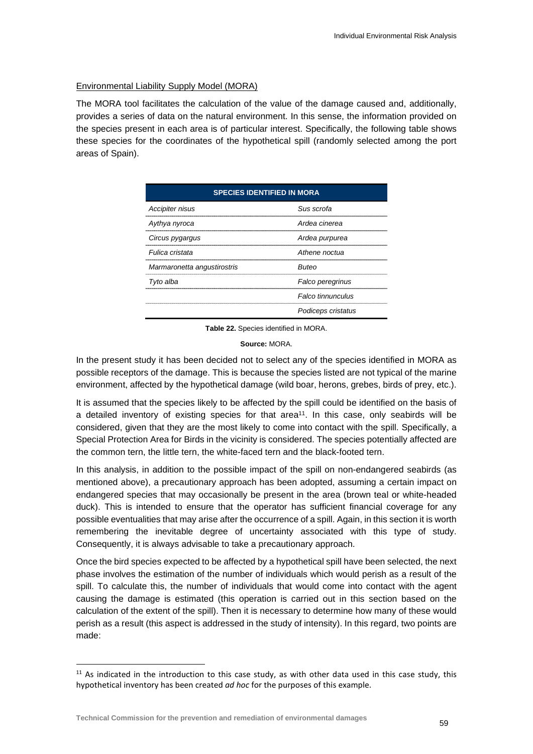### Environmental Liability Supply Model (MORA)

The MORA tool facilitates the calculation of the value of the damage caused and, additionally, provides a series of data on the natural environment. In this sense, the information provided on the species present in each area is of particular interest. Specifically, the following table shows these species for the coordinates of the hypothetical spill (randomly selected among the port areas of Spain).

| <b>SPECIES IDENTIFIED IN MORA</b> |                          |  |  |  |  |  |  |  |
|-----------------------------------|--------------------------|--|--|--|--|--|--|--|
| Accipiter nisus                   | Sus scrofa               |  |  |  |  |  |  |  |
| Aythya nyroca                     | Ardea cinerea            |  |  |  |  |  |  |  |
| Circus pygargus                   | Ardea purpurea           |  |  |  |  |  |  |  |
| Fulica cristata                   | Athene noctua            |  |  |  |  |  |  |  |
| Marmaronetta angustirostris       | Buteo                    |  |  |  |  |  |  |  |
| Tyto alba                         | <b>Falco peregrinus</b>  |  |  |  |  |  |  |  |
|                                   | <b>Falco tinnunculus</b> |  |  |  |  |  |  |  |
|                                   | Podiceps cristatus       |  |  |  |  |  |  |  |

**Table 22.** Species identified in MORA.

#### **Source:** MORA.

In the present study it has been decided not to select any of the species identified in MORA as possible receptors of the damage. This is because the species listed are not typical of the marine environment, affected by the hypothetical damage (wild boar, herons, grebes, birds of prey, etc.).

It is assumed that the species likely to be affected by the spill could be identified on the basis of a detailed inventory of existing species for that area<sup>11</sup>. In this case, only seabirds will be considered, given that they are the most likely to come into contact with the spill. Specifically, a Special Protection Area for Birds in the vicinity is considered. The species potentially affected are the common tern, the little tern, the white-faced tern and the black-footed tern.

In this analysis, in addition to the possible impact of the spill on non-endangered seabirds (as mentioned above), a precautionary approach has been adopted, assuming a certain impact on endangered species that may occasionally be present in the area (brown teal or white-headed duck). This is intended to ensure that the operator has sufficient financial coverage for any possible eventualities that may arise after the occurrence of a spill. Again, in this section it is worth remembering the inevitable degree of uncertainty associated with this type of study. Consequently, it is always advisable to take a precautionary approach.

Once the bird species expected to be affected by a hypothetical spill have been selected, the next phase involves the estimation of the number of individuals which would perish as a result of the spill. To calculate this, the number of individuals that would come into contact with the agent causing the damage is estimated (this operation is carried out in this section based on the calculation of the extent of the spill). Then it is necessary to determine how many of these would perish as a result (this aspect is addressed in the study of intensity). In this regard, two points are made:

<sup>&</sup>lt;sup>11</sup> As indicated in the introduction to this case study, as with other data used in this case study, this hypothetical inventory has been created *ad hoc* for the purposes of this example.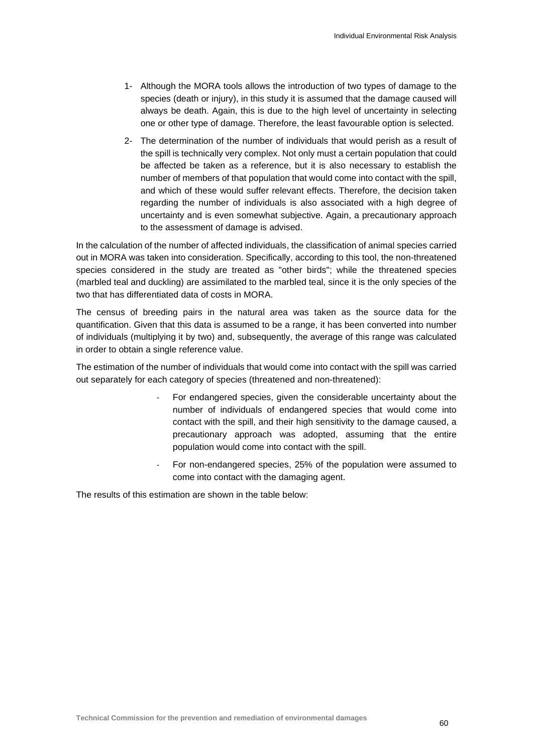- 1- Although the MORA tools allows the introduction of two types of damage to the species (death or injury), in this study it is assumed that the damage caused will always be death. Again, this is due to the high level of uncertainty in selecting one or other type of damage. Therefore, the least favourable option is selected.
- 2- The determination of the number of individuals that would perish as a result of the spill is technically very complex. Not only must a certain population that could be affected be taken as a reference, but it is also necessary to establish the number of members of that population that would come into contact with the spill, and which of these would suffer relevant effects. Therefore, the decision taken regarding the number of individuals is also associated with a high degree of uncertainty and is even somewhat subjective. Again, a precautionary approach to the assessment of damage is advised.

In the calculation of the number of affected individuals, the classification of animal species carried out in MORA was taken into consideration. Specifically, according to this tool, the non-threatened species considered in the study are treated as "other birds"; while the threatened species (marbled teal and duckling) are assimilated to the marbled teal, since it is the only species of the two that has differentiated data of costs in MORA.

The census of breeding pairs in the natural area was taken as the source data for the quantification. Given that this data is assumed to be a range, it has been converted into number of individuals (multiplying it by two) and, subsequently, the average of this range was calculated in order to obtain a single reference value.

The estimation of the number of individuals that would come into contact with the spill was carried out separately for each category of species (threatened and non-threatened):

- For endangered species, given the considerable uncertainty about the number of individuals of endangered species that would come into contact with the spill, and their high sensitivity to the damage caused, a precautionary approach was adopted, assuming that the entire population would come into contact with the spill.
- For non-endangered species, 25% of the population were assumed to come into contact with the damaging agent.

The results of this estimation are shown in the table below: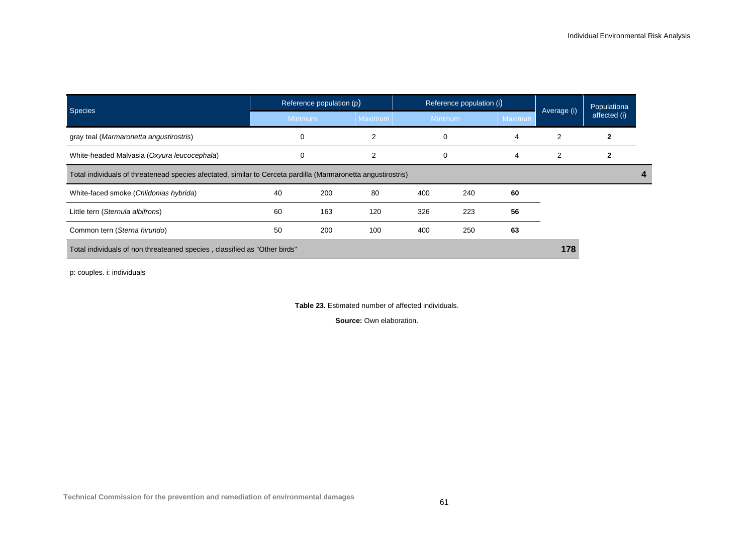| Species                                                                                                       |         | Reference population (p) |         |     | Reference population (i) |         |                | Populationa  |  |
|---------------------------------------------------------------------------------------------------------------|---------|--------------------------|---------|-----|--------------------------|---------|----------------|--------------|--|
|                                                                                                               | Minimum |                          | Maximum |     | Minimum                  | Maximun | Average (i)    | affected (i) |  |
| gray teal (Marmaronetta angustirostris)                                                                       | 0       |                          | 2       |     | 0                        | 4       | $\overline{2}$ |              |  |
| White-headed Malvasia (Oxyura leucocephala)                                                                   | 0       |                          | 2       |     | 0                        | 4       | 2              | 2            |  |
| Total individuals of threatenead species afectated, similar to Cerceta pardilla (Marmaronetta angustirostris) |         |                          |         |     |                          |         |                |              |  |
| White-faced smoke (Chlidonias hybrida)                                                                        | 40      | 200                      | 80      | 400 | 240                      | 60      |                |              |  |
| Little tern (Sternula albifrons)                                                                              | 60      | 163                      | 120     | 326 | 223                      | 56      |                |              |  |
| Common tern (Sterna hirundo)                                                                                  | 50      | 200                      | 100     | 400 | 250                      | 63      |                |              |  |
| Total individuals of non threateaned species, classified as "Other birds"                                     |         |                          |         |     |                          |         | 178            |              |  |

p: couples. i: individuals

**Table 23.** Estimated number of affected individuals.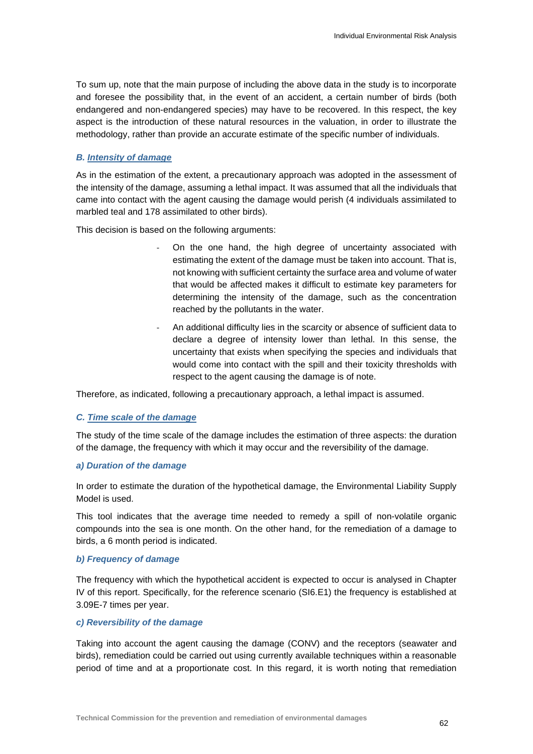To sum up, note that the main purpose of including the above data in the study is to incorporate and foresee the possibility that, in the event of an accident, a certain number of birds (both endangered and non-endangered species) may have to be recovered. In this respect, the key aspect is the introduction of these natural resources in the valuation, in order to illustrate the methodology, rather than provide an accurate estimate of the specific number of individuals.

### *B. Intensity of damage*

As in the estimation of the extent, a precautionary approach was adopted in the assessment of the intensity of the damage, assuming a lethal impact. It was assumed that all the individuals that came into contact with the agent causing the damage would perish (4 individuals assimilated to marbled teal and 178 assimilated to other birds).

This decision is based on the following arguments:

- On the one hand, the high degree of uncertainty associated with estimating the extent of the damage must be taken into account. That is, not knowing with sufficient certainty the surface area and volume of water that would be affected makes it difficult to estimate key parameters for determining the intensity of the damage, such as the concentration reached by the pollutants in the water.
- An additional difficulty lies in the scarcity or absence of sufficient data to declare a degree of intensity lower than lethal. In this sense, the uncertainty that exists when specifying the species and individuals that would come into contact with the spill and their toxicity thresholds with respect to the agent causing the damage is of note.

Therefore, as indicated, following a precautionary approach, a lethal impact is assumed.

### *C. Time scale of the damage*

The study of the time scale of the damage includes the estimation of three aspects: the duration of the damage, the frequency with which it may occur and the reversibility of the damage.

### *a) Duration of the damage*

In order to estimate the duration of the hypothetical damage, the Environmental Liability Supply Model is used.

This tool indicates that the average time needed to remedy a spill of non-volatile organic compounds into the sea is one month. On the other hand, for the remediation of a damage to birds, a 6 month period is indicated.

### *b) Frequency of damage*

The frequency with which the hypothetical accident is expected to occur is analysed in Chapter IV of this report. Specifically, for the reference scenario (SI6.E1) the frequency is established at 3.09E-7 times per year.

### *c) Reversibility of the damage*

Taking into account the agent causing the damage (CONV) and the receptors (seawater and birds), remediation could be carried out using currently available techniques within a reasonable period of time and at a proportionate cost. In this regard, it is worth noting that remediation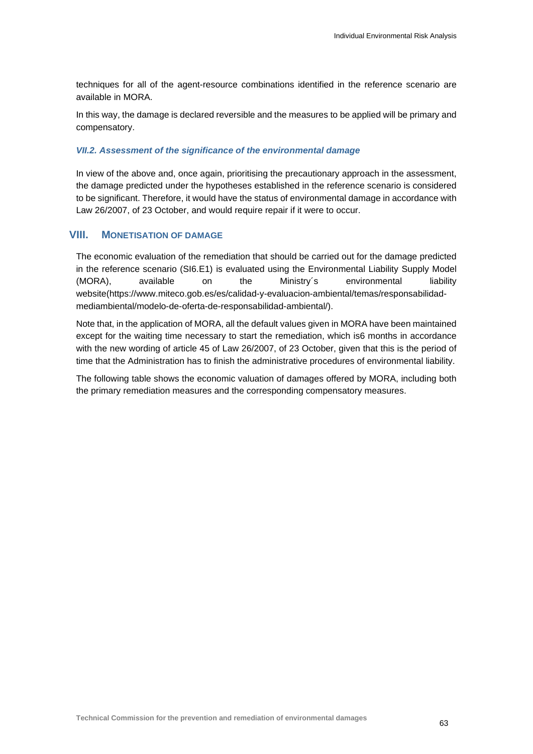techniques for all of the agent-resource combinations identified in the reference scenario are available in MORA.

In this way, the damage is declared reversible and the measures to be applied will be primary and compensatory.

### *VII.2. Assessment of the significance of the environmental damage*

In view of the above and, once again, prioritising the precautionary approach in the assessment, the damage predicted under the hypotheses established in the reference scenario is considered to be significant. Therefore, it would have the status of environmental damage in accordance with Law 26/2007, of 23 October, and would require repair if it were to occur.

# **VIII. MONETISATION OF DAMAGE**

The economic evaluation of the remediation that should be carried out for the damage predicted in the reference scenario (SI6.E1) is evaluated using the Environmental Liability Supply Model (MORA), available on the Ministry´s environmental liability website(https://www.miteco.gob.es/es/calidad-y-evaluacion-ambiental/temas/responsabilidadmediambiental/modelo-de-oferta-de-responsabilidad-ambiental/).

Note that, in the application of MORA, all the default values given in MORA have been maintained except for the waiting time necessary to start the remediation, which is6 months in accordance with the new wording of article 45 of Law 26/2007, of 23 October, given that this is the period of time that the Administration has to finish the administrative procedures of environmental liability.

The following table shows the economic valuation of damages offered by MORA, including both the primary remediation measures and the corresponding compensatory measures.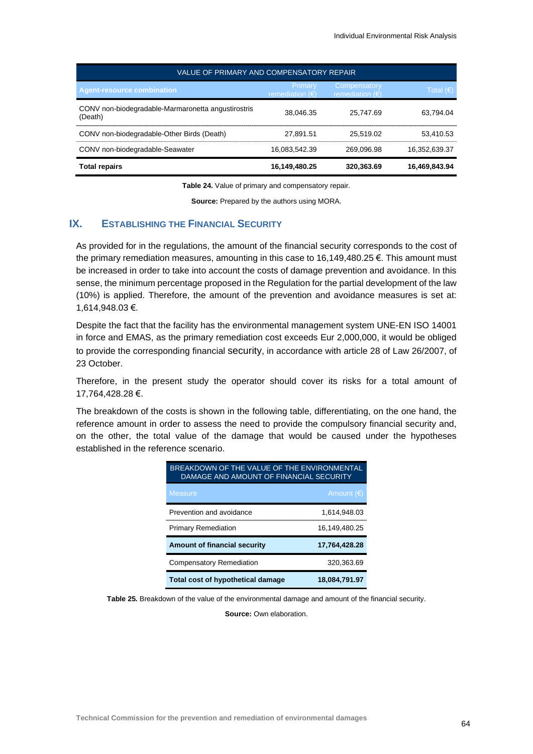| VALUE OF PRIMARY AND COMPENSATORY REPAIR                      |                                     |                                          |                    |
|---------------------------------------------------------------|-------------------------------------|------------------------------------------|--------------------|
| <b>Agent-resource combination</b>                             | Primary<br>remediation $(\epsilon)$ | Compensatory<br>remediation $(\epsilon)$ | Total $(\epsilon)$ |
| CONV non-biodegradable-Marmaronetta angustirostris<br>(Death) | 38.046.35                           | 25.747.69                                | 63.794.04          |
| CONV non-biodegradable-Other Birds (Death)                    | 27.891.51                           | 25.519.02                                | 53,410.53          |
| CONV non-biodegradable-Seawater                               | 16.083.542.39                       | 269.096.98                               | 16.352.639.37      |
| <b>Total repairs</b>                                          | 16,149,480.25                       | 320,363.69                               | 16,469,843.94      |

**Table 24.** Value of primary and compensatory repair.

**Source:** Prepared by the authors using MORA.

# **IX. ESTABLISHING THE FINANCIAL SECURITY**

As provided for in the regulations, the amount of the financial security corresponds to the cost of the primary remediation measures, amounting in this case to 16,149,480.25 €. This amount must be increased in order to take into account the costs of damage prevention and avoidance. In this sense, the minimum percentage proposed in the Regulation for the partial development of the law (10%) is applied. Therefore, the amount of the prevention and avoidance measures is set at: 1,614,948.03 €.

Despite the fact that the facility has the environmental management system UNE-EN ISO 14001 in force and EMAS, as the primary remediation cost exceeds Eur 2,000,000, it would be obliged to provide the corresponding financial security, in accordance with article 28 of Law 26/2007, of 23 October.

Therefore, in the present study the operator should cover its risks for a total amount of 17,764,428.28 €.

The breakdown of the costs is shown in the following table, differentiating, on the one hand, the reference amount in order to assess the need to provide the compulsory financial security and, on the other, the total value of the damage that would be caused under the hypotheses established in the reference scenario.

| BREAKDOWN OF THE VALUE OF THE ENVIRONMENTAL<br>DAMAGE AND AMOUNT OF FINANCIAL SECURITY |                     |
|----------------------------------------------------------------------------------------|---------------------|
| <b>Measure</b>                                                                         | Amount $(\epsilon)$ |
| Prevention and avoidance                                                               | 1.614.948.03        |
| <b>Primary Remediation</b>                                                             | 16.149.480.25       |
| <b>Amount of financial security</b>                                                    | 17,764,428.28       |
| <b>Compensatory Remediation</b>                                                        | 320,363.69          |
| Total cost of hypothetical damage                                                      | 18.084.791.97       |

**Table 25.** Breakdown of the value of the environmental damage and amount of the financial security.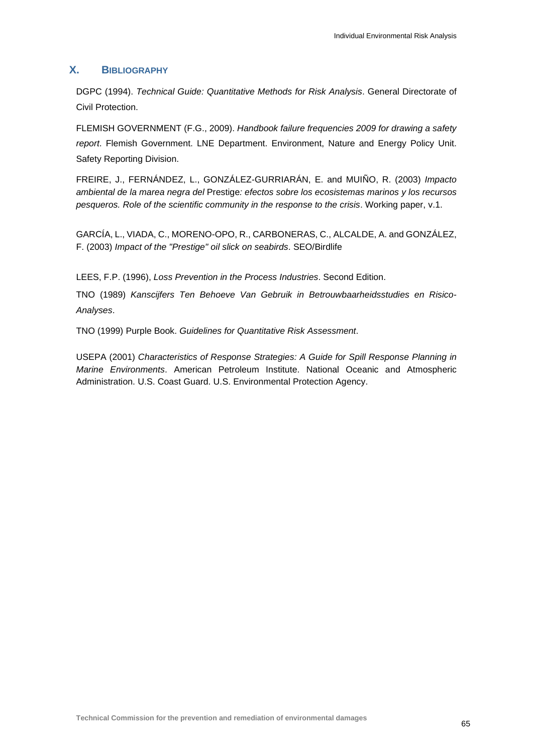# **X. BIBLIOGRAPHY**

DGPC (1994). *Technical Guide: Quantitative Methods for Risk Analysis*. General Directorate of Civil Protection.

FLEMISH GOVERNMENT (F.G., 2009). *Handbook failure frequencies 2009 for drawing a safety report*. Flemish Government. LNE Department. Environment, Nature and Energy Policy Unit. Safety Reporting Division.

FREIRE, J., FERNÁNDEZ, L., GONZÁLEZ-GURRIARÁN, E. and MUIÑO, R. (2003) *Impacto ambiental de la marea negra del* Prestige*: efectos sobre los ecosistemas marinos y los recursos pesqueros. Role of the scientific community in the response to the crisis*. Working paper, v.1.

GARCÍA, L., VIADA, C., MORENO-OPO, R., CARBONERAS, C., ALCALDE, A. and GONZÁLEZ, F. (2003) *Impact of the "Prestige" oil slick on seabirds*. SEO/Birdlife

LEES, F.P. (1996), *Loss Prevention in the Process Industries*. Second Edition.

TNO (1989) *Kanscijfers Ten Behoeve Van Gebruik in Betrouwbaarheidsstudies en Risico-Analyses*.

TNO (1999) Purple Book. *Guidelines for Quantitative Risk Assessment*.

USEPA (2001) *Characteristics of Response Strategies: A Guide for Spill Response Planning in Marine Environments*. American Petroleum Institute. National Oceanic and Atmospheric Administration. U.S. Coast Guard. U.S. Environmental Protection Agency.